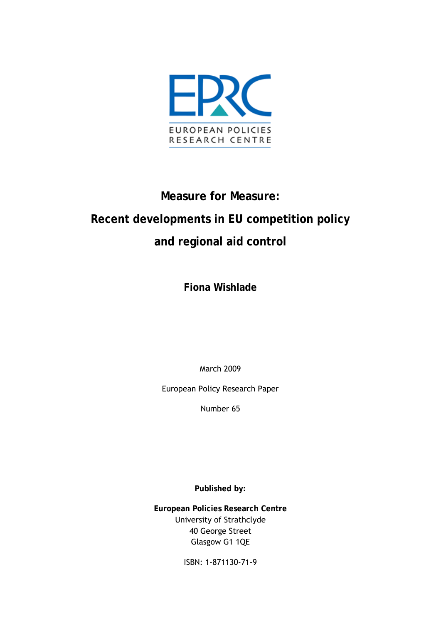

# **Measure for Measure: Recent developments in EU competition policy and regional aid control**

**Fiona Wishlade** 

March 2009

European Policy Research Paper

Number 65

**Published by:** 

**European Policies Research Centre** University of Strathclyde 40 George Street Glasgow G1 1QE

ISBN: 1-871130-71-9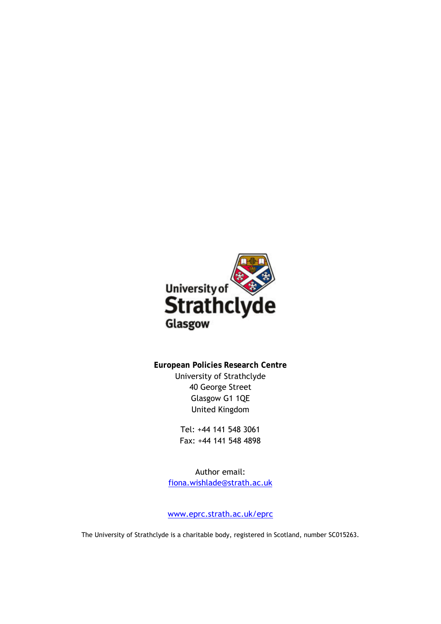

**European Policies Research Centre**  University of Strathclyde 40 George Street Glasgow G1 1QE United Kingdom

> Tel: +44 141 548 3061 Fax: +44 141 548 4898

Author email: [fiona.wishlade@strath.ac.uk](mailto:fiona.wishlade@strath.ac.uk)

[www.eprc.strath.ac.uk/eprc](http://www.eprc.strath.ac.uk/eprc)

The University of Strathclyde is a charitable body, registered in Scotland, number SC015263.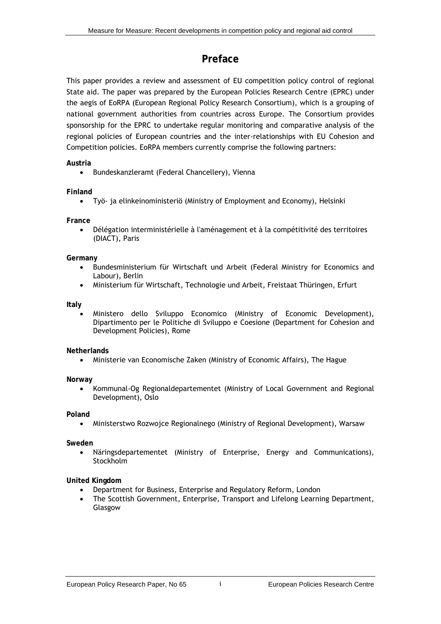### **Preface**

This paper provides a review and assessment of EU competition policy control of regional State aid. The paper was prepared by the European Policies Research Centre (EPRC) under the aegis of EoRPA (European Regional Policy Research Consortium), which is a grouping of national government authorities from countries across Europe. The Consortium provides sponsorship for the EPRC to undertake regular monitoring and comparative analysis of the regional policies of European countries and the inter-relationships with EU Cohesion and Competition policies. EoRPA members currently comprise the following partners:

#### **Austria**

• Bundeskanzleramt (Federal Chancellery), Vienna

#### **Finland**

• Työ- ja elinkeinoministeriö (Ministry of Employment and Economy), Helsinki

#### **France**

• Délégation interministérielle à l'aménagement et à la compétitivité des territoires (DIACT), Paris

#### **Germany**

- Bundesministerium für Wirtschaft und Arbeit (Federal Ministry for Economics and Labour), Berlin
- Ministerium für Wirtschaft, Technologie und Arbeit, Freistaat Thüringen, Erfurt

#### **Italy**

• Ministero dello Sviluppo Economico (Ministry of Economic Development), Dipartimento per le Politiche di Sviluppo e Coesione (Department for Cohesion and Development Policies), Rome

#### **Netherlands**

• Ministerie van Economische Zaken (Ministry of Economic Affairs), The Hague

#### **Norway**

• Kommunal-Og Regionaldepartementet (Ministry of Local Government and Regional Development), Oslo

#### **Poland**

• Ministerstwo Rozwojce Regionalnego (Ministry of Regional Development), Warsaw

#### **Sweden**

• Näringsdepartementet (Ministry of Enterprise, Energy and Communications), Stockholm

#### **United Kingdom**

- Department for Business, Enterprise and Regulatory Reform, London
- The Scottish Government, Enterprise, Transport and Lifelong Learning Department, Glasgow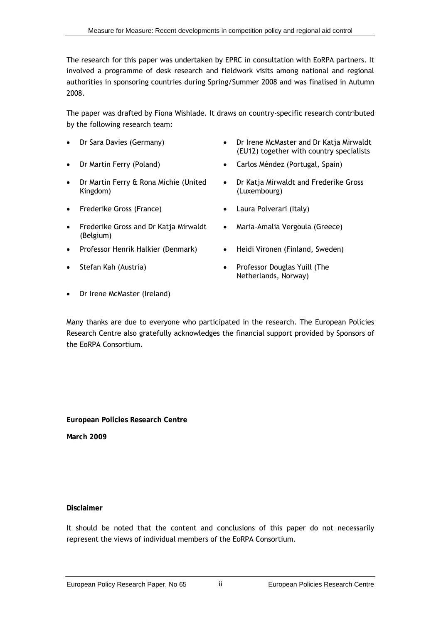The research for this paper was undertaken by EPRC in consultation with EoRPA partners. It involved a programme of desk research and fieldwork visits among national and regional authorities in sponsoring countries during Spring/Summer 2008 and was finalised in Autumn 2008.

The paper was drafted by Fiona Wishlade. It draws on country-specific research contributed by the following research team:

- 
- 
- Dr Martin Ferry & Rona Michie (United Kingdom)
- Frederike Gross (France) Laura Polverari (Italy)
- Frederike Gross and Dr Katja Mirwaldt (Belgium)
- Professor Henrik Halkier (Denmark) Heidi Vironen (Finland, Sweden)
- 
- Dr Sara Davies (Germany) Dr Irene McMaster and Dr Katja Mirwaldt (EU12) together with country specialists
	- Dr Martin Ferry (Poland) Carlos Méndez (Portugal, Spain)
		- Dr Katja Mirwaldt and Frederike Gross (Luxembourg)
		-
		- Maria-Amalia Vergoula (Greece)
		-
- Stefan Kah (Austria) Professor Douglas Yuill (The Netherlands, Norway)
- Dr Irene McMaster (Ireland)

Many thanks are due to everyone who participated in the research. The European Policies Research Centre also gratefully acknowledges the financial support provided by Sponsors of the EoRPA Consortium.

**European Policies Research Centre** 

**March 2009** 

#### **Disclaimer**

It should be noted that the content and conclusions of this paper do not necessarily represent the views of individual members of the EoRPA Consortium.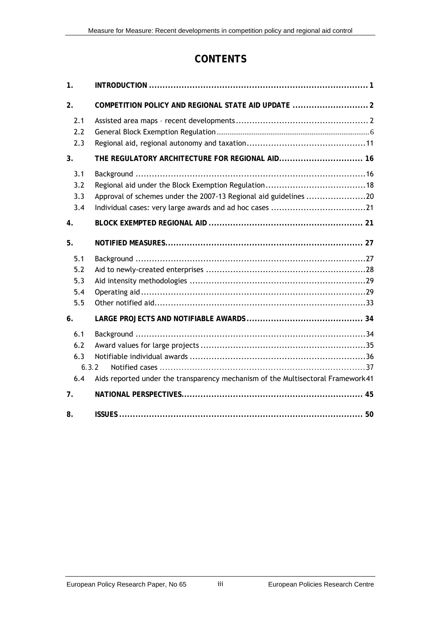### **CONTENTS**

| 1.                                |                                                                                 |
|-----------------------------------|---------------------------------------------------------------------------------|
| 2.                                | COMPETITION POLICY AND REGIONAL STATE AID UPDATE  2                             |
| 2.1<br>2.2<br>2.3                 |                                                                                 |
| 3 <sub>1</sub>                    | THE REGULATORY ARCHITECTURE FOR REGIONAL AID 16                                 |
| 3.1<br>3.2<br>3.3<br>3.4          | Approval of schemes under the 2007-13 Regional aid guidelines 20                |
| 4.                                |                                                                                 |
| 5.                                |                                                                                 |
| 5.1<br>5.2<br>5.3<br>5.4<br>5.5   |                                                                                 |
| 6.                                |                                                                                 |
| 6.1<br>6.2<br>6.3<br>6.3.2<br>6.4 | Aids reported under the transparency mechanism of the Multisectoral Framework41 |
| 7.                                |                                                                                 |
| 8.                                |                                                                                 |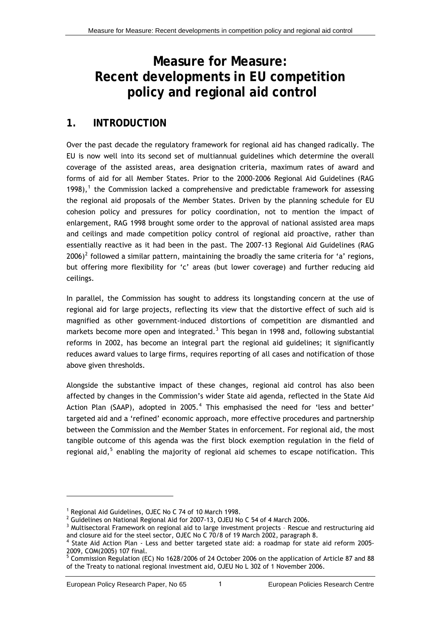## <span id="page-6-0"></span>**Measure for Measure: Recent developments in EU competition policy and regional aid control**

### **1. INTRODUCTION**

Over the past decade the regulatory framework for regional aid has changed radically. The EU is now well into its second set of multiannual guidelines which determine the overall coverage of the assisted areas, area designation criteria, maximum rates of award and forms of aid for all Member States. Prior to the 2000-2006 Regional Aid Guidelines (RAG [1](#page-6-1)998), $<sup>1</sup>$  the Commission lacked a comprehensive and predictable framework for assessing</sup> the regional aid proposals of the Member States. Driven by the planning schedule for EU cohesion policy and pressures for policy coordination, not to mention the impact of enlargement, RAG 1998 brought some order to the approval of national assisted area maps and ceilings and made competition policy control of regional aid proactive, rather than essentially reactive as it had been in the past. The 2007-13 Regional Aid Guidelines (RAG [2](#page-6-2)006)<sup>2</sup> followed a similar pattern, maintaining the broadly the same criteria for 'a' regions, but offering more flexibility for 'c' areas (but lower coverage) and further reducing aid ceilings.

In parallel, the Commission has sought to address its longstanding concern at the use of regional aid for large projects, reflecting its view that the distortive effect of such aid is magnified as other government-induced distortions of competition are dismantled and markets become more open and integrated.<sup>[3](#page-6-3)</sup> This began in 1998 and, following substantial reforms in 2002, has become an integral part the regional aid guidelines; it significantly reduces award values to large firms, requires reporting of all cases and notification of those above given thresholds.

Alongside the substantive impact of these changes, regional aid control has also been affected by changes in the Commission's wider State aid agenda, reflected in the State Aid Action Plan (SAAP), adopted in 2005.<sup>[4](#page-6-4)</sup> This emphasised the need for 'less and better' targeted aid and a 'refined' economic approach, more effective procedures and partnership between the Commission and the Member States in enforcement. For regional aid, the most tangible outcome of this agenda was the first block exemption regulation in the field of regional aid,<sup>[5](#page-6-5)</sup> enabling the majority of regional aid schemes to escape notification. This

<sup>&</sup>lt;sup>1</sup> Regional Aid Guidelines, OJEC No C 74 of 10 March 1998.

 $^2$  Guidelines on National Regional Aid for 2007-13, OJEU No C 54 of 4 March 2006.

<span id="page-6-3"></span><span id="page-6-2"></span><span id="page-6-1"></span><sup>&</sup>lt;sup>3</sup> Multisectoral Framework on regional aid to large investment projects - Rescue and restructuring aid

<span id="page-6-4"></span>and closure aid for the steel sector, OJEC No C 70/8 of 19 March 2002, paragraph 8.<br><sup>4</sup> State Aid Action Plan - Less and better targeted state aid: a roadmap for state aid reform 2005-2009, COM(2005) 107 final.

<span id="page-6-5"></span><sup>&</sup>lt;sup>5</sup> Commission Regulation (EC) No 1628/2006 of 24 October 2006 on the application of Article 87 and 88 of the Treaty to national regional investment aid, OJEU No L 302 of 1 November 2006.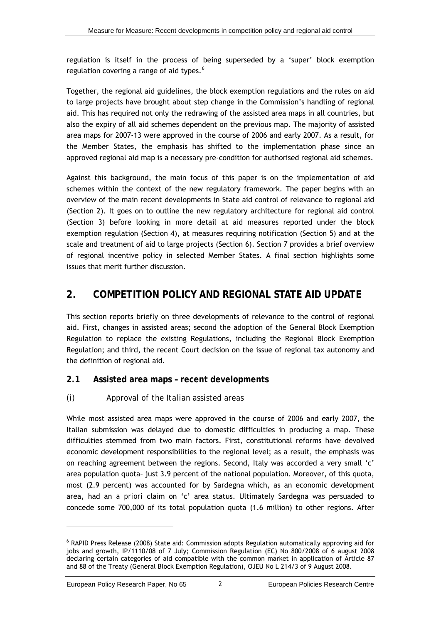<span id="page-7-0"></span>regulation is itself in the process of being superseded by a 'super' block exemption regulation covering a range of aid types.<sup>[6](#page-7-0)</sup>

Together, the regional aid guidelines, the block exemption regulations and the rules on aid to large projects have brought about step change in the Commission's handling of regional aid. This has required not only the redrawing of the assisted area maps in all countries, but also the expiry of all aid schemes dependent on the previous map. The majority of assisted area maps for 2007-13 were approved in the course of 2006 and early 2007. As a result, for the Member States, the emphasis has shifted to the implementation phase since an approved regional aid map is a necessary pre-condition for authorised regional aid schemes.

Against this background, the main focus of this paper is on the implementation of aid schemes within the context of the new regulatory framework. The paper begins with an overview of the main recent developments in State aid control of relevance to regional aid (Section 2). It goes on to outline the new regulatory architecture for regional aid control (Section 3) before looking in more detail at aid measures reported under the block exemption regulation (Section 4), at measures requiring notification (Section 5) and at the scale and treatment of aid to large projects (Section 6). Section 7 provides a brief overview of regional incentive policy in selected Member States. A final section highlights some issues that merit further discussion.

### **2. COMPETITION POLICY AND REGIONAL STATE AID UPDATE**

This section reports briefly on three developments of relevance to the control of regional aid. First, changes in assisted areas; second the adoption of the General Block Exemption Regulation to replace the existing Regulations, including the Regional Block Exemption Regulation; and third, the recent Court decision on the issue of regional tax autonomy and the definition of regional aid.

### **2.1 Assisted area maps – recent developments**

### *(i) Approval of the Italian assisted areas*

While most assisted area maps were approved in the course of 2006 and early 2007, the Italian submission was delayed due to domestic difficulties in producing a map. These difficulties stemmed from two main factors. First, constitutional reforms have devolved economic development responsibilities to the regional level; as a result, the emphasis was on reaching agreement between the regions. Second, Italy was accorded a very small 'c' area population quota– just 3.9 percent of the national population. Moreover, of this quota, most (2.9 percent) was accounted for by Sardegna which, as an economic development area, had an *a priori* claim on 'c' area status. Ultimately Sardegna was persuaded to concede some 700,000 of its total population quota (1.6 million) to other regions. After

<sup>&</sup>lt;sup>6</sup> RAPID Press Release (2008) State aid: Commission adopts Regulation automatically approving aid for jobs and growth, IP/1110/08 of 7 July; Commission Regulation (EC) No 800/2008 of 6 august 2008 declaring certain categories of aid compatible with the common market in application of Article 87 and 88 of the Treaty (General Block Exemption Regulation), OJEU No L 214/3 of 9 August 2008.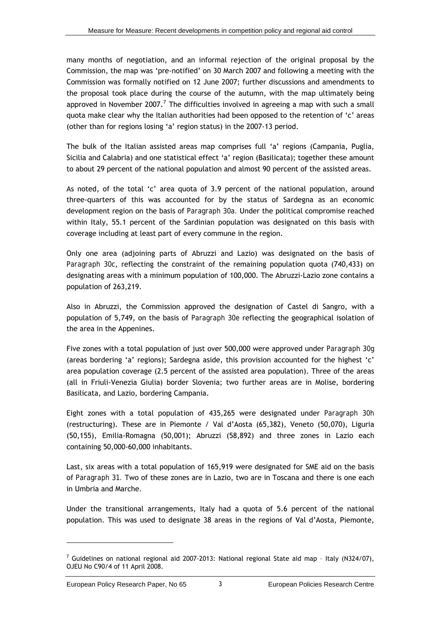<span id="page-8-0"></span>many months of negotiation, and an informal rejection of the original proposal by the Commission, the map was 'pre-notified' on 30 March 2007 and following a meeting with the Commission was formally notified on 12 June 2007; further discussions and amendments to the proposal took place during the course of the autumn, with the map ultimately being approved in November 200[7](#page-8-0).<sup>7</sup> The difficulties involved in agreeing a map with such a small quota make clear why the Italian authorities had been opposed to the retention of 'c' areas (other than for regions losing 'a' region status) in the 2007-13 period.

The bulk of the Italian assisted areas map comprises full 'a' regions (Campania, Puglia, Sicilia and Calabria) and one statistical effect 'a' region (Basilicata); together these amount to about 29 percent of the national population and almost 90 percent of the assisted areas.

As noted, of the total 'c' area quota of 3.9 percent of the national population, around three-quarters of this was accounted for by the status of Sardegna as an economic development region on the basis of *Paragraph 30a.* Under the political compromise reached within Italy, 55.1 percent of the Sardinian population was designated on this basis with coverage including at least part of every commune in the region.

Only one area (adjoining parts of Abruzzi and Lazio) was designated on the basis of *Paragraph 30c*, reflecting the constraint of the remaining population quota (740,433) on designating areas with a minimum population of 100,000. The Abruzzi-Lazio zone contains a population of 263,219.

Also in Abruzzi, the Commission approved the designation of Castel di Sangro, with a population of 5,749, on the basis of *Paragraph 30e* reflecting the geographical isolation of the area in the Appenines.

Five zones with a total population of just over 500,000 were approved under *Paragraph 30g* (areas bordering 'a' regions); Sardegna aside, this provision accounted for the highest 'c' area population coverage (2.5 percent of the assisted area population). Three of the areas (all in Friuli-Venezia Giulia) border Slovenia; two further areas are in Molise, bordering Basilicata, and Lazio, bordering Campania.

Eight zones with a total population of 435,265 were designated under *Paragraph 30h*  (restructuring). These are in Piemonte / Val d'Aosta (65,382), Veneto (50,070), Liguria (50,155), Emilia-Romagna (50,001); Abruzzi (58,892) and three zones in Lazio each containing 50,000-60,000 inhabitants.

Last, six areas with a total population of 165,919 were designated for SME aid on the basis of *Paragraph 31.* Two of these zones are in Lazio, two are in Toscana and there is one each in Umbria and Marche.

Under the transitional arrangements, Italy had a quota of 5.6 percent of the national population. This was used to designate 38 areas in the regions of Val d'Aosta, Piemonte,

 $^7$  Guidelines on national regional aid 2007-2013: National regional State aid map - Italy (N324/07), OJEU No C90/4 of 11 April 2008.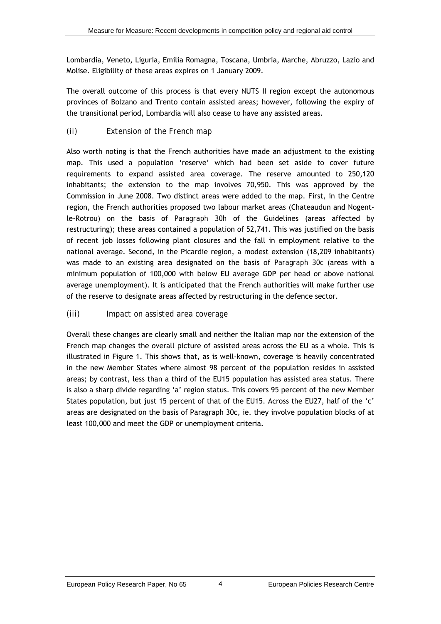Lombardia, Veneto, Liguria, Emilia Romagna, Toscana, Umbria, Marche, Abruzzo, Lazio and Molise. Eligibility of these areas expires on 1 January 2009.

The overall outcome of this process is that every NUTS II region except the autonomous provinces of Bolzano and Trento contain assisted areas; however, following the expiry of the transitional period, Lombardia will also cease to have any assisted areas.

### *(ii) Extension of the French map*

Also worth noting is that the French authorities have made an adjustment to the existing map. This used a population 'reserve' which had been set aside to cover future requirements to expand assisted area coverage. The reserve amounted to 250,120 inhabitants; the extension to the map involves 70,950. This was approved by the Commission in June 2008. Two distinct areas were added to the map. First, in the Centre region, the French authorities proposed two labour market areas (Chateaudun and Nogentle-Rotrou) on the basis of *Paragraph 30h* of the Guidelines (areas affected by restructuring); these areas contained a population of 52,741. This was justified on the basis of recent job losses following plant closures and the fall in employment relative to the national average. Second, in the Picardie region, a modest extension (18,209 inhabitants) was made to an existing area designated on the basis of *Paragraph 30c* (areas with a minimum population of 100,000 with below EU average GDP per head or above national average unemployment). It is anticipated that the French authorities will make further use of the reserve to designate areas affected by restructuring in the defence sector.

### *(iii) Impact on assisted area coverage*

Overall these changes are clearly small and neither the Italian map nor the extension of the French map changes the overall picture of assisted areas across the EU as a whole. This is illustrated in [Figure 1.](#page-10-0) This shows that, as is well-known, coverage is heavily concentrated in the new Member States where almost 98 percent of the population resides in assisted areas; by contrast, less than a third of the EU15 population has assisted area status. There is also a sharp divide regarding 'a' region status. This covers 95 percent of the new Member States population, but just 15 percent of that of the EU15. Across the EU27, half of the 'c' areas are designated on the basis of Paragraph 30c, ie. they involve population blocks of at least 100,000 and meet the GDP or unemployment criteria.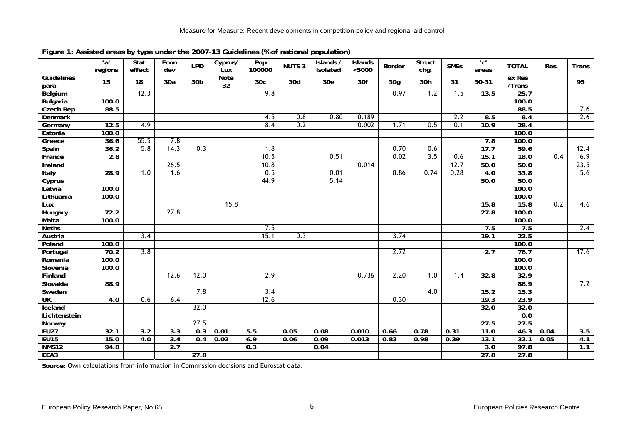|                           | a'<br>regions | Stat<br>effect   | Econ<br>dev      | <b>LPD</b>      | Cyprus/<br>Lux    | $\overline{Pop}$<br>100000 | <b>NUTS 3</b> | Islands /<br>isolated | <b>Islands</b><br>< 5000 | <b>Border</b>   | <b>Struct</b><br>chg. | <b>SMEs</b> | $^{\prime}$ c $^{\prime}$<br>areas | <b>TOTAL</b>     | Res. | <b>Trans</b> |
|---------------------------|---------------|------------------|------------------|-----------------|-------------------|----------------------------|---------------|-----------------------|--------------------------|-----------------|-----------------------|-------------|------------------------------------|------------------|------|--------------|
| <b>Guidelines</b><br>para | 15            | 18               | 30a              | 30 <sub>b</sub> | <b>Note</b><br>32 | 30 <sub>c</sub>            | 30d           | 30 <sub>e</sub>       | 30f                      | 30 <sub>g</sub> | 30h                   | 31          | 30-31                              | ex Res<br>/Trans |      | 95           |
| Belgium                   |               | 12.3             |                  |                 |                   | 9.8                        |               |                       |                          | 0.97            | 1.2                   | 1.5         | 13.5                               | 25.7             |      |              |
| <b>Bulgaria</b>           | 100.0         |                  |                  |                 |                   |                            |               |                       |                          |                 |                       |             |                                    | 100.0            |      |              |
| <b>Czech Rep</b>          | 88.5          |                  |                  |                 |                   |                            |               |                       |                          |                 |                       |             |                                    | 88.5             |      | 7.6          |
| <b>Denmark</b>            |               |                  |                  |                 |                   | 4.5                        | 0.8           | 0.80                  | 0.189                    |                 |                       | 2.2         | 8.5                                | 8.4              |      | 2.6          |
| Germany                   | 12.5          | 4.9              |                  |                 |                   | 8.4                        | 0.2           |                       | 0.002                    | 1.71            | 0.5                   | 0.1         | 10.9                               | 28.4             |      |              |
| Estonia                   | 100.0         |                  |                  |                 |                   |                            |               |                       |                          |                 |                       |             |                                    | 100.0            |      |              |
| Greece                    | 36.6          | 55.5             | 7.8              |                 |                   |                            |               |                       |                          |                 |                       |             | 7.8                                | 100.0            |      |              |
| Spain                     | 36.2          | 5.8              | 14.3             | 0.3             |                   | 1.8                        |               |                       |                          | 0.70            | 0.6                   |             | 17.7                               | 59.6             |      | 12.4         |
| France                    | 2.8           |                  |                  |                 |                   | 10.5                       |               | 0.51                  |                          | 0.02            | 3.5                   | 0.6         | 15.1                               | 18.0             | 0.4  | 6.9          |
| Ireland                   |               |                  | 26.5             |                 |                   | 10.8                       |               |                       | 0.014                    |                 |                       | 12.7        | 50.0                               | 50.0             |      | 23.5         |
| Italy                     | 28.9          | 1.0              | 1.6              |                 |                   | 0.5                        |               | 0.01                  |                          | 0.86            | 0.74                  | 0.28        | $\overline{4.0}$                   | 33.8             |      | 5.6          |
| Cyprus                    |               |                  |                  |                 |                   | 44.9                       |               | 5.14                  |                          |                 |                       |             | 50.0                               | 50.0             |      |              |
| Latvia                    | 100.0         |                  |                  |                 |                   |                            |               |                       |                          |                 |                       |             |                                    | 100.0            |      |              |
| Lithuania                 | 100.0         |                  |                  |                 |                   |                            |               |                       |                          |                 |                       |             |                                    | 100.0            |      |              |
| Lux                       |               |                  |                  |                 | 15.8              |                            |               |                       |                          |                 |                       |             | 15.8                               | 15.8             | 0.2  | 4.6          |
| Hungary                   | 72.2          |                  | 27.8             |                 |                   |                            |               |                       |                          |                 |                       |             | 27.8                               | 100.0            |      |              |
| Malta                     | 100.0         |                  |                  |                 |                   |                            |               |                       |                          |                 |                       |             |                                    | 100.0            |      |              |
| <b>Neths</b>              |               |                  |                  |                 |                   | 7.5                        |               |                       |                          |                 |                       |             | 7.5                                | 7.5              |      | 2.4          |
| Austria                   |               | 3.4              |                  |                 |                   | 15.1                       | 0.3           |                       |                          | 3.74            |                       |             | 19.1                               | 22.5             |      |              |
| Poland                    | 100.0         |                  |                  |                 |                   |                            |               |                       |                          |                 |                       |             |                                    | 100.0            |      |              |
| Portugal                  | 70.2          | 3.8              |                  |                 |                   |                            |               |                       |                          | 2.72            |                       |             | 2.7                                | 76.7             |      | 17.6         |
| Romania                   | 100.0         |                  |                  |                 |                   |                            |               |                       |                          |                 |                       |             |                                    | 100.0            |      |              |
| Slovenia                  | 100.0         |                  |                  |                 |                   |                            |               |                       |                          |                 |                       |             |                                    | 100.0            |      |              |
| Finland                   |               |                  | 12.6             | 12.0            |                   | 2.9                        |               |                       | 0.736                    | 2.20            | 1.0                   | 1.4         | 32.8                               | 32.9             |      |              |
| Slovakia                  | 88.9          |                  |                  |                 |                   |                            |               |                       |                          |                 |                       |             |                                    | 88.9             |      | 7.2          |
| Sweden                    |               |                  |                  | 7.8             |                   | 3.4                        |               |                       |                          |                 | 4.0                   |             | 15.2                               | 15.3             |      |              |
| <b>UK</b>                 | 4.0           | 0.6              | 6.4              |                 |                   | 12.6                       |               |                       |                          | 0.30            |                       |             | 19.3                               | 23.9             |      |              |
| Iceland                   |               |                  |                  | 32.0            |                   |                            |               |                       |                          |                 |                       |             | 32.0                               | 32.0             |      |              |
| Lichtenstein              |               |                  |                  |                 |                   |                            |               |                       |                          |                 |                       |             |                                    | 0.0              |      |              |
| Norway                    |               |                  |                  | 27.5            |                   |                            |               |                       |                          |                 |                       |             | 27.5                               | 27.5             |      |              |
| <b>EU27</b>               | 32.1          | $\overline{3.2}$ | $\overline{3.3}$ | 0.3             | 0.01              | 5.5                        | 0.05          | 0.08                  | 0.010                    | 0.66            | 0.78                  | 0.31        | 11.0                               | 46.3             | 0.04 | 3.5          |
| <b>EU15</b>               | 15.0          | 4.0              | $\overline{3.4}$ | 0.4             | 0.02              | 6.9                        | 0.06          | 0.09                  | 0.013                    | 0.83            | 0.98                  | 0.39        | 13.1                               | 32.1             | 0.05 | 4.1          |
| <b>NMS12</b>              | 94.8          |                  | 2.7              |                 |                   | $\overline{0.3}$           |               | 0.04                  |                          |                 |                       |             | 3.0                                | 97.8             |      | 1.1          |
| EEA3                      |               |                  |                  | 27.8            |                   |                            |               |                       |                          |                 |                       |             | 27.8                               | 27.8             |      |              |

#### **Figure 1: Assisted areas by type under the 2007-13 Guidelines (% of national population)**

<span id="page-10-0"></span>**Source:** Own calculations from information in Commission decisions and Eurostat data.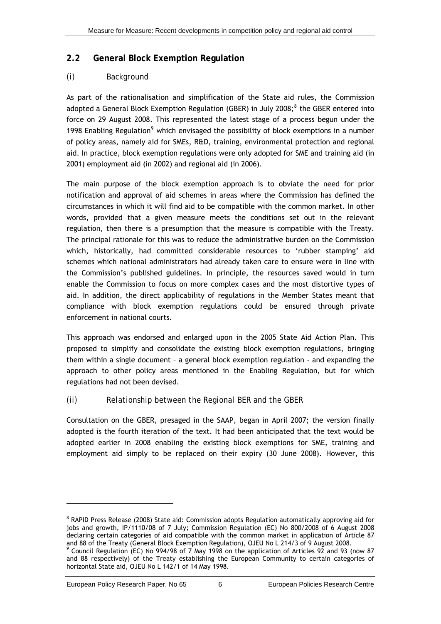### <span id="page-11-0"></span>**2.2 General Block Exemption Regulation**

### *(i) Background*

As part of the rationalisation and simplification of the State aid rules, the Commission adopted a General Block Exemption Regulation (GBER) in July 200[8](#page-11-0);<sup>8</sup> the GBER entered into force on 29 August 2008. This represented the latest stage of a process begun under the 1[9](#page-11-0)98 Enabling Regulation<sup>9</sup> which envisaged the possibility of block exemptions in a number of policy areas, namely aid for SMEs, R&D, training, environmental protection and regional aid. In practice, block exemption regulations were only adopted for SME and training aid (in 2001) employment aid (in 2002) and regional aid (in 2006).

The main purpose of the block exemption approach is to obviate the need for prior notification and approval of aid schemes in areas where the Commission has defined the circumstances in which it will find aid to be compatible with the common market. In other words, provided that a given measure meets the conditions set out in the relevant regulation, then there is a presumption that the measure is compatible with the Treaty. The principal rationale for this was to reduce the administrative burden on the Commission which, historically, had committed considerable resources to 'rubber stamping' aid schemes which national administrators had already taken care to ensure were in line with the Commission's published guidelines. In principle, the resources saved would in turn enable the Commission to focus on more complex cases and the most distortive types of aid. In addition, the direct applicability of regulations in the Member States meant that compliance with block exemption regulations could be ensured through private enforcement in national courts.

This approach was endorsed and enlarged upon in the 2005 State Aid Action Plan. This proposed to simplify and consolidate the existing block exemption regulations, bringing them within a single document – a general block exemption regulation - and expanding the approach to other policy areas mentioned in the Enabling Regulation, but for which regulations had not been devised.

### *(ii) Relationship between the Regional BER and the GBER*

Consultation on the GBER, presaged in the SAAP, began in April 2007; the version finally adopted is the fourth iteration of the text. It had been anticipated that the text would be adopted earlier in 2008 enabling the existing block exemptions for SME, training and employment aid simply to be replaced on their expiry (30 June 2008). However, this

<sup>&</sup>lt;sup>8</sup> RAPID Press Release (2008) State aid: Commission adopts Regulation automatically approving aid for jobs and growth, IP/1110/08 of 7 July; Commission Regulation (EC) No 800/2008 of 6 August 2008 declaring certain categories of aid compatible with the common market in application of Article 87 and 88 of the Treaty (General Block Exemption Regulation), OJEU No L 214/3 of 9 August 2008.

<sup>9</sup> Council Regulation (EC) No 994/98 of 7 May 1998 on the application of Articles 92 and 93 (now 87 and 88 respectively) of the Treaty establishing the European Community to certain categories of horizontal State aid, OJEU No L 142/1 of 14 May 1998.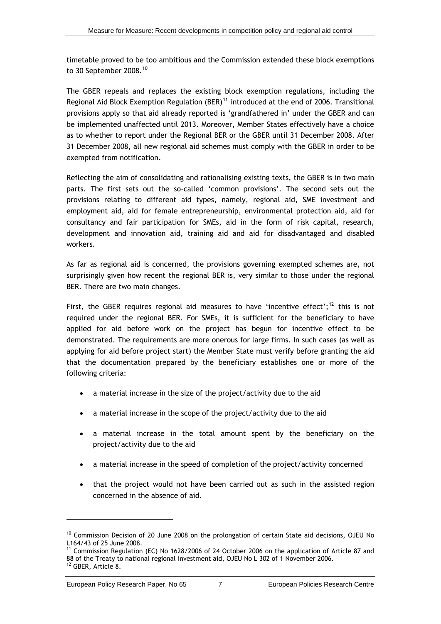<span id="page-12-0"></span>timetable proved to be too ambitious and the Commission extended these block exemptions to 30 September 2008.<sup>[10](#page-12-0)</sup>

The GBER repeals and replaces the existing block exemption regulations, including the Regional Aid Block Exemption Regulation (BER)<sup>[11](#page-12-0)</sup> introduced at the end of 2006. Transitional provisions apply so that aid already reported is 'grandfathered in' under the GBER and can be implemented unaffected until 2013. Moreover, Member States effectively have a choice as to whether to report under the Regional BER or the GBER until 31 December 2008. After 31 December 2008, all new regional aid schemes must comply with the GBER in order to be exempted from notification.

Reflecting the aim of consolidating and rationalising existing texts, the GBER is in two main parts. The first sets out the so-called 'common provisions'. The second sets out the provisions relating to different aid types, namely, regional aid, SME investment and employment aid, aid for female entrepreneurship, environmental protection aid, aid for consultancy and fair participation for SMEs, aid in the form of risk capital, research, development and innovation aid, training aid and aid for disadvantaged and disabled workers.

As far as regional aid is concerned, the provisions governing exempted schemes are, not surprisingly given how recent the regional BER is, very similar to those under the regional BER. There are two main changes.

First, the GBER requires regional aid measures to have 'incentive effect';<sup>[12](#page-12-0)</sup> this is not required under the regional BER. For SMEs, it is sufficient for the beneficiary to have applied for aid before work on the project has begun for incentive effect to be demonstrated. The requirements are more onerous for large firms. In such cases (as well as applying for aid before project start) the Member State must verify before granting the aid that the documentation prepared by the beneficiary establishes one or more of the following criteria:

- a material increase in the size of the project/activity due to the aid
- a material increase in the scope of the project/activity due to the aid
- a material increase in the total amount spent by the beneficiary on the project/activity due to the aid
- a material increase in the speed of completion of the project/activity concerned
- that the project would not have been carried out as such in the assisted region concerned in the absence of aid.

 $10$  Commission Decision of 20 June 2008 on the prolongation of certain State aid decisions, OJEU No L164/43 of 25 June 2008.

<sup>&</sup>lt;sup>11</sup> Commission Regulation (EC) No 1628/2006 of 24 October 2006 on the application of Article 87 and 88 of the Treaty to national regional investment aid, OJEU No L 302 of 1 November 2006. 12 GBER, Article 8.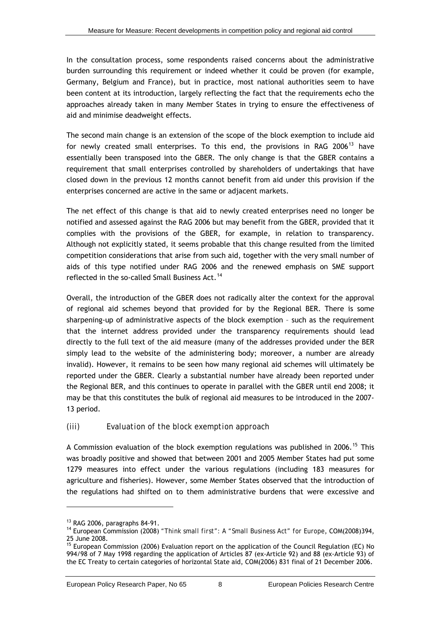<span id="page-13-0"></span>In the consultation process, some respondents raised concerns about the administrative burden surrounding this requirement or indeed whether it could be proven (for example, Germany, Belgium and France), but in practice, most national authorities seem to have been content at its introduction, largely reflecting the fact that the requirements echo the approaches already taken in many Member States in trying to ensure the effectiveness of aid and minimise deadweight effects.

The second main change is an extension of the scope of the block exemption to include aid for newly created small enterprises. To this end, the provisions in RAG 2006 $^{13}$  $^{13}$  $^{13}$  have essentially been transposed into the GBER. The only change is that the GBER contains a requirement that small enterprises controlled by shareholders of undertakings that have closed down in the previous 12 months cannot benefit from aid under this provision if the enterprises concerned are active in the same or adjacent markets.

The net effect of this change is that aid to newly created enterprises need no longer be notified and assessed against the RAG 2006 but may benefit from the GBER, provided that it complies with the provisions of the GBER, for example, in relation to transparency. Although not explicitly stated, it seems probable that this change resulted from the limited competition considerations that arise from such aid, together with the very small number of aids of this type notified under RAG 2006 and the renewed emphasis on SME support reflected in the so-called Small Business Act.<sup>[14](#page-13-0)</sup>

Overall, the introduction of the GBER does not radically alter the context for the approval of regional aid schemes beyond that provided for by the Regional BER. There is some sharpening-up of administrative aspects of the block exemption – such as the requirement that the internet address provided under the transparency requirements should lead directly to the full text of the aid measure (many of the addresses provided under the BER simply lead to the website of the administering body; moreover, a number are already invalid). However, it remains to be seen how many regional aid schemes will ultimately be reported under the GBER. Clearly a substantial number have already been reported under the Regional BER, and this continues to operate in parallel with the GBER until end 2008; it may be that this constitutes the bulk of regional aid measures to be introduced in the 2007- 13 period.

### *(iii) Evaluation of the block exemption approach*

A Commission evaluation of the block exemption regulations was published in 2006.<sup>[15](#page-13-0)</sup> This was broadly positive and showed that between 2001 and 2005 Member States had put some 1279 measures into effect under the various regulations (including 183 measures for agriculture and fisheries). However, some Member States observed that the introduction of the regulations had shifted on to them administrative burdens that were excessive and

<sup>13</sup> RAG 2006, paragraphs 84-91.

<sup>14</sup> European Commission (2008) *"Think small first": A "Small Business Act" for Europe*, COM(2008)394, 25 June 2008.

<sup>&</sup>lt;sup>15</sup> European Commission (2006) Evaluation report on the application of the Council Regulation (EC) No 994/98 of 7 May 1998 regarding the application of Articles 87 (ex-Article 92) and 88 (ex-Article 93) of the EC Treaty to certain categories of horizontal State aid, COM(2006) 831 final of 21 December 2006.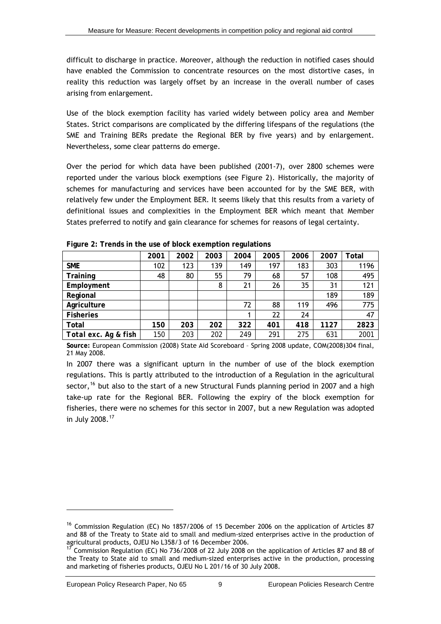<span id="page-14-1"></span>difficult to discharge in practice. Moreover, although the reduction in notified cases should have enabled the Commission to concentrate resources on the most distortive cases, in reality this reduction was largely offset by an increase in the overall number of cases arising from enlargement.

Use of the block exemption facility has varied widely between policy area and Member States. Strict comparisons are complicated by the differing lifespans of the regulations (the SME and Training BERs predate the Regional BER by five years) and by enlargement. Nevertheless, some clear patterns do emerge.

Over the period for which data have been published (2001-7), over 2800 schemes were reported under the various block exemptions (see [Figure 2](#page-14-0)). Historically, the majority of schemes for manufacturing and services have been accounted for by the SME BER, with relatively few under the Employment BER. It seems likely that this results from a variety of definitional issues and complexities in the Employment BER which meant that Member States preferred to notify and gain clearance for schemes for reasons of legal certainty.

<span id="page-14-0"></span>

|                      | 2001       | 2002 | 2003 | 2004 | 2005 | 2006 | 2007 | Total |
|----------------------|------------|------|------|------|------|------|------|-------|
| <b>SME</b>           | 102        | 123  | 139  | 149  | 197  | 183  | 303  | 1196  |
| Training             | 48         | 80   | 55   | 79   | 68   | 57   | 108  | 495   |
| Employment           |            |      | 8    | 21   | 26   | 35   | 31   | 121   |
| Regional             |            |      |      |      |      |      | 189  | 189   |
| Agriculture          |            |      |      | 72   | 88   | 119  | 496  | 775   |
| <b>Fisheries</b>     |            |      |      |      | 22   | 24   |      | 47    |
| Total                | 150        | 203  | 202  | 322  | 401  | 418  | 1127 | 2823  |
| Total exc. Ag & fish | <i>150</i> | 203  | 202  | 249  | 291  | 275  | 631  | 2001  |

**Figure 2: Trends in the use of block exemption regulations** 

**Source:** European Commission (2008) State Aid Scoreboard – Spring 2008 update, COM(2008)304 final, 21 May 2008.

In 2007 there was a significant upturn in the number of use of the block exemption regulations. This is partly attributed to the introduction of a Regulation in the agricultural sector,  $16$  but also to the start of a new Structural Funds planning period in 2007 and a high take-up rate for the Regional BER. Following the expiry of the block exemption for fisheries, there were no schemes for this sector in 2007, but a new Regulation was adopted in July 2008.[17](#page-14-1)

<sup>&</sup>lt;sup>16</sup> Commission Regulation (EC) No 1857/2006 of 15 December 2006 on the application of Articles 87 and 88 of the Treaty to State aid to small and medium-sized enterprises active in the production of agricultural products, OJEU No L358/3 of 16 December 2006.

<sup>17</sup> Commission Regulation (EC) No 736/2008 of 22 July 2008 on the application of Articles 87 and 88 of the Treaty to State aid to small and medium-sized enterprises active in the production, processing and marketing of fisheries products, OJEU No L 201/16 of 30 July 2008.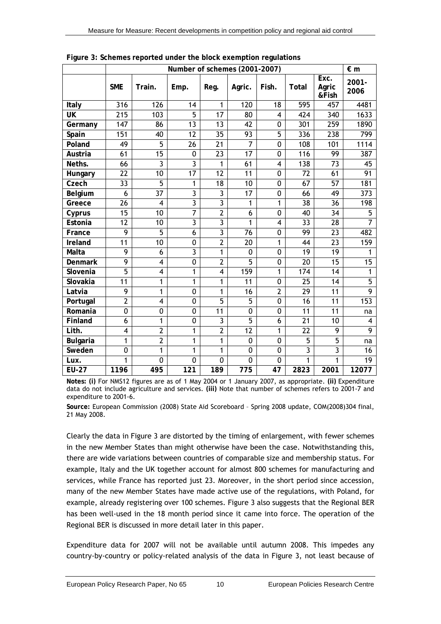<span id="page-15-0"></span>

|                 |                |                         | Number of schemes (2001-2007) |                 |                |                |                 |                        | $\epsilon$ m   |
|-----------------|----------------|-------------------------|-------------------------------|-----------------|----------------|----------------|-----------------|------------------------|----------------|
|                 | <b>SME</b>     | Train.                  | Emp.                          | Reg.            | Agric.         | Fish.          | Total           | Exc.<br>Agric<br>&Fish | 2001-<br>2006  |
| Italy           | 316            | 126                     | 14                            | 1               | 120            | 18             | 595             | 457                    | 4481           |
| <b>UK</b>       | 215            | 103                     | $\overline{5}$                | 17              | 80             | $\overline{4}$ | 424             | 340                    | 1633           |
| Germany         | 147            | 86                      | 13                            | 13              | 42             | 0              | 301             | 259                    | 1890           |
| Spain           | 151            | 40                      | 12                            | 35              | 93             | 5              | 336             | 238                    | 799            |
| Poland          | 49             | 5                       | 26                            | $\overline{21}$ | $\overline{7}$ | $\mathbf 0$    | 108             | 101                    | 1114           |
| Austria         | 61             | 15                      | $\pmb{0}$                     | $\overline{23}$ | 17             | 0              | 116             | 99                     | 387            |
| Neths.          | 66             | $\overline{3}$          | $\overline{3}$                | 1               | 61             | 4              | 138             | 73                     | 45             |
| Hungary         | 22             | 10                      | 17                            | 12              | 11             | $\mathbf 0$    | 72              | 61                     | 91             |
| Czech           | 33             | $\overline{5}$          | 1                             | 18              | 10             | 0              | 67              | 57                     | 181            |
| Belgium         | 6              | 37                      | 3                             | 3               | 17             | 0              | 66              | 49                     | 373            |
| Greece          | 26             | $\overline{4}$          | $\overline{3}$                | 3               | 1              | 1              | 38              | 36                     | 198            |
| Cyprus          | 15             | $\overline{10}$         | 7                             | $\overline{2}$  | 6              | $\overline{0}$ | 40              | $\overline{34}$        | $\overline{5}$ |
| Estonia         | 12             | 10                      | 3                             | 3               | 1              | 4              | 33              | 28                     | $\overline{7}$ |
| France          | 9              | $\overline{5}$          | 6                             | $\overline{3}$  | 76             | $\mathbf 0$    | 99              | 23                     | 482            |
| Ireland         | 11             | 10                      | 0                             | $\overline{2}$  | 20             | 1              | 44              | 23                     | 159            |
| Malta           | 9              | 6                       | 3                             | 1               | 0              | 0              | 19              | 19                     | 1              |
| <b>Denmark</b>  | 9              | 4                       | 0                             | $\overline{2}$  | $\overline{5}$ | $\mathbf 0$    | 20              | 15                     | 15             |
| Slovenia        | $\overline{5}$ | $\overline{\mathbf{4}}$ | 1                             | 4               | 159            | 1              | 174             | 14                     | $\mathbf{1}$   |
| Slovakia        | 11             | 1                       | $\mathbf{1}$                  | 1               | 11             | $\mathbf 0$    | 25              | 14                     | 5              |
| Latvia          | 9              | $\mathbf{1}$            | $\mathbf 0$                   | 1               | 16             | $\overline{2}$ | $\overline{29}$ | 11                     | $\overline{9}$ |
| Portugal        | $\overline{2}$ | $\overline{\mathbf{4}}$ | 0                             | $\overline{5}$  | 5              | 0              | 16              | 11                     | 153            |
| Romania         | 0              | 0                       | 0                             | $\overline{11}$ | 0              | $\mathbf 0$    | $\overline{11}$ | $\overline{11}$        | na             |
| Finland         | 6              | 1                       | 0                             | 3               | $\overline{5}$ | 6              | 21              | 10                     | 4              |
| Lith.           | 4              | $\overline{2}$          | 1                             | $\overline{2}$  | 12             | 1              | 22              | 9                      | 9              |
| <b>Bulgaria</b> | $\mathbf{1}$   | $\overline{2}$          | $\mathbf{1}$                  | $\mathbf{1}$    | 0              | $\mathbf 0$    | 5               | 5                      | na             |
| Sweden          | 0              | 1                       | 1                             | 1               | 0              | 0              | $\overline{3}$  | 3                      | 16             |
| Lux.            | 1              | $\mathbf{0}$            | 0                             | 0               | $\mathbf{0}$   | $\mathbf 0$    | 1               | 1                      | 19             |
| <b>EU-27</b>    | 1196           | 495                     | 121                           | 189             | 775            | 47             | 2823            | 2001                   | 12077          |

**Figure 3: Schemes reported under the block exemption regulations** 

**Notes: (i)** For NMS12 figures are as of 1 May 2004 or 1 January 2007, as appropriate. **(ii)** Expenditure data do not include agriculture and services. **(iii)** Note that number of schemes refers to 2001-7 and expenditure to 2001-6.

**Source:** European Commission (2008) State Aid Scoreboard – Spring 2008 update, COM(2008)304 final, 21 May 2008.

Clearly the data in [Figure 3](#page-15-0) are distorted by the timing of enlargement, with fewer schemes in the new Member States than might otherwise have been the case. Notwithstanding this, there are wide variations between countries of comparable size and membership status. For example, Italy and the UK together account for almost 800 schemes for manufacturing and services, while France has reported just 23. Moreover, in the short period since accession, many of the new Member States have made active use of the regulations, with Poland, for example, already registering over 100 schemes. [Figure 3](#page-15-0) also suggests that the Regional BER has been well-used in the 18 month period since it came into force. The operation of the Regional BER is discussed in more detail later in this paper.

Expenditure data for 2007 will not be available until autumn 2008. This impedes any country-by-country or policy-related analysis of the data in [Figure 3](#page-15-0), not least because of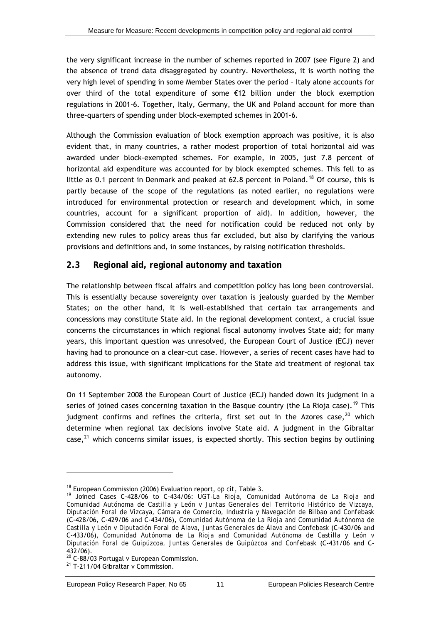<span id="page-16-0"></span>the very significant increase in the number of schemes reported in 2007 (see [Figure 2](#page-14-0)) and the absence of trend data disaggregated by country. Nevertheless, it is worth noting the very high level of spending in some Member States over the period – Italy alone accounts for over third of the total expenditure of some €12 billion under the block exemption regulations in 2001-6. Together, Italy, Germany, the UK and Poland account for more than three-quarters of spending under block-exempted schemes in 2001-6.

Although the Commission evaluation of block exemption approach was positive, it is also evident that, in many countries, a rather modest proportion of total horizontal aid was awarded under block-exempted schemes. For example, in 2005, just 7.8 percent of horizontal aid expenditure was accounted for by block exempted schemes. This fell to as little as 0.1 percent in Denmark and peaked at 62.8 percent in Poland.<sup>[18](#page-16-0)</sup> Of course, this is partly because of the scope of the regulations (as noted earlier, no regulations were introduced for environmental protection or research and development which, in some countries, account for a significant proportion of aid). In addition, however, the Commission considered that the need for notification could be reduced not only by extending new rules to policy areas thus far excluded, but also by clarifying the various provisions and definitions and, in some instances, by raising notification thresholds.

### **2.3 Regional aid, regional autonomy and taxation**

The relationship between fiscal affairs and competition policy has long been controversial. This is essentially because sovereignty over taxation is jealously guarded by the Member States; on the other hand, it is well-established that certain tax arrangements and concessions may constitute State aid. In the regional development context, a crucial issue concerns the circumstances in which regional fiscal autonomy involves State aid; for many years, this important question was unresolved, the European Court of Justice (ECJ) never having had to pronounce on a clear-cut case. However, a series of recent cases have had to address this issue, with significant implications for the State aid treatment of regional tax autonomy.

On 11 September 2008 the European Court of Justice (ECJ) handed down its judgment in a series of joined cases concerning taxation in the Basque country (the La Rioja case).<sup>[19](#page-16-0)</sup> This judgment confirms and refines the criteria, first set out in the Azores case,  $20$  which determine when regional tax decisions involve State aid. A judgment in the Gibraltar case, $^{21}$  $^{21}$  $^{21}$  which concerns similar issues, is expected shortly. This section begins by outlining

<sup>&</sup>lt;sup>18</sup> European Commission (2006) Evaluation report, *op cit*, Table 3.<br><sup>19</sup> Joined Cases C-428/06 to C-434/06: *UGT-La Rioja, Comunidad Autónoma de La Rioja and Comunidad Autónoma de Castilla y León v Juntas Generales del Territorio Histórico de Vizcaya, Diputación Foral de Vizcaya, Cámara de Comercio, Industria y Navegación de Bilbao and Confebask* (C-428/06, C-429/06 and C-434/06), *Comunidad Autónoma de La Rioja and Comunidad Autónoma de Castilla y León v Diputación Foral de Álava, Juntas Generales de Álava and Confebask* (C-430/06 and C-433/06), *Comunidad Autónoma de La Rioja and Comunidad Autónoma de Castilla y León v Diputación Foral de Guipúzcoa, Juntas Generales de Guipúzcoa and Confebask* (C-431/06 and C-432/06).

 $20$  C-88/03 Portugal v European Commission.

<sup>&</sup>lt;sup>21</sup> T-211/04 Gibraltar v Commission.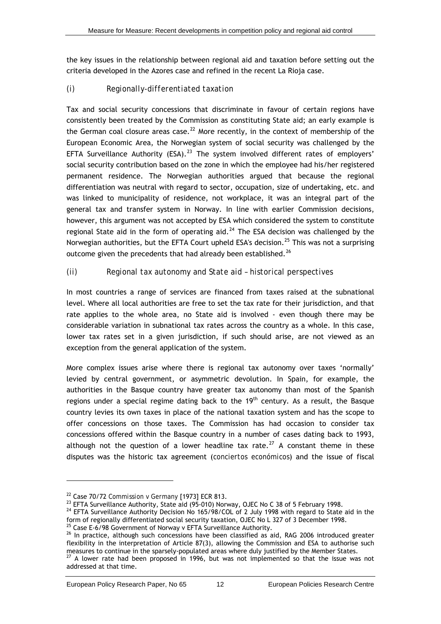<span id="page-17-0"></span>the key issues in the relationship between regional aid and taxation before setting out the criteria developed in the Azores case and refined in the recent La Rioja case.

### *(i) Regionally-differentiated taxation*

Tax and social security concessions that discriminate in favour of certain regions have consistently been treated by the Commission as constituting State aid; an early example is the German coal closure areas case.<sup>[22](#page-17-0)</sup> More recently, in the context of membership of the European Economic Area, the Norwegian system of social security was challenged by the EFTA Surveillance Authority (ESA).<sup>[23](#page-17-0)</sup> The system involved different rates of employers' social security contribution based on the zone in which the employee had his/her registered permanent residence. The Norwegian authorities argued that because the regional differentiation was neutral with regard to sector, occupation, size of undertaking, etc. and was linked to municipality of residence, not workplace, it was an integral part of the general tax and transfer system in Norway. In line with earlier Commission decisions, however, this argument was not accepted by ESA which considered the system to constitute regional State aid in the form of operating aid.<sup>[24](#page-17-0)</sup> The ESA decision was challenged by the Norwegian authorities, but the EFTA Court upheld ESA's decision.<sup>[25](#page-17-0)</sup> This was not a surprising outcome given the precedents that had already been established.<sup>[26](#page-17-0)</sup>

### *(ii) Regional tax autonomy and State aid – historical perspectives*

In most countries a range of services are financed from taxes raised at the subnational level. Where all local authorities are free to set the tax rate for their jurisdiction, and that rate applies to the whole area, no State aid is involved - even though there may be considerable variation in subnational tax rates across the country as a whole. In this case, lower tax rates set in a given jurisdiction, if such should arise, are not viewed as an exception from the general application of the system.

More complex issues arise where there is regional tax autonomy over taxes 'normally' levied by central government, or asymmetric devolution. In Spain, for example, the authorities in the Basque country have greater tax autonomy than most of the Spanish regions under a special regime dating back to the  $19<sup>th</sup>$  century. As a result, the Basque country levies its own taxes in place of the national taxation system and has the scope to offer concessions on those taxes. The Commission has had occasion to consider tax concessions offered within the Basque country in a number of cases dating back to 1993, although not the question of a lower headline tax rate.<sup>[27](#page-17-0)</sup> A constant theme in these disputes was the historic tax agreement (*conciertos económicos*) and the issue of fiscal

<sup>25</sup> Case E-6/98 Government of Norway v EFTA Surveillance Authority.

<sup>&</sup>lt;sup>22</sup> Case 70/72 *Commission v Germany* [1973] ECR 813.<br><sup>23</sup> EFTA Surveillance Authority, State aid (95-010) Norway, OJEC No C 38 of 5 February 1998.

 $24$  EFTA Surveillance Authority Decision No 165/98/COL of 2 July 1998 with regard to State aid in the form of regionally differentiated social security taxation, OJEC No L 327 of 3 December 1998.

<sup>&</sup>lt;sup>26</sup> In practice, although such concessions have been classified as aid, RAG 2006 introduced greater flexibility in the interpretation of Article 87(3), allowing the Commission and ESA to authorise such measures to continue in the sparsely-populated areas where duly justified by the Member States.

<sup>27</sup> A lower rate had been proposed in 1996, but was not implemented so that the issue was not addressed at that time.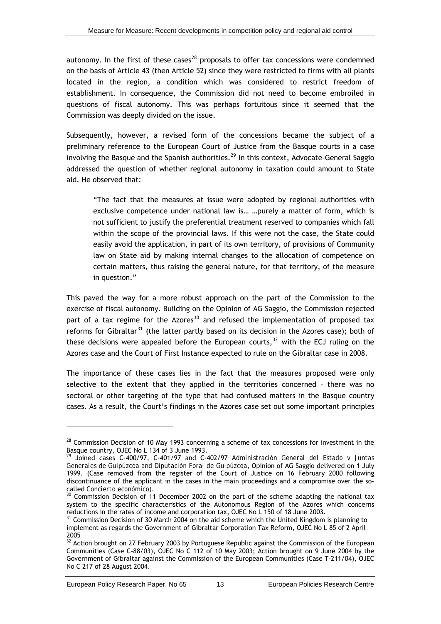<span id="page-18-0"></span>autonomy. In the first of these cases<sup>[28](#page-18-0)</sup> proposals to offer tax concessions were condemned on the basis of Article 43 (then Article 52) since they were restricted to firms with all plants located in the region, a condition which was considered to restrict freedom of establishment. In consequence, the Commission did not need to become embroiled in questions of fiscal autonomy. This was perhaps fortuitous since it seemed that the Commission was deeply divided on the issue.

Subsequently, however, a revised form of the concessions became the subject of a preliminary reference to the European Court of Justice from the Basque courts in a case involving the Basque and the Spanish authorities.<sup>[29](#page-18-0)</sup> In this context, Advocate-General Saggio addressed the question of whether regional autonomy in taxation could amount to State aid. He observed that:

"The fact that the measures at issue were adopted by regional authorities with exclusive competence under national law is… …purely a matter of form, which is not sufficient to justify the preferential treatment reserved to companies which fall within the scope of the provincial laws. If this were not the case, the State could easily avoid the application, in part of its own territory, of provisions of Community law on State aid by making internal changes to the allocation of competence on certain matters, thus raising the general nature, for that territory, of the measure in question."

This paved the way for a more robust approach on the part of the Commission to the exercise of fiscal autonomy. Building on the Opinion of AG Saggio, the Commission rejected part of a tax regime for the Azores<sup>[30](#page-18-0)</sup> and refused the implementation of proposed tax reforms for Gibraltar<sup>[31](#page-18-0)</sup> (the latter partly based on its decision in the Azores case); both of these decisions were appealed before the European courts,  $32$  with the ECJ ruling on the Azores case and the Court of First Instance expected to rule on the Gibraltar case in 2008.

The importance of these cases lies in the fact that the measures proposed were only selective to the extent that they applied in the territories concerned – there was no sectoral or other targeting of the type that had confused matters in the Basque country cases. As a result, the Court's findings in the Azores case set out some important principles

<sup>&</sup>lt;sup>28</sup> Commission Decision of 10 May 1993 concerning a scheme of tax concessions for investment in the Basque country, OJEC No L 134 of 3 June 1993.

<sup>29</sup> Joined cases C-400/97, C-401/97 and C-402/97 *Administración General del Estado v Juntas Generales de Guipúzcoa and Diputación Foral de Guipúzcoa*, Opinion of AG Saggio delivered on 1 July 1999. (Case removed from the register of the Court of Justice on 16 February 2000 following discontinuance of the applicant in the cases in the main proceedings and a compromise over the so-

called *Concierto económico*).<br><sup>30</sup> Commission Decision of 11 December 2002 on the part of the scheme adapting the national tax system to the specific characteristics of the Autonomous Region of the Azores which concerns reductions in the rates of income and corporation tax, OJEC No L 150 of 18 June 2003.

 $31$  Commission Decision of 30 March 2004 on the aid scheme which the United Kingdom is planning to implement as regards the Government of Gibraltar Corporation Tax Reform, OJEC No L 85 of 2 April 2005

<sup>32</sup> Action brought on 27 February 2003 by Portuguese Republic against the Commission of the European Communities (Case C-88/03), OJEC No C 112 of 10 May 2003; Action brought on 9 June 2004 by the Government of Gibraltar against the Commission of the European Communities (Case T-211/04), OJEC No C 217 of 28 August 2004.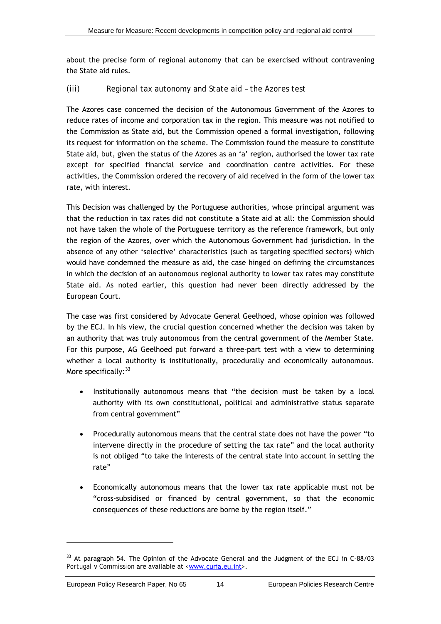<span id="page-19-0"></span>about the precise form of regional autonomy that can be exercised without contravening the State aid rules.

#### *(iii) Regional tax autonomy and State aid – the Azores test*

The Azores case concerned the decision of the Autonomous Government of the Azores to reduce rates of income and corporation tax in the region. This measure was not notified to the Commission as State aid, but the Commission opened a formal investigation, following its request for information on the scheme. The Commission found the measure to constitute State aid, but, given the status of the Azores as an 'a' region, authorised the lower tax rate *except* for specified financial service and coordination centre activities. For these activities, the Commission ordered the recovery of aid received in the form of the lower tax rate, with interest.

This Decision was challenged by the Portuguese authorities, whose principal argument was that the reduction in tax rates did not constitute a State aid at all: the Commission should not have taken the whole of the Portuguese territory as the reference framework, but only the region of the Azores, over which the Autonomous Government had jurisdiction. In the absence of any other 'selective' characteristics (such as targeting specified sectors) which would have condemned the measure as aid, the case hinged on defining the circumstances in which the decision of an autonomous regional authority to lower tax rates may constitute State aid. As noted earlier, this question had never been directly addressed by the European Court.

The case was first considered by Advocate General Geelhoed, whose opinion was followed by the ECJ. In his view, the crucial question concerned whether the decision was taken by an authority that was truly autonomous from the central government of the Member State. For this purpose, AG Geelhoed put forward a three-part test with a view to determining whether a local authority is institutionally, procedurally and economically autonomous. More specifically:  $33$ 

- Institutionally autonomous means that "the decision must be taken by a local authority with its own constitutional, political and administrative status separate from central government"
- Procedurally autonomous means that the central state does not have the power "to intervene directly in the procedure of setting the tax rate" and the local authority is not obliged "to take the interests of the central state into account in setting the rate"
- Economically autonomous means that the lower tax rate applicable must not be "cross-subsidised or financed by central government, so that the economic consequences of these reductions are borne by the region itself."

<sup>&</sup>lt;sup>33</sup> At paragraph 54. The Opinion of the Advocate General and the Judgment of the ECJ in C-88/03 *Portugal v Commission* are available at [<www.curia.eu.int](http://www.curia.eu.int/)>.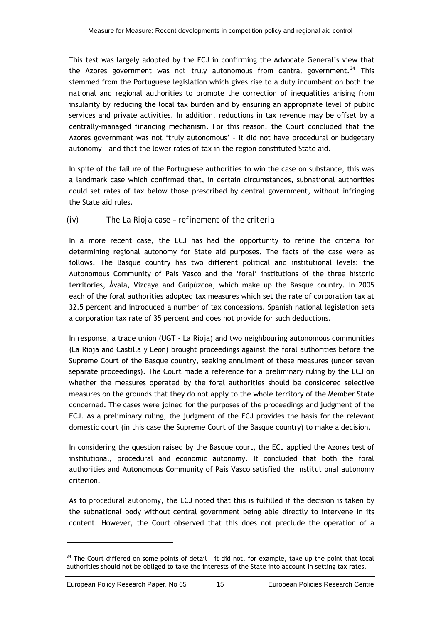<span id="page-20-0"></span>This test was largely adopted by the ECJ in confirming the Advocate General's view that the Azores government was *not* truly autonomous from central government.<sup>[34](#page-20-0)</sup> This stemmed from the Portuguese legislation which gives rise to a duty incumbent on both the national and regional authorities to promote the correction of inequalities arising from insularity by reducing the local tax burden and by ensuring an appropriate level of public services and private activities. In addition, reductions in tax revenue may be offset by a centrally-managed financing mechanism. For this reason, the Court concluded that the Azores government was not 'truly autonomous' – it did not have procedural or budgetary autonomy - and that the lower rates of tax in the region constituted State aid.

In spite of the failure of the Portuguese authorities to win the case on substance, this was a landmark case which confirmed that, in certain circumstances, subnational authorities could set rates of tax below those prescribed by central government, without infringing the State aid rules.

### *(iv) The La Rioja case – refinement of the criteria*

In a more recent case, the ECJ has had the opportunity to refine the criteria for determining regional autonomy for State aid purposes. The facts of the case were as follows. The Basque country has two different political and institutional levels: the Autonomous Community of País Vasco and the 'foral' institutions of the three historic territories, Ávala, Vizcaya and Guipúzcoa, which make up the Basque country. In 2005 each of the foral authorities adopted tax measures which set the rate of corporation tax at 32.5 percent and introduced a number of tax concessions. Spanish national legislation sets a corporation tax rate of 35 percent and does not provide for such deductions.

In response, a trade union (UGT - La Rioja) and two neighbouring autonomous communities (La Rioja and Castilla y León) brought proceedings against the foral authorities before the Supreme Court of the Basque country, seeking annulment of these measures (under seven separate proceedings). The Court made a reference for a preliminary ruling by the ECJ on whether the measures operated by the foral authorities should be considered selective measures on the grounds that they do not apply to the whole territory of the Member State concerned. The cases were joined for the purposes of the proceedings and judgment of the ECJ. As a preliminary ruling, the judgment of the ECJ provides the basis for the relevant domestic court (in this case the Supreme Court of the Basque country) to make a decision.

In considering the question raised by the Basque court, the ECJ applied the Azores test of institutional, procedural and economic autonomy. It concluded that both the foral authorities and Autonomous Community of País Vasco satisfied the *institutional autonomy* criterion.

As to *procedural autonomy*, the ECJ noted that this is fulfilled if the decision is taken by the subnational body without central government being able directly to intervene in its content. However, the Court observed that this does not preclude the operation of a

<sup>&</sup>lt;sup>34</sup> The Court differed on some points of detail - it did not, for example, take up the point that local authorities should not be obliged to take the interests of the State into account in setting tax rates.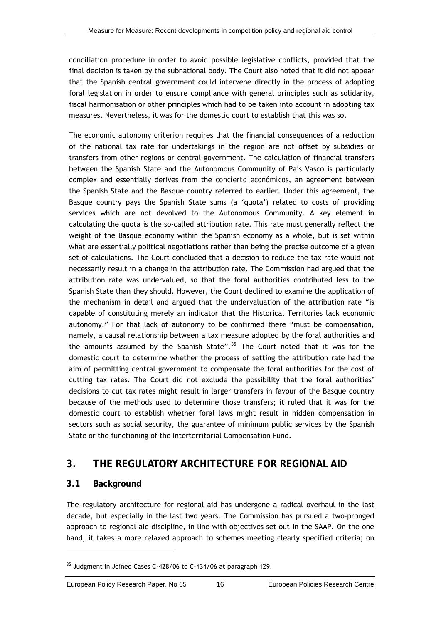<span id="page-21-0"></span>conciliation procedure in order to avoid possible legislative conflicts, provided that the final decision is taken by the subnational body. The Court also noted that it did not appear that the Spanish central government could intervene directly in the process of adopting foral legislation in order to ensure compliance with general principles such as solidarity, fiscal harmonisation or other principles which had to be taken into account in adopting tax measures. Nevertheless, it was for the domestic court to establish that this was so.

The *economic autonomy criterion* requires that the financial consequences of a reduction of the national tax rate for undertakings in the region are not offset by subsidies or transfers from other regions or central government. The calculation of financial transfers between the Spanish State and the Autonomous Community of País Vasco is particularly complex and essentially derives from the *concierto económicos*, an agreement between the Spanish State and the Basque country referred to earlier. Under this agreement, the Basque country pays the Spanish State sums (a 'quota') related to costs of providing services which are not devolved to the Autonomous Community. A key element in calculating the quota is the so-called attribution rate. This rate must generally reflect the weight of the Basque economy within the Spanish economy as a whole, but is set within what are essentially political negotiations rather than being the precise outcome of a given set of calculations. The Court concluded that a decision to reduce the tax rate would not necessarily result in a change in the attribution rate. The Commission had argued that the attribution rate was undervalued, so that the foral authorities contributed less to the Spanish State than they should. However, the Court declined to examine the application of the mechanism in detail and argued that the undervaluation of the attribution rate "is capable of constituting merely an indicator that the Historical Territories lack economic autonomy." For that lack of autonomy to be confirmed there "must be compensation, namely, a causal relationship between a tax measure adopted by the foral authorities and the amounts assumed by the Spanish State".<sup>[35](#page-21-0)</sup> The Court noted that it was for the domestic court to determine whether the process of setting the attribution rate had the aim of permitting central government to compensate the foral authorities for the cost of cutting tax rates. The Court did not exclude the possibility that the foral authorities' decisions to cut tax rates might result in larger transfers in favour of the Basque country because of the methods used to determine those transfers; it ruled that it was for the domestic court to establish whether foral laws might result in hidden compensation in sectors such as social security, the guarantee of minimum public services by the Spanish State or the functioning of the Interterritorial Compensation Fund.

### **3. THE REGULATORY ARCHITECTURE FOR REGIONAL AID**

### **3.1 Background**

l

The regulatory architecture for regional aid has undergone a radical overhaul in the last decade, but especially in the last two years. The Commission has pursued a two-pronged approach to regional aid discipline, in line with objectives set out in the SAAP. On the one hand, it takes a more relaxed approach to schemes meeting clearly specified criteria; on

<sup>&</sup>lt;sup>35</sup> Judgment in Joined Cases C-428/06 to C-434/06 at paragraph 129.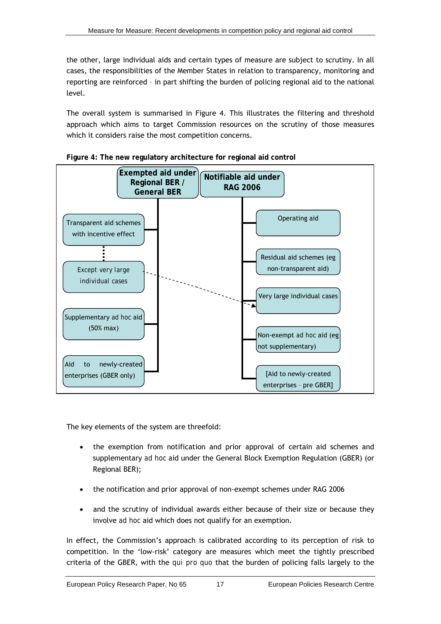the other, large individual aids and certain types of measure are subject to scrutiny. In all cases, the responsibilities of the Member States in relation to transparency, monitoring and reporting are reinforced – in part shifting the burden of policing regional aid to the national level.

The overall system is summarised in [Figure 4.](#page-22-0) This illustrates the filtering and threshold approach which aims to target Commission resources on the scrutiny of those measures which it considers raise the most competition concerns.

<span id="page-22-0"></span>



The key elements of the system are threefold:

- the exemption from notification and prior approval of certain aid schemes and supplementary *ad hoc* aid under the General Block Exemption Regulation (GBER) (or Regional BER);
- the notification and prior approval of non-exempt schemes under RAG 2006
- and the scrutiny of individual awards either because of their size or because they involve *ad hoc* aid which does not qualify for an exemption.

In effect, the Commission's approach is calibrated according to its perception of risk to competition. In the 'low-risk' category are measures which meet the tightly prescribed criteria of the GBER, with the *qui pro quo* that the burden of policing falls largely to the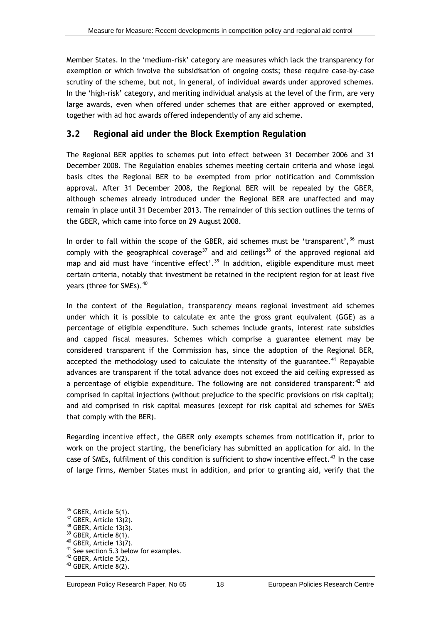<span id="page-23-0"></span>Member States. In the 'medium-risk' category are measures which lack the transparency for exemption or which involve the subsidisation of ongoing costs; these require case-by-case scrutiny of the scheme, but not, in general, of individual awards under approved schemes. In the 'high-risk' category, and meriting individual analysis at the level of the firm, are very large awards, even when offered under schemes that are either approved or exempted, together with *ad hoc* awards offered independently of any aid scheme.

### **3.2 Regional aid under the Block Exemption Regulation**

The Regional BER applies to schemes put into effect between 31 December 2006 and 31 December 2008. The Regulation enables schemes meeting certain criteria and whose legal basis cites the Regional BER to be exempted from prior notification and Commission approval. After 31 December 2008, the Regional BER will be repealed by the GBER, although schemes already introduced under the Regional BER are unaffected and may remain in place until 31 December 2013. The remainder of this section outlines the terms of the GBER, which came into force on 29 August 2008.

In order to fall within the scope of the GBER, aid schemes must be 'transparent',  $36$  must comply with the geographical coverage<sup>[37](#page-23-0)</sup> and aid ceilings<sup>[38](#page-23-0)</sup> of the approved regional aid map and aid must have 'incentive effect'.<sup>[39](#page-23-0)</sup> In addition, eligible expenditure must meet certain criteria, notably that investment be retained in the recipient region for at least five years (three for SMEs).<sup>40</sup>

In the context of the Regulation, *transparency* means regional investment aid schemes under which it is possible to calculate *ex ante* the gross grant equivalent (GGE) as a percentage of eligible expenditure. Such schemes include grants, interest rate subsidies and capped fiscal measures. Schemes which comprise a guarantee element may be considered transparent if the Commission has, since the adoption of the Regional BER, accepted the methodology used to calculate the intensity of the guarantee.<sup>[41](#page-23-0)</sup> Repayable advances are transparent if the total advance does not exceed the aid ceiling expressed as a percentage of eligible expenditure. The following are not considered transparent:<sup>[42](#page-23-0)</sup> aid comprised in capital injections (without prejudice to the specific provisions on risk capital); and aid comprised in risk capital measures (except for risk capital aid schemes for SMEs that comply with the BER).

Regarding *incentive effect*, the GBER only exempts schemes from notification if, prior to work on the project starting, the beneficiary has submitted an application for aid. In the case of SMEs, fulfilment of this condition is sufficient to show incentive effect.<sup>[43](#page-23-0)</sup> In the case of large firms, Member States must in addition, and prior to granting aid, verify that the

<sup>&</sup>lt;sup>36</sup> GBER, Article 5(1).

<sup>&</sup>lt;sup>37</sup> GBER, Article 13(2).

<sup>&</sup>lt;sup>38</sup> GBER, Article 13(3).

<sup>39</sup> GBER, Article 8(1).

 $40$  GBER, Article 13(7).

<sup>&</sup>lt;sup>41</sup> See section 5.3 below for examples.

<sup>42</sup> GBER, Article 5(2).

<sup>43</sup> GBER, Article 8(2).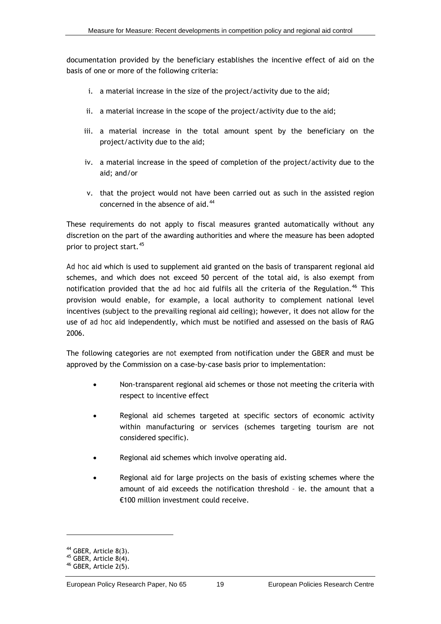<span id="page-24-0"></span>documentation provided by the beneficiary establishes the incentive effect of aid on the basis of one or more of the following criteria:

- i. a material increase in the size of the project/activity due to the aid;
- ii. a material increase in the scope of the project/activity due to the aid;
- iii. a material increase in the total amount spent by the beneficiary on the project/activity due to the aid;
- iv. a material increase in the speed of completion of the project/activity due to the aid; and/or
- v. that the project would not have been carried out as such in the assisted region concerned in the absence of aid. $44$

These requirements do not apply to fiscal measures granted automatically without any discretion on the part of the awarding authorities and where the measure has been adopted prior to project start.<sup>[45](#page-24-0)</sup>

*Ad hoc* aid which is used to supplement aid granted on the basis of transparent regional aid schemes, and which does not exceed 50 percent of the total aid, is also exempt from notification provided that the *ad hoc* aid fulfils all the criteria of the Regulation.<sup>[46](#page-24-0)</sup> This provision would enable, for example, a local authority to complement national level incentives (subject to the prevailing regional aid ceiling); however, it does not allow for the use of *ad hoc* aid independently, which must be notified and assessed on the basis of RAG 2006.

The following categories are *not* exempted from notification under the GBER and must be approved by the Commission on a case-by-case basis prior to implementation:

- Non-transparent regional aid schemes or those not meeting the criteria with respect to incentive effect
- Regional aid schemes targeted at specific sectors of economic activity within manufacturing or services (schemes targeting tourism are not considered specific).
- Regional aid schemes which involve operating aid.
- Regional aid for large projects on the basis of existing schemes where the amount of aid exceeds the notification threshold – ie. the amount that a €100 million investment could receive.

<sup>44</sup> GBER, Article 8(3).

 $45$  GBER, Article 8(4).

<sup>46</sup> GBER, Article 2(5).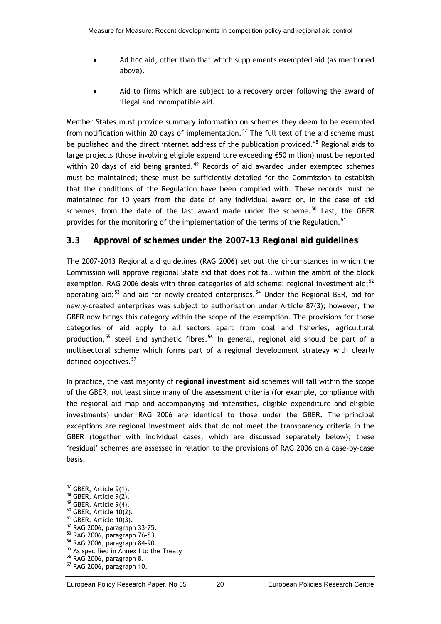- <span id="page-25-0"></span>Ad hoc aid, other than that which supplements exempted aid (as mentioned above).
- Aid to firms which are subject to a recovery order following the award of illegal and incompatible aid.

Member States must provide summary information on schemes they deem to be exempted from notification within 20 days of implementation.<sup>[47](#page-25-0)</sup> The full text of the aid scheme must be published and the direct internet address of the publication provided.<sup>[48](#page-25-0)</sup> Regional aids to large projects (those involving eligible expenditure exceeding €50 million) must be reported within 20 days of aid being granted.<sup>[49](#page-25-0)</sup> Records of aid awarded under exempted schemes must be maintained; these must be sufficiently detailed for the Commission to establish that the conditions of the Regulation have been complied with. These records must be maintained for 10 years from the date of any individual award or, in the case of aid schemes, from the date of the last award made under the scheme.<sup>[50](#page-25-0)</sup> Last, the GBER provides for the monitoring of the implementation of the terms of the Regulation.<sup>[51](#page-25-0)</sup>

### **3.3 Approval of schemes under the 2007-13 Regional aid guidelines**

The 2007-2013 Regional aid guidelines (RAG 2006) set out the circumstances in which the Commission will approve regional State aid that does not fall within the ambit of the block exemption. RAG 2006 deals with three categories of aid scheme: regional investment aid: $52$ operating aid;<sup>[53](#page-25-0)</sup> and aid for newly-created enterprises.<sup>[54](#page-25-0)</sup> Under the Regional BER, aid for newly-created enterprises was subject to authorisation under Article 87(3); however, the GBER now brings this category within the scope of the exemption. The provisions for those categories of aid apply to all sectors apart from coal and fisheries, agricultural production,  $55$  steel and synthetic fibres.  $56$  In general, regional aid should be part of a multisectoral scheme which forms part of a regional development strategy with clearly defined objectives.<sup>[57](#page-25-0)</sup>

In practice, the vast majority of *regional investment aid* schemes will fall within the scope of the GBER, not least since many of the assessment criteria (for example, compliance with the regional aid map and accompanying aid intensities, eligible expenditure and eligible investments) under RAG 2006 are identical to those under the GBER. The principal exceptions are regional investment aids that do not meet the transparency criteria in the GBER (together with individual cases, which are discussed separately below); these 'residual' schemes are assessed in relation to the provisions of RAG 2006 on a case-by-case basis.

<sup>47</sup> GBER, Article 9(1).

<sup>48</sup> GBER, Article 9(2).

 $49$  GBER, Article 9(4).

 $50$  GBER, Article 10(2).

 $51$  GBER, Article 10(3).

<sup>52</sup> RAG 2006, paragraph 33-75. 53 RAG 2006, paragraph 76-83.

<sup>54</sup> RAG 2006, paragraph 84-90.

<sup>55</sup> As specified in Annex I to the Treaty

<sup>56</sup> RAG 2006, paragraph 8.

<sup>57</sup> RAG 2006, paragraph 10.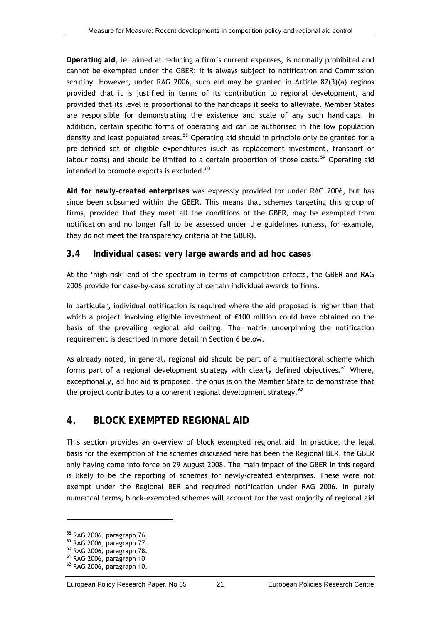<span id="page-26-0"></span>*Operating aid*, ie. aimed at reducing a firm's current expenses, is normally prohibited and cannot be exempted under the GBER; it is always subject to notification and Commission scrutiny. However, under RAG 2006, such aid may be granted in Article  $87(3)(a)$  regions provided that it is justified in terms of its contribution to regional development, and provided that its level is proportional to the handicaps it seeks to alleviate. Member States are responsible for demonstrating the existence and scale of any such handicaps. In addition, certain specific forms of operating aid can be authorised in the low population density and least populated areas.<sup>[58](#page-26-0)</sup> Operating aid should in principle only be granted for a pre-defined set of eligible expenditures (such as replacement investment, transport or labour costs) and should be limited to a certain proportion of those costs.<sup>[59](#page-26-0)</sup> Operating aid intended to promote exports is excluded.<sup>[60](#page-26-0)</sup>

*Aid for newly-created enterprises* was expressly provided for under RAG 2006, but has since been subsumed within the GBER. This means that schemes targeting this group of firms, provided that they meet all the conditions of the GBER, may be exempted from notification and no longer fall to be assessed under the guidelines (unless, for example, they do not meet the transparency criteria of the GBER).

### **3.4 Individual cases: very large awards and ad hoc cases**

At the 'high-risk' end of the spectrum in terms of competition effects, the GBER and RAG 2006 provide for case-by-case scrutiny of certain individual awards to firms.

In particular, individual notification is required where the aid proposed is higher than that which a project involving eligible investment of €100 million could have obtained on the basis of the prevailing regional aid ceiling. The matrix underpinning the notification requirement is described in more detail in Section [6 below.](#page-39-1)

As already noted, in general, regional aid should be part of a multisectoral scheme which forms part of a regional development strategy with clearly defined objectives.<sup>[61](#page-26-0)</sup> Where, exceptionally, *ad hoc* aid is proposed, the onus is on the Member State to demonstrate that the project contributes to a coherent regional development strategy. $62$ 

### **4. BLOCK EXEMPTED REGIONAL AID**

This section provides an overview of block exempted regional aid. In practice, the legal basis for the exemption of the schemes discussed here has been the Regional BER, the GBER only having come into force on 29 August 2008. The main impact of the GBER in this regard is likely to be the reporting of schemes for newly-created enterprises. These were not exempt under the Regional BER and required notification under RAG 2006. In purely numerical terms, block-exempted schemes will account for the vast majority of regional aid

<sup>58</sup> RAG 2006, paragraph 76.

<sup>59</sup> RAG 2006, paragraph 77.

<sup>60</sup> RAG 2006, paragraph 78.

<sup>61</sup> RAG 2006, paragraph 10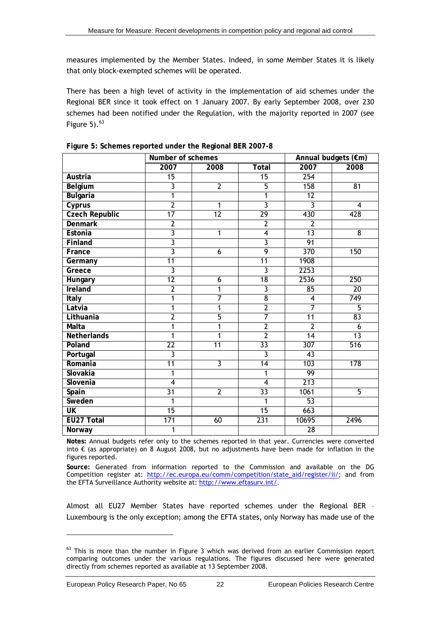<span id="page-27-0"></span>measures implemented by the Member States. Indeed, in some Member States it is likely that only block-exempted schemes will be operated.

There has been a high level of activity in the implementation of aid schemes under the Regional BER since it took effect on 1 January 2007. By early September 2008, over 230 schemes had been notified under the Regulation, with the majority reported in 2007 (see Figure  $5)$ .  $63$ 

<span id="page-27-1"></span>

|                          | Number of schemes       |                 |                 | Annual budgets (€m)     |                  |  |
|--------------------------|-------------------------|-----------------|-----------------|-------------------------|------------------|--|
|                          | 2007                    | 2008            | <b>Total</b>    | 2007                    | 2008             |  |
| Austria                  | 15                      |                 | $\overline{15}$ | $\overline{254}$        |                  |  |
| Belgium                  | 3                       | $\overline{2}$  | $\overline{5}$  | 158                     | 81               |  |
| <b>Bulgaria</b>          | 1                       |                 | 1               | $\overline{12}$         |                  |  |
| Cyprus                   | $\overline{2}$          | 1               | $\overline{3}$  | $\overline{3}$          | 4                |  |
| <b>Czech Republic</b>    | $\overline{17}$         | $\overline{12}$ | 29              | 430                     | 428              |  |
| <b>Denmark</b>           | $\overline{2}$          |                 | $\overline{2}$  | $\overline{2}$          |                  |  |
| Estonia                  | $\overline{3}$          | 1               | $\overline{4}$  | 13                      | $\overline{8}$   |  |
| Finland                  | $\overline{3}$          |                 | 3               | 91                      |                  |  |
| France                   | $\overline{3}$          | 6               | $\overline{9}$  | 370                     | 150              |  |
| Germany                  | 11                      |                 | $\overline{11}$ | 1908                    |                  |  |
| Greece                   | $\overline{3}$          |                 | 3               | 2253                    |                  |  |
| Hungary                  | 12                      | $\overline{6}$  | 18              | 2536                    | 250              |  |
| Ireland                  | $\overline{2}$          | 1               | $\overline{3}$  | $\overline{85}$         | 20               |  |
| Italy                    | 1                       | $\overline{7}$  | $\overline{8}$  | $\overline{\mathbf{4}}$ | 749              |  |
| Latvia                   | $\overline{1}$          | 1               | $\overline{2}$  | $\overline{7}$          | $\overline{5}$   |  |
| Lithuania                | $\overline{2}$          | $\overline{5}$  | $\overline{7}$  | 11                      | 83               |  |
| Malta                    | $\overline{1}$          | 1               | $\overline{2}$  | $\overline{2}$          | 6                |  |
| Netherlands              | $\overline{1}$          | $\overline{1}$  | $\overline{2}$  | 14                      | 13               |  |
| Poland                   | $\overline{22}$         | 11              | $\overline{33}$ | $\overline{307}$        | $\overline{516}$ |  |
| Portugal                 | $\overline{\mathbf{3}}$ |                 | $\overline{3}$  | $\overline{43}$         |                  |  |
| Romania                  | $\overline{11}$         | $\overline{3}$  | $\overline{14}$ | 103                     | 178              |  |
| Slovakia                 | 1                       |                 | 1               | 99                      |                  |  |
| Slovenia                 | $\overline{4}$          |                 | $\overline{4}$  | 213                     |                  |  |
| Spain                    | $\overline{31}$         | $\overline{2}$  | $\overline{33}$ | $\frac{1061}{100}$      | $\overline{5}$   |  |
| Sweden                   | 1                       |                 | 1               | 53                      |                  |  |
| $\overline{\mathsf{UK}}$ | $\overline{15}$         |                 | $\overline{15}$ | 663                     |                  |  |
| EU27 Total               | 171                     | 60              | 231             | 10695                   | 2496             |  |
| Norway                   | 1                       |                 |                 | 28                      |                  |  |

**Figure 5: Schemes reported under the Regional BER 2007-8** 

**Notes:** Annual budgets refer only to the schemes reported in that year. Currencies were converted into € (as appropriate) on 8 August 2008, but no adjustments have been made for inflation in the figures reported.

**Source:** Generated from information reported to the Commission and available on the DG Competition register at: [http://ec.europa.eu/comm/competition/state\\_aid/register/ii/](http://ec.europa.eu/comm/competition/state_aid/register/ii/); and from the EFTA Surveillance Authority website at:<http://www.eftasurv.int/>.

Almost all EU27 Member States have reported schemes under the Regional BER – Luxembourg is the only exception; among the EFTA states, only Norway has made use of the

 $63$  This is more than the number in Figure 3 which was derived from an earlier Commission report comparing outcomes under the various regulations. The figures discussed here were generated directly from schemes reported as available at 13 September 2008.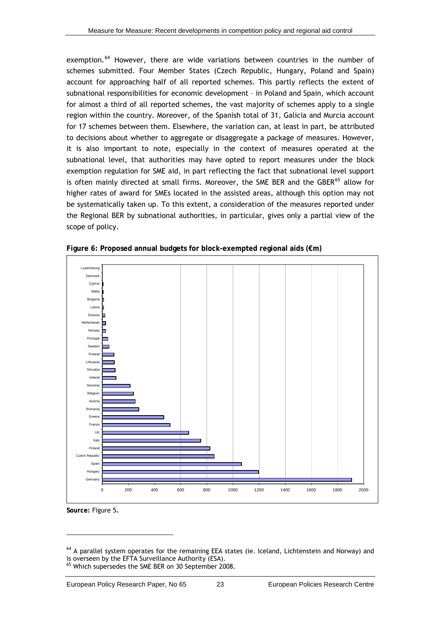<span id="page-28-0"></span>exemption.<sup>[64](#page-28-0)</sup> However, there are wide variations between countries in the number of schemes submitted. Four Member States (Czech Republic, Hungary, Poland and Spain) account for approaching half of all reported schemes. This partly reflects the extent of subnational responsibilities for economic development – in Poland and Spain, which account for almost a third of all reported schemes, the vast majority of schemes apply to a single region within the country. Moreover, of the Spanish total of 31, Galicia and Murcia account for 17 schemes between them. Elsewhere, the variation can, at least in part, be attributed to decisions about whether to aggregate or disaggregate a package of measures. However, it is also important to note, especially in the context of measures operated at the subnational level, that authorities may have opted to report measures under the block exemption regulation for SME aid, in part reflecting the fact that subnational level support is often mainly directed at small firms. Moreover, the SME BER and the GBER<sup>[65](#page-28-0)</sup> allow for higher rates of award for SMEs located in the assisted areas, although this option may not be systematically taken up. To this extent, a consideration of the measures reported under the Regional BER by subnational authorities, in particular, gives only a partial view of the scope of policy.



**Figure 6: Proposed annual budgets for block-exempted regional aids (€m)** 

**Source:** [Figure 5](#page-27-1)**.**

<sup>&</sup>lt;sup>64</sup> A parallel system operates for the remaining EEA states (ie. Iceland, Lichtenstein and Norway) and is overseen by the EFTA Surveillance Authority (ESA). <sup>65</sup> Which supersedes the SME BER on 30 September 2008.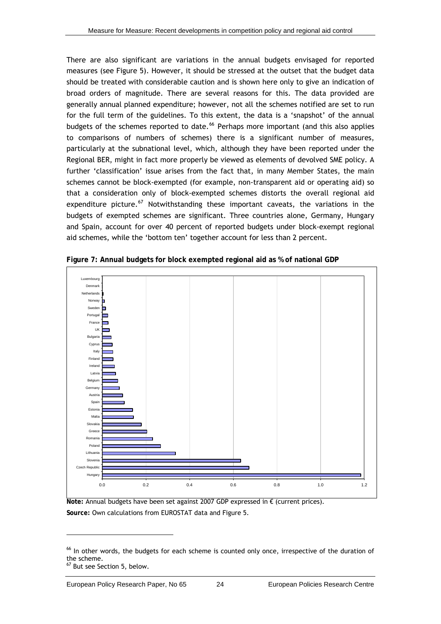<span id="page-29-0"></span>There are also significant are variations in the annual budgets envisaged for reported measures (see [Figure 5\)](#page-27-1). However, it should be stressed at the outset that the budget data should be treated with considerable caution and is shown here only to give an indication of broad orders of magnitude. There are several reasons for this. The data provided are generally annual planned expenditure; however, not all the schemes notified are set to run for the full term of the guidelines. To this extent, the data is a 'snapshot' of the annual budgets of the schemes reported to date.<sup>[66](#page-29-0)</sup> Perhaps more important (and this also applies to comparisons of numbers of schemes) there is a significant number of measures, particularly at the subnational level, which, although they have been reported under the Regional BER, might in fact more properly be viewed as elements of devolved SME policy. A further 'classification' issue arises from the fact that, in many Member States, the main schemes cannot be block-exempted (for example, non-transparent aid or operating aid) so that a consideration only of block-exempted schemes distorts the overall regional aid expenditure picture.<sup>[67](#page-29-0)</sup> Notwithstanding these important caveats, the variations in the budgets of exempted schemes are significant. Three countries alone, Germany, Hungary and Spain, account for over 40 percent of reported budgets under block-exempt regional aid schemes, while the 'bottom ten' together account for less than 2 percent.

<span id="page-29-1"></span>

**Figure 7: Annual budgets for block exempted regional aid as % of national GDP** 

**Note:** Annual budgets have been set against 2007 GDP expressed in € (current prices). **Source:** Own calculations from EUROSTAT data and [Figure 5](#page-27-1).

<sup>&</sup>lt;sup>66</sup> In other words, the budgets for each scheme is counted only once, irrespective of the duration of the scheme.

But see Section 5, below.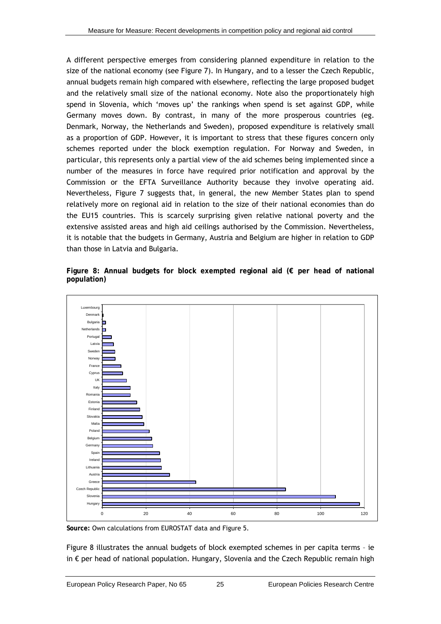A different perspective emerges from considering planned expenditure in relation to the size of the national economy (see [Figure 7\)](#page-29-1). In Hungary, and to a lesser the Czech Republic, annual budgets remain high compared with elsewhere, reflecting the large proposed budget and the relatively small size of the national economy. Note also the proportionately high spend in Slovenia, which 'moves up' the rankings when spend is set against GDP, while Germany moves down. By contrast, in many of the more prosperous countries (eg. Denmark, Norway, the Netherlands and Sweden), proposed expenditure is relatively small as a proportion of GDP. However, it is important to stress that these figures concern only schemes reported under the block exemption regulation. For Norway and Sweden, in particular, this represents only a partial view of the aid schemes being implemented since a number of the measures in force have required prior notification and approval by the Commission or the EFTA Surveillance Authority because they involve operating aid. Nevertheless, [Figure 7](#page-29-1) suggests that, in general, the new Member States plan to spend relatively more on regional aid in relation to the size of their national economies than do the EU15 countries. This is scarcely surprising given relative national poverty and the extensive assisted areas and high aid ceilings authorised by the Commission. Nevertheless, it is notable that the budgets in Germany, Austria and Belgium are higher in relation to GDP than those in Latvia and Bulgaria.

<span id="page-30-0"></span>**Figure 8: Annual budgets for block exempted regional aid (€ per head of national population)** 



**Source:** Own calculations from EUROSTAT data and [Figure 5](#page-27-1).

[Figure 8](#page-30-0) illustrates the annual budgets of block exempted schemes in per capita terms – ie in € per head of national population. Hungary, Slovenia and the Czech Republic remain high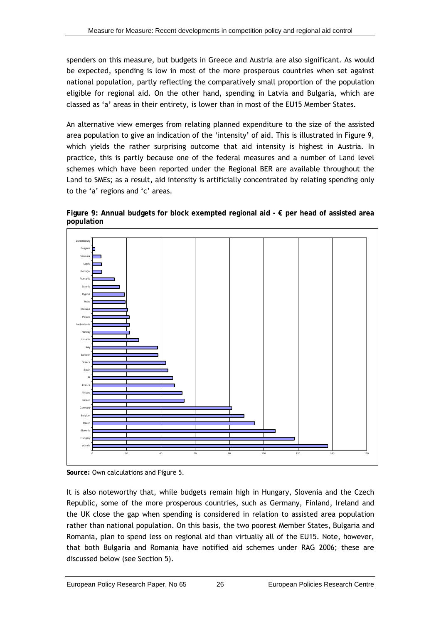spenders on this measure, but budgets in Greece and Austria are also significant. As would be expected, spending is low in most of the more prosperous countries when set against national population, partly reflecting the comparatively small proportion of the population eligible for regional aid. On the other hand, spending in Latvia and Bulgaria, which are classed as 'a' areas in their entirety, is lower than in most of the EU15 Member States.

An alternative view emerges from relating planned expenditure to the size of the assisted area population to give an indication of the 'intensity' of aid. This is illustrated in [Figure 9,](#page-31-0) which yields the rather surprising outcome that aid intensity is highest in Austria. In practice, this is partly because one of the federal measures and a number of *Land* level schemes which have been reported under the Regional BER are available throughout the *Land* to SMEs; as a result, aid intensity is artificially concentrated by relating spending only to the 'a' regions and 'c' areas.

<span id="page-31-0"></span>



**Source:** Own calculations and [Figure 5.](#page-27-1)

It is also noteworthy that, while budgets remain high in Hungary, Slovenia and the Czech Republic, some of the more prosperous countries, such as Germany, Finland, Ireland and the UK close the gap when spending is considered in relation to assisted area population rather than national population. On this basis, the two poorest Member States, Bulgaria and Romania, plan to spend less on regional aid than virtually all of the EU15. Note, however, that both Bulgaria and Romania have notified aid schemes under RAG 2006; these are discussed below (see Section [5](#page-32-1)).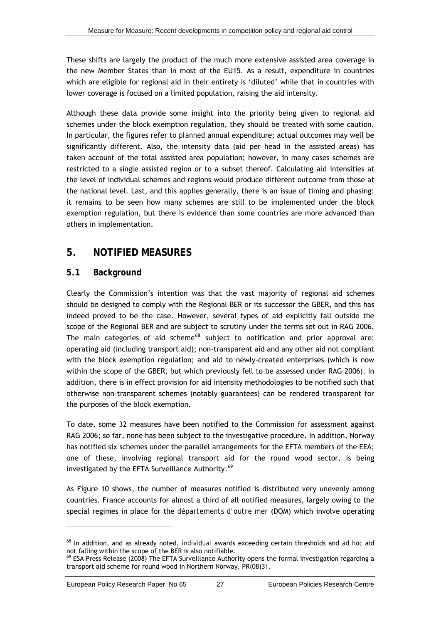<span id="page-32-0"></span>These shifts are largely the product of the much more extensive assisted area coverage in the new Member States than in most of the EU15. As a result, expenditure in countries which are eligible for regional aid in their entirety is 'diluted' while that in countries with lower coverage is focused on a limited population, raising the aid intensity.

Although these data provide some insight into the priority being given to regional aid schemes under the block exemption regulation, they should be treated with some caution. In particular, the figures refer to *planned* annual expenditure; actual outcomes may well be significantly different. Also, the intensity data (aid per head in the assisted areas) has taken account of the total assisted area population; however, in many cases schemes are restricted to a single assisted region or to a subset thereof. Calculating aid intensities at the level of individual schemes and regions would produce different outcome from those at the national level. Last, and this applies generally, there is an issue of timing and phasing: it remains to be seen how many schemes are still to be implemented under the block exemption regulation, but there is evidence than some countries are more advanced than others in implementation.

### <span id="page-32-1"></span>**5. NOTIFIED MEASURES**

### **5.1 Background**

Clearly the Commission's intention was that the vast majority of regional aid schemes should be designed to comply with the Regional BER or its successor the GBER, and this has indeed proved to be the case. However, several types of aid explicitly fall outside the scope of the Regional BER and are subject to scrutiny under the terms set out in RAG 2006. The main categories of aid *scheme*<sup>[68](#page-32-0)</sup> subject to notification and prior approval are: operating aid (including transport aid); non-transparent aid and any other aid not compliant with the block exemption regulation; and aid to newly-created enterprises (which is now within the scope of the GBER, but which previously fell to be assessed under RAG 2006). In addition, there is in effect provision for aid intensity methodologies to be notified such that otherwise non-transparent schemes (notably guarantees) can be rendered transparent for the purposes of the block exemption.

To date, some 32 measures have been notified to the Commission for assessment against RAG 2006; so far, none has been subject to the investigative procedure. In addition, Norway has notified six schemes under the parallel arrangements for the EFTA members of the EEA; one of these, involving regional transport aid for the round wood sector, is being investigated by the EFTA Surveillance Authority.<sup>[69](#page-32-0)</sup>

As [Figure 10](#page-33-1) shows, the number of measures notified is distributed very unevenly among countries. France accounts for almost a third of all notified measures, largely owing to the special regimes in place for the *départements d'outre mer* (DOM) which involve operating

<sup>68</sup> In addition, and as already noted, *individual* awards exceeding certain thresholds and *ad hoc* aid not falling within the scope of the BER is also notifiable.<br><sup>69</sup> ESA Press Release (2008) The EFTA Surveillance Authority opens the formal investigation regarding a

transport aid scheme for round wood in Northern Norway, PR(08)31.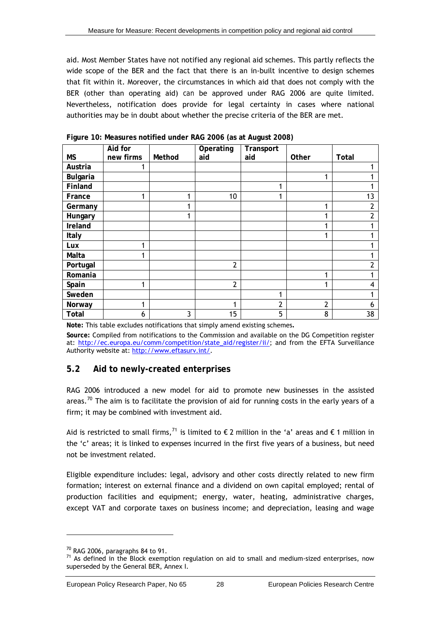<span id="page-33-0"></span>aid. Most Member States have not notified any regional aid schemes. This partly reflects the wide scope of the BER and the fact that there is an in-built incentive to design schemes that fit within it. Moreover, the circumstances in which aid that does not comply with the BER (other than operating aid) *can* be approved under RAG 2006 are quite limited. Nevertheless, notification does provide for legal certainty in cases where national authorities may be in doubt about whether the precise criteria of the BER are met.

<span id="page-33-1"></span>

| <b>MS</b>       | Aid for<br>new firms | Method | Operating<br>aid | Transport<br>aid | Other          | Total |
|-----------------|----------------------|--------|------------------|------------------|----------------|-------|
| Austria         |                      |        |                  |                  |                |       |
| <b>Bulgaria</b> |                      |        |                  |                  |                |       |
| Finland         |                      |        |                  | 1                |                |       |
| France          |                      |        | 10               | 1                |                | 13    |
| Germany         |                      |        |                  |                  |                | 2     |
| Hungary         |                      |        |                  |                  |                |       |
| Ireland         |                      |        |                  |                  |                |       |
| Italy           |                      |        |                  |                  |                |       |
| Lux             |                      |        |                  |                  |                |       |
| Malta           |                      |        |                  |                  |                |       |
| Portugal        |                      |        | $\overline{2}$   |                  |                |       |
| Romania         |                      |        |                  |                  |                |       |
| Spain           |                      |        | $\overline{2}$   |                  |                | 4     |
| Sweden          |                      |        |                  | 1                |                |       |
| Norway          | 1                    |        | 1                | $\overline{2}$   | $\overline{2}$ | h     |
| Total           | 6                    | 3      | 15               | 5                | 8              | 38    |

**Figure 10: Measures notified under RAG 2006 (as at August 2008)** 

**Note:** This table excludes notifications that simply amend existing schemes**.** 

**Source:** Compiled from notifications to the Commission and available on the DG Competition register at: [http://ec.europa.eu/comm/competition/state\\_aid/register/ii/](http://ec.europa.eu/comm/competition/state_aid/register/ii/); and from the EFTA Surveillance Authority website at: [http://www.eftasurv.int/.](http://www.eftasurv.int/)

### **5.2 Aid to newly-created enterprises**

RAG 2006 introduced a new model for aid to promote new businesses in the assisted areas.<sup>[70](#page-33-0)</sup> The aim is to facilitate the provision of aid for running costs in the early years of a firm; it may be combined with investment aid.

Aid is restricted to small firms,<sup>[71](#page-33-0)</sup> is limited to € 2 million in the 'a' areas and € 1 million in the 'c' areas; it is linked to expenses incurred in the first five years of a business, but need not be investment related.

Eligible expenditure includes: legal, advisory and other costs directly related to new firm formation; interest on external finance and a dividend on own capital employed; rental of production facilities and equipment; energy, water, heating, administrative charges, except VAT and corporate taxes on business income; and depreciation, leasing and wage

 $70$  RAG 2006, paragraphs 84 to 91.

 $71$  As defined in the Block exemption regulation on aid to small and medium-sized enterprises, now superseded by the General BER, Annex I.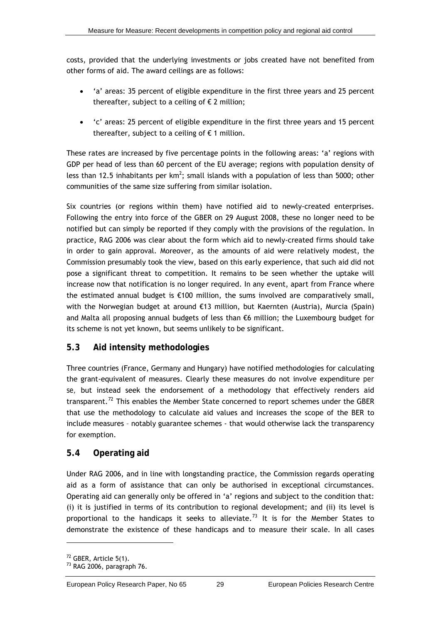<span id="page-34-0"></span>costs, provided that the underlying investments or jobs created have not benefited from other forms of aid. The award ceilings are as follows:

- 'a' areas: 35 percent of eligible expenditure in the first three years and 25 percent thereafter, subject to a ceiling of  $\epsilon$  2 million;
- 'c' areas: 25 percent of eligible expenditure in the first three years and 15 percent thereafter, subject to a ceiling of  $\epsilon$  1 million.

These rates are increased by five percentage points in the following areas: 'a' regions with GDP per head of less than 60 percent of the EU average; regions with population density of less than 12.5 inhabitants per km<sup>2</sup>; small islands with a population of less than 5000; other communities of the same size suffering from similar isolation.

Six countries (or regions within them) have notified aid to newly-created enterprises. Following the entry into force of the GBER on 29 August 2008, these no longer need to be notified but can simply be reported if they comply with the provisions of the regulation. In practice, RAG 2006 was clear about the form which aid to newly-created firms should take in order to gain approval. Moreover, as the amounts of aid were relatively modest, the Commission presumably took the view, based on this early experience, that such aid did not pose a significant threat to competition. It remains to be seen whether the uptake will increase now that notification is no longer required. In any event, apart from France where the estimated annual budget is  $£100$  million, the sums involved are comparatively small, with the Norwegian budget at around €13 million, but Kaernten (Austria), Murcia (Spain) and Malta all proposing annual budgets of less than €6 million; the Luxembourg budget for its scheme is not yet known, but seems unlikely to be significant.

### **5.3 Aid intensity methodologies**

Three countries (France, Germany and Hungary) have notified methodologies for calculating the grant-equivalent of measures. Clearly these measures do not involve expenditure *per se,* but instead seek the endorsement of a methodology that effectively renders aid transparent.<sup>[72](#page-34-0)</sup> This enables the Member State concerned to report schemes under the GBER that use the methodology to calculate aid values and increases the scope of the BER to include measures – notably guarantee schemes - that would otherwise lack the transparency for exemption.

### **5.4 Operating aid**

Under RAG 2006, and in line with longstanding practice, the Commission regards operating aid as a form of assistance that can only be authorised in exceptional circumstances. Operating aid can generally only be offered in 'a' regions and subject to the condition that: (i) it is justified in terms of its contribution to regional development; and (ii) its level is proportional to the handicaps it seeks to alleviate.<sup>[73](#page-34-0)</sup> It is for the Member States to demonstrate the existence of these handicaps and to measure their scale. In all cases

<sup>72</sup> GBER, Article 5(1).

<sup>73</sup> RAG 2006, paragraph 76.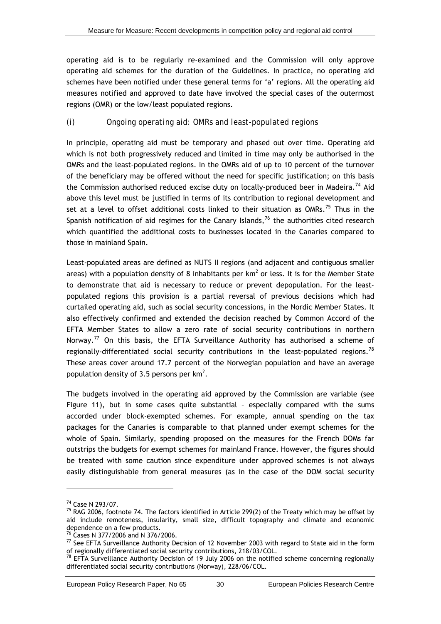<span id="page-35-0"></span>operating aid is to be regularly re-examined and the Commission will only approve operating aid schemes for the duration of the Guidelines. In practice, no operating aid schemes have been notified under these general terms for 'a' regions. All the operating aid measures notified and approved to date have involved the special cases of the outermost regions (OMR) or the low/least populated regions.

### *(i) Ongoing operating aid: OMRs and least-populated regions*

In principle, operating aid must be temporary and phased out over time. Operating aid which is *not* both progressively reduced and limited in time may only be authorised in the OMRs and the least-populated regions. In the OMRs aid of up to 10 percent of the turnover of the beneficiary may be offered without the need for specific justification; on this basis the Commission authorised reduced excise duty on locally-produced beer in Madeira.<sup>[74](#page-35-0)</sup> Aid above this level must be justified in terms of its contribution to regional development and set at a level to offset additional costs linked to their situation as OMRs.<sup>[75](#page-35-0)</sup> Thus in the Spanish notification of aid regimes for the Canary Islands,  $76$  the authorities cited research which quantified the additional costs to businesses located in the Canaries compared to those in mainland Spain.

Least-populated areas are defined as NUTS II regions (and adjacent and contiguous smaller areas) with a population density of 8 inhabitants per km<sup>2</sup> or less. It is for the Member State to demonstrate that aid is necessary to reduce or prevent depopulation. For the leastpopulated regions this provision is a partial reversal of previous decisions which had curtailed operating aid, such as social security concessions, in the Nordic Member States. It also effectively confirmed and extended the decision reached by Common Accord of the EFTA Member States to allow a zero rate of social security contributions in northern Norway.<sup>[77](#page-35-0)</sup> On this basis, the EFTA Surveillance Authority has authorised a scheme of regionally-differentiated social security contributions in the least-populated regions.<sup>[78](#page-35-0)</sup> These areas cover around 17.7 percent of the Norwegian population and have an average population density of 3.5 persons per  $km^2$ .

The budgets involved in the operating aid approved by the Commission are variable (see [Figure 11](#page-36-0)), but in some cases quite substantial – especially compared with the sums accorded under block-exempted schemes. For example, annual spending on the tax packages for the Canaries is comparable to that planned under exempt schemes for the whole of Spain. Similarly, spending proposed on the measures for the French DOMs far outstrips the budgets for exempt schemes for mainland France. However, the figures should be treated with some caution since expenditure under approved schemes is not always easily distinguishable from general measures (as in the case of the DOM social security

<sup>74</sup> Case N 293/07.

 $75$  RAG 2006, footnote 74. The factors identified in Article 299(2) of the Treaty which may be offset by aid include remoteness, insularity, small size, difficult topography and climate and economic dependence on a few products.

<sup>76</sup> Cases N 377/2006 and N 376/2006.

<sup>77</sup> See EFTA Surveillance Authority Decision of 12 November 2003 with regard to State aid in the form of regionally differentiated social security contributions, 218/03/COL.

 $^{78}$  EFTA Surveillance Authority Decision of 19 July 2006 on the notified scheme concerning regionally differentiated social security contributions (Norway), 228/06/COL.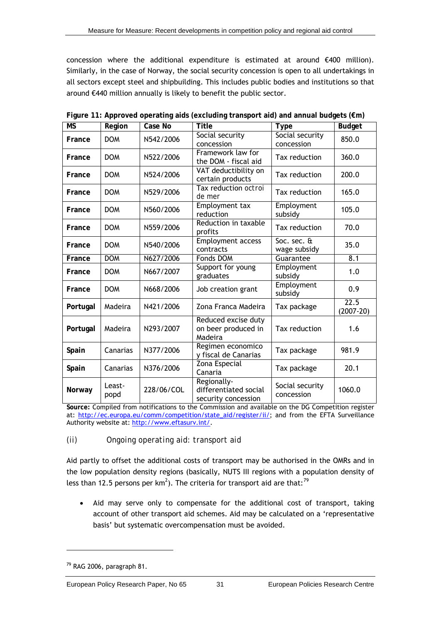<span id="page-36-1"></span>concession where the additional expenditure is estimated at around €400 million). Similarly, in the case of Norway, the social security concession is open to all undertakings in all sectors except steel and shipbuilding. This includes public bodies and institutions so that around €440 million annually is likely to benefit the public sector.

<span id="page-36-0"></span>

| $\overline{\mathsf{MS}}$ | Region         | Case No    | <b>Title</b>                                                | <b>Type</b>                              | <b>Budget</b>       |
|--------------------------|----------------|------------|-------------------------------------------------------------|------------------------------------------|---------------------|
| France                   | <b>DOM</b>     | N542/2006  | Social security<br>concession                               | Social security<br>concession            | 850.0               |
| France                   | <b>DOM</b>     | N522/2006  | Framework law for<br>the DOM - fiscal aid                   | Tax reduction                            | 360.0               |
| France                   | <b>DOM</b>     | N524/2006  | VAT deductibility on<br>certain products                    | Tax reduction                            | 200.0               |
| France                   | <b>DOM</b>     | N529/2006  | Tax reduction octroi<br>de mer                              | Tax reduction                            | 165.0               |
| France                   | <b>DOM</b>     | N560/2006  | Employment tax<br>reduction                                 | Employment<br>subsidy                    | 105.0               |
| France                   | <b>DOM</b>     | N559/2006  | Reduction in taxable<br>profits                             | Tax reduction                            | 70.0                |
| France                   | <b>DOM</b>     | N540/2006  | <b>Employment access</b><br>contracts                       | Soc. sec. $\overline{a}$<br>wage subsidy | 35.0                |
| France                   | <b>DOM</b>     | N627/2006  | Fonds DOM                                                   | Guarantee                                | 8.1                 |
| France                   | <b>DOM</b>     | N667/2007  | Support for young<br>graduates                              | Employment<br>subsidy                    | 1.0                 |
| France                   | <b>DOM</b>     | N668/2006  | Job creation grant                                          | Employment<br>subsidy                    | 0.9                 |
| Portugal                 | Madeira        | N421/2006  | Zona Franca Madeira                                         | Tax package                              | 22.5<br>$(2007-20)$ |
| Portugal                 | Madeira        | N293/2007  | Reduced excise duty<br>on beer produced in<br>Madeira       | Tax reduction                            | 1.6                 |
| Spain                    | Canarias       | N377/2006  | Regimen economico<br>y fiscal de Canarias                   | Tax package                              | 981.9               |
| Spain                    | Canarias       | N376/2006  | Zona Especial<br>Canaria                                    | Tax package                              | 20.1                |
| Norway                   | Least-<br>popd | 228/06/COL | Regionally-<br>differentiated social<br>security concession | Social security<br>concession            | 1060.0              |

**Figure 11: Approved operating aids (excluding transport aid) and annual budgets (€m)** 

**Source:** Compiled from notifications to the Commission and available on the DG Competition register at: [http://ec.europa.eu/comm/competition/state\\_aid/register/ii/](http://ec.europa.eu/comm/competition/state_aid/register/ii/); and from the EFTA Surveillance Authority website at: [http://www.eftasurv.int/.](http://www.eftasurv.int/)

### *(ii) Ongoing operating aid: transport aid*

Aid partly to offset the additional costs of transport may be authorised in the OMRs and in the low population density regions (basically, NUTS III regions with a population density of less than 12.5 persons per km<sup>2</sup>). The criteria for transport aid are that:<sup>[79](#page-36-1)</sup>

• Aid may serve only to compensate for the additional cost of transport, taking account of other transport aid schemes. Aid may be calculated on a 'representative basis' but systematic overcompensation must be avoided.

 $79$  RAG 2006, paragraph 81.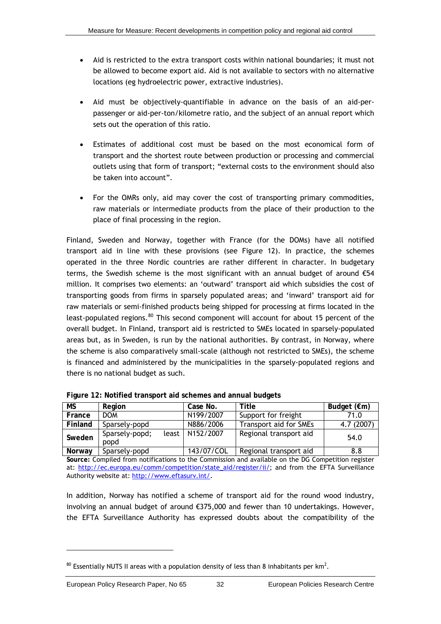- <span id="page-37-0"></span>• Aid is restricted to the extra transport costs within national boundaries; it must not be allowed to become export aid. Aid is not available to sectors with no alternative locations (eg hydroelectric power, extractive industries).
- Aid must be objectively-quantifiable in advance on the basis of an aid-perpassenger or aid-per-ton/kilometre ratio, and the subject of an annual report which sets out the operation of this ratio.
- Estimates of additional cost must be based on the most economical form of transport and the shortest route between production or processing and commercial outlets using that form of transport; "external costs to the environment should also be taken into account".
- For the OMRs only, aid may cover the cost of transporting primary commodities, raw materials or intermediate products from the place of their production to the place of final processing in the region.

Finland, Sweden and Norway, together with France (for the DOMs) have all notified transport aid in line with these provisions (see [Figure 12\)](#page-37-1). In practice, the schemes operated in the three Nordic countries are rather different in character. In budgetary terms, the Swedish scheme is the most significant with an annual budget of around €54 million. It comprises two elements: an 'outward' transport aid which subsidies the cost of transporting goods from firms in sparsely populated areas; and 'inward' transport aid for raw materials or semi-finished products being shipped for processing at firms located in the least-populated regions.<sup>[80](#page-37-0)</sup> This second component will account for about 15 percent of the overall budget. In Finland, transport aid is restricted to SMEs located in sparsely-populated areas but, as in Sweden, is run by the national authorities. By contrast, in Norway, where the scheme is also comparatively small-scale (although not restricted to SMEs), the scheme is financed and administered by the municipalities in the sparsely-populated regions and there is no national budget as such.

<span id="page-37-1"></span>

| МS      | Region                          | Case No.   | Title                  | Budget $(\epsilon m)$ |
|---------|---------------------------------|------------|------------------------|-----------------------|
| France  | <b>DOM</b>                      | N199/2007  | Support for freight    | 71.0                  |
| Finland | Sparsely-popd                   | N886/2006  | Transport aid for SMEs | 4.7 (2007)            |
| Sweden  | Sparsely-popd;<br>least<br>popd | N152/2007  | Regional transport aid | 54.0                  |
| Norway  | Sparsely-popd                   | 143/07/COL | Regional transport aid | 8.8                   |

**Figure 12: Notified transport aid schemes and annual budgets** 

**Source:** Compiled from notifications to the Commission and available on the DG Competition register at: [http://ec.europa.eu/comm/competition/state\\_aid/register/ii/](http://ec.europa.eu/comm/competition/state_aid/register/ii/); and from the EFTA Surveillance Authority website at: [http://www.eftasurv.int/.](http://www.eftasurv.int/)

In addition, Norway has notified a scheme of transport aid for the round wood industry, involving an annual budget of around €375,000 and fewer than 10 undertakings. However, the EFTA Surveillance Authority has expressed doubts about the compatibility of the

 $^{80}$  Essentially NUTS II areas with a population density of less than 8 inhabitants per km<sup>2</sup>.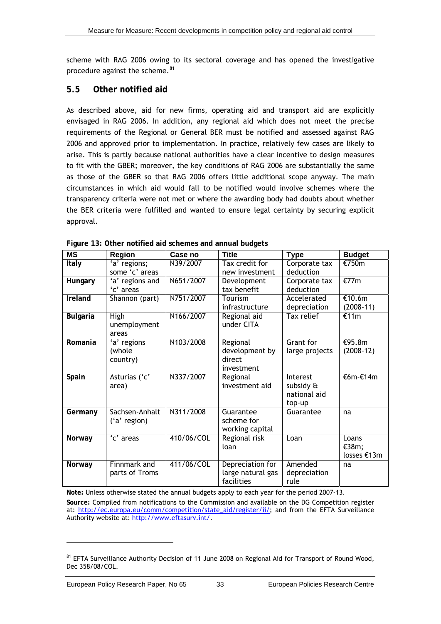<span id="page-38-0"></span>scheme with RAG 2006 owing to its sectoral coverage and has opened the investigative procedure against the scheme.<sup>[81](#page-38-0)</sup>

### **5.5 Other notified aid**

As described above, aid for new firms, operating aid and transport aid are explicitly envisaged in RAG 2006. In addition, any regional aid which does not meet the precise requirements of the Regional or General BER must be notified and assessed against RAG 2006 and approved prior to implementation. In practice, relatively few cases are likely to arise. This is partly because national authorities have a clear incentive to design measures to fit with the GBER; moreover, the key conditions of RAG 2006 are substantially the same as those of the GBER so that RAG 2006 offers little additional scope anyway. The main circumstances in which aid would fall to be notified would involve schemes where the transparency criteria were not met or where the awarding body had doubts about whether the BER criteria were fulfilled and wanted to ensure legal certainty by securing explicit approval.

<span id="page-38-1"></span>

| <b>MS</b>       | Region          | Case no    | Title             | <b>Type</b>    | <b>Budget</b> |
|-----------------|-----------------|------------|-------------------|----------------|---------------|
| Italy           | 'a' regions;    | N39/2007   | Tax credit for    | Corporate tax  | €750m         |
|                 | some 'c' areas  |            | new investment    | deduction      |               |
| Hungary         | 'a' regions and | N651/2007  | Development       | Corporate tax  | €77m          |
|                 | 'c' areas       |            | tax benefit       | deduction      |               |
| Ireland         | Shannon (part)  | N751/2007  | Tourism           | Accelerated    | €10.6m        |
|                 |                 |            | infrastructure    | depreciation   | $(2008-11)$   |
| <b>Bulgaria</b> | <b>High</b>     | N166/2007  | Regional aid      | Tax relief     | €11m          |
|                 | unemployment    |            | under CITA        |                |               |
|                 | areas           |            |                   |                |               |
| Romania         | 'a' regions     | N103/2008  | Regional          | Grant for      | €95.8m        |
|                 | (whole          |            | development by    | large projects | $(2008-12)$   |
|                 | country)        |            | direct            |                |               |
|                 |                 |            | investment        |                |               |
| Spain           | Asturias ('c'   | N337/2007  | Regional          | Interest       | €6m-€14m      |
|                 | area)           |            | investment aid    | subsidy &      |               |
|                 |                 |            |                   | national aid   |               |
|                 |                 |            |                   | top-up         |               |
| Germany         | Sachsen-Anhalt  | N311/2008  | Guarantee         | Guarantee      | na            |
|                 | ('a' region)    |            | scheme for        |                |               |
|                 |                 |            | working capital   |                |               |
| Norway          | 'c' areas       | 410/06/COL | Regional risk     | Loan           | Loans         |
|                 |                 |            | loan              |                | €38m;         |
|                 |                 |            |                   |                | losses €13m   |
| Norway          | Finnmark and    | 411/06/COL | Depreciation for  | Amended        | na            |
|                 | parts of Troms  |            | large natural gas | depreciation   |               |
|                 |                 |            | facilities        | rule           |               |

**Figure 13: Other notified aid schemes and annual budgets** 

**Note:** Unless otherwise stated the annual budgets apply to each year for the period 2007-13. **Source:** Compiled from notifications to the Commission and available on the DG Competition register at: [http://ec.europa.eu/comm/competition/state\\_aid/register/ii/](http://ec.europa.eu/comm/competition/state_aid/register/ii/); and from the EFTA Surveillance Authority website at: [http://www.eftasurv.int/.](http://www.eftasurv.int/)

<sup>81</sup> EFTA Surveillance Authority Decision of 11 June 2008 on Regional Aid for Transport of Round Wood, Dec 358/08/COL.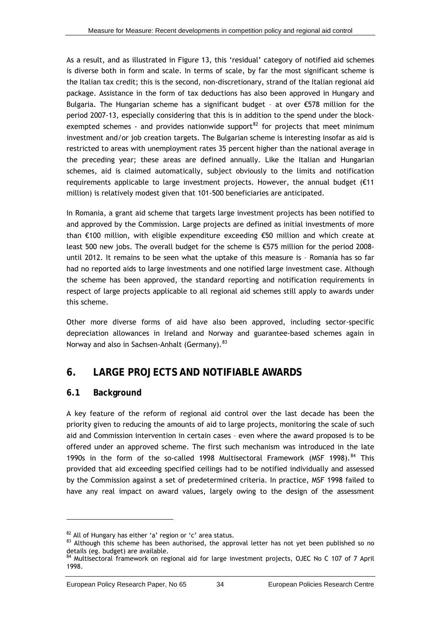<span id="page-39-0"></span>As a result, and as illustrated in [Figure 13,](#page-38-1) this 'residual' category of notified aid schemes is diverse both in form and scale. In terms of scale, by far the most significant scheme is the Italian tax credit; this is the second, non-discretionary, strand of the Italian regional aid package. Assistance in the form of tax deductions has also been approved in Hungary and Bulgaria. The Hungarian scheme has a significant budget – at over €578 million for the period 2007-13, especially considering that this is in addition to the spend under the block-exempted schemes - and provides nationwide support<sup>[82](#page-39-0)</sup> for projects that meet minimum investment and/or job creation targets. The Bulgarian scheme is interesting insofar as aid is restricted to areas with unemployment rates 35 percent higher than the national average in the preceding year; these areas are defined annually. Like the Italian and Hungarian schemes, aid is claimed automatically, subject obviously to the limits and notification requirements applicable to large investment projects. However, the annual budget  $(E11)$ million) is relatively modest given that 101-500 beneficiaries are anticipated.

In Romania, a grant aid scheme that targets large investment projects has been notified to and approved by the Commission. Large projects are defined as initial investments of more than €100 million, with eligible expenditure exceeding €50 million and which create at least 500 new jobs. The overall budget for the scheme is €575 million for the period 2008 until 2012. It remains to be seen what the uptake of this measure is – Romania has so far had no reported aids to large investments and one notified large investment case. Although the scheme has been approved, the standard reporting and notification requirements in respect of large projects applicable to all regional aid schemes still apply to awards under this scheme.

Other more diverse forms of aid have also been approved, including sector-specific depreciation allowances in Ireland and Norway and guarantee-based schemes again in Norway and also in Sachsen-Anhalt (Germany). [83](#page-39-0)

### <span id="page-39-1"></span>**6. LARGE PROJECTS AND NOTIFIABLE AWARDS**

### **6.1 Background**

l

A key feature of the reform of regional aid control over the last decade has been the priority given to reducing the amounts of aid to large projects, monitoring the scale of such aid and Commission intervention in certain cases – even where the award proposed is to be offered under an approved scheme. The first such mechanism was introduced in the late 1990s in the form of the so-called 1998 Multisectoral Framework (MSF 1998).<sup>[84](#page-39-0)</sup> This provided that aid exceeding specified ceilings had to be notified individually and assessed by the Commission against a set of predetermined criteria. In practice, MSF 1998 failed to have any real impact on award values, largely owing to the design of the assessment

<sup>&</sup>lt;sup>82</sup> All of Hungary has either 'a' region or 'c' area status.<br><sup>83</sup> Although this scheme has been authorised, the approval letter has not yet been published so no details (eg. budget) are available.

<sup>&</sup>lt;sup>4</sup> Multisectoral framework on regional aid for large investment projects, OJEC No C 107 of 7 April 1998.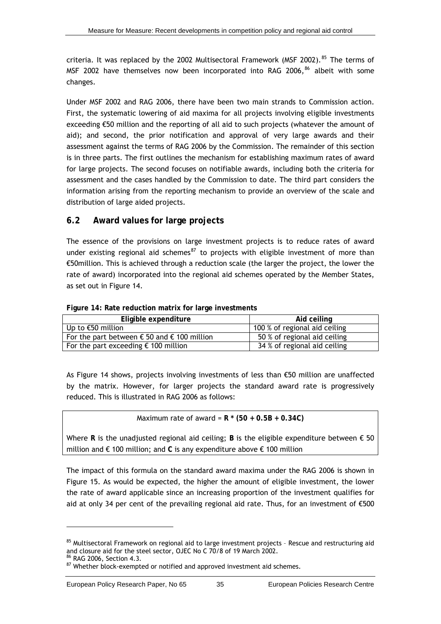<span id="page-40-0"></span>criteria. It was replaced by the 2002 Multisectoral Framework (MSF 2002).  $85$  The terms of MSF 2002 have themselves now been incorporated into RAG 2006,<sup>[86](#page-40-0)</sup> albeit with some changes.

information arising from the reporting mechanism to provide an overview of the scale and distribution of large aided projects. Under MSF 2002 and RAG 2006, there have been two main strands to Commission action. First, the systematic lowering of aid maxima for all projects involving eligible investments exceeding €50 million and the reporting of all aid to such projects (whatever the amount of aid); and second, the prior notification and approval of very large awards and their assessment against the terms of RAG 2006 by the Commission. The remainder of this section is in three parts. The first outlines the mechanism for establishing maximum rates of award for large projects. The second focuses on notifiable awards, including both the criteria for assessment and the cases handled by the Commission to date. The third part considers the

### **6.2 Award values for large projects**

rate of award) incorporated into the regional aid schemes operated by the Member States, as set out in Figure 14. The essence of the provisions on large investment projects is to reduce rates of award under existing regional aid schemes<sup>[87](#page-40-0)</sup> to projects with eligible investment of more than €50million. This is achieved through a reduction scale (the larger the project, the lower the

<span id="page-40-1"></span>

| Eligible expenditure                                          | Aid ceiling                   |
|---------------------------------------------------------------|-------------------------------|
| Up to €50 million                                             | 100 % of regional aid ceiling |
| For the part between $\epsilon$ 50 and $\epsilon$ 100 million | 50 % of regional aid ceiling  |
| For the part exceeding $\epsilon$ 100 million                 | 34 % of regional aid ceiling  |

Figure 14: Rate reduction matrix for large investments

by the matrix. However, for larger projects the standard award rate is progressively reduced. This is illustrated in RAG 2006 as follows: As [Figure 14](#page-40-1) shows, projects involving investments of less than €50 million are unaffected

Maximum rate of award = **R \* (50 + 0.5B + 0.34C)** 

Where **R** is the unadjusted regional aid ceiling; **B** is the eligible expenditure between € 50 million and € 100 million; and **C** is any expenditure above € 100 million

The impact of this formula on the standard award maxima under the RAG 2006 is shown in [Figure 15](#page-41-1). As would be expected, the higher the amount of eligible investment, the lower the rate of award applicable since an increasing proportion of the investment qualifies for aid at only 34 per cent of the prevailing regional aid rate. Thus, for an investment of  $\epsilon$ 500

<sup>85</sup> Multisectoral Framework on regional aid to large investment projects - Rescue and restructuring aid and closure aid for the steel sector, OJEC No C 70/8 of 19 March 2002.

RAG 2006, Section 4.3.

 $87$  Whether block-exempted or notified and approved investment aid schemes.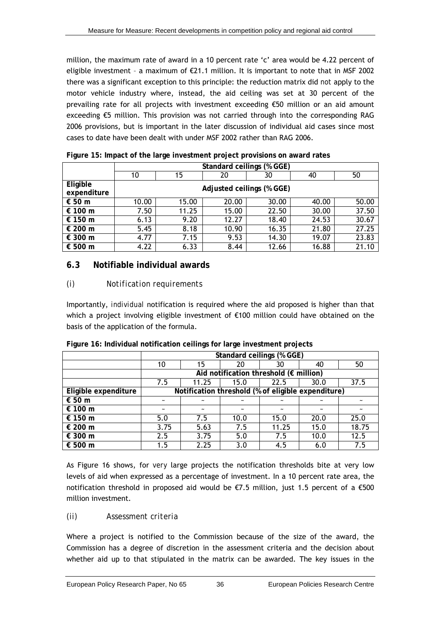<span id="page-41-0"></span>million, the maximum rate of award in a 10 percent rate 'c' area would be 4.22 percent of eligible investment – a maximum of €21.1 million. It is important to note that in MSF 2002 there was a significant exception to this principle: the reduction matrix did *not* apply to the motor vehicle industry where, instead, the aid ceiling was set at 30 percent of the prevailing rate for all projects with investment exceeding €50 million or an aid amount exceeding €5 million. This provision was not carried through into the corresponding RAG 2006 provisions, but is important in the later discussion of individual aid cases since most cases to date have been dealt with under MSF 2002 rather than RAG 2006.

<span id="page-41-1"></span>

|                         |       | Standard ceilings (% GGE) |                           |       |       |       |  |  |  |
|-------------------------|-------|---------------------------|---------------------------|-------|-------|-------|--|--|--|
|                         | 10    | 15                        | 20                        | 30    | 40    | 50    |  |  |  |
| Eligible<br>expenditure |       |                           | Adjusted ceilings (% GGE) |       |       |       |  |  |  |
| € 50 m                  | 10.00 | 15.00                     | 20.00                     | 30.00 | 40.00 | 50.00 |  |  |  |
| € 100 m                 | 7.50  | 11.25                     | 15.00                     | 22.50 | 30.00 | 37.50 |  |  |  |
| € 150 m                 | 6.13  | 9.20                      | 12.27                     | 18.40 | 24.53 | 30.67 |  |  |  |
| € 200 m                 | 5.45  | 8.18                      | 10.90                     | 16.35 | 21.80 | 27.25 |  |  |  |
| € 300 m                 | 4.77  | 7.15                      | 9.53                      | 14.30 | 19.07 | 23.83 |  |  |  |
| € 500 m                 | 4.22  | 6.33                      | 8.44                      | 12.66 | 16.88 | 21.10 |  |  |  |

**Figure 15: Impact of the large investment project provisions on award rates** 

### **6.3 Notifiable individual awards**

### *(i) Notification requirements*

which a project involving eligible investment of  $\epsilon$ 100 million could have obtained on the basis of the application of the formula. Importantly, *individual* notification is required where the aid proposed is higher than that

<span id="page-41-2"></span>

|                      |      | Standard ceilings (% GGE)                          |            |       |      |            |  |  |  |
|----------------------|------|----------------------------------------------------|------------|-------|------|------------|--|--|--|
|                      | 10   | 15                                                 | 20         | 30    | 40   | 50         |  |  |  |
|                      |      | Aid notification threshold ( $\epsilon$ million)   |            |       |      |            |  |  |  |
|                      | 7.5  | 11.25                                              | 15.0       | 22.5  | 30.0 | 37.5       |  |  |  |
| Eligible expenditure |      | Notification threshold (% of eligible expenditure) |            |       |      |            |  |  |  |
| € 50 m               |      |                                                    |            |       |      |            |  |  |  |
| € 100 $m$            |      |                                                    | $\tilde{}$ |       |      | $\tilde{}$ |  |  |  |
| € 150 m              | 5.0  | 7.5                                                | 10.0       | 15.0  | 20.0 | 25.0       |  |  |  |
| € 200 m              | 3.75 | 5.63                                               | 7.5        | 11.25 | 15.0 | 18.75      |  |  |  |
| € 300 m              | 2.5  | 3.75                                               | 5.0        | 7.5   | 10.0 | 12.5       |  |  |  |
| € 500 m              | 1.5  | 2.25                                               | 3.0        | 4.5   | 6.0  | 7.5        |  |  |  |

Figure 16: Individual notification ceilings for large investment projects

As [Figure 16](#page-41-2) shows, for *very* large projects the notification thresholds bite at very low levels of aid when expressed as a percentage of investment. In a 10 percent rate area, the notification threshold in proposed aid would be  $E$ 7.5 million, just 1.5 percent of a  $E$ 500 million investment.

### *(ii) Assessment criteria*

whether aid up to that stipulated in the matrix can be awarded. The key issues in the Where a project is notified to the Commission because of the size of the award, the Commission has a degree of discretion in the assessment criteria and the decision about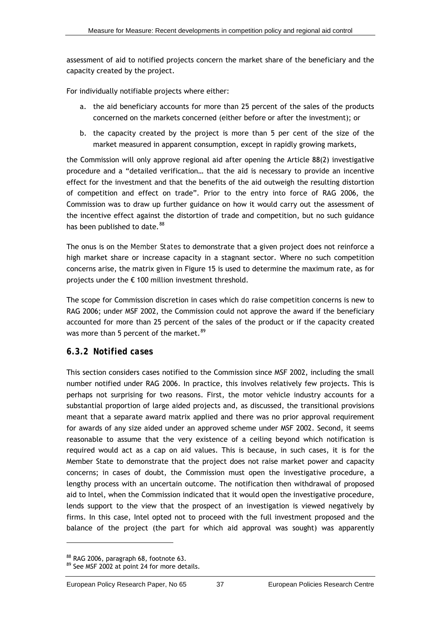<span id="page-42-0"></span>assessment of aid to notified projects concern the market share of the beneficiary and the capacity created by the project.

For individually notifiable projects where either:

- a. the aid beneficiary accounts for more than 25 percent of the sales of the products concerned on the markets concerned (either before or after the investment); or
- b. the capacity created by the project is more than 5 per cent of the size of the market measured in apparent consumption, except in rapidly growing markets,

the Commission will only approve regional aid after opening the Article 88(2) investigative procedure and a "detailed verification… that the aid is necessary to provide an incentive effect for the investment and that the benefits of the aid outweigh the resulting distortion of competition and effect on trade". Prior to the entry into force of RAG 2006, the Commission was to draw up further guidance on how it would carry out the assessment of the incentive effect against the distortion of trade and competition, but no such guidance has been published to date.<sup>[88](#page-42-0)</sup>

The onus is on the *Member States* to demonstrate that a given project does not reinforce a high market share or increase capacity in a stagnant sector. Where no such competition concerns arise, the matrix given in [Figure 15](#page-41-1) is used to determine the maximum rate, as for projects under the € 100 million investment threshold.

The scope for Commission discretion in cases which *do* raise competition concerns is new to RAG 2006; under MSF 2002, the Commission could not approve the award if the beneficiary accounted for more than 25 percent of the sales of the product or if the capacity created was more than 5 percent of the market.<sup>[89](#page-42-0)</sup>

### *6.3.2 Notified cases*

This section considers cases notified to the Commission since MSF 2002, including the small number notified under RAG 2006. In practice, this involves relatively few projects. This is perhaps not surprising for two reasons. First, the motor vehicle industry accounts for a substantial proportion of large aided projects and, as discussed, the transitional provisions meant that a separate award matrix applied and there was no prior approval requirement for awards of any size aided under an approved scheme under MSF 2002. Second, it seems reasonable to assume that the very existence of a ceiling beyond which notification is required would act as a cap on aid values. This is because, in such cases, it is for the Member State to demonstrate that the project does not raise market power and capacity concerns; in cases of doubt, the Commission must open the investigative procedure, a lengthy process with an uncertain outcome. The notification then withdrawal of proposed aid to Intel, when the Commission indicated that it would open the investigative procedure, lends support to the view that the prospect of an investigation is viewed negatively by firms. In this case, Intel opted not to proceed with the full investment proposed and the balance of the project (the part for which aid approval was sought) was apparently

<sup>88</sup> RAG 2006, paragraph 68, footnote 63.

<sup>89</sup> See MSF 2002 at point 24 for more details.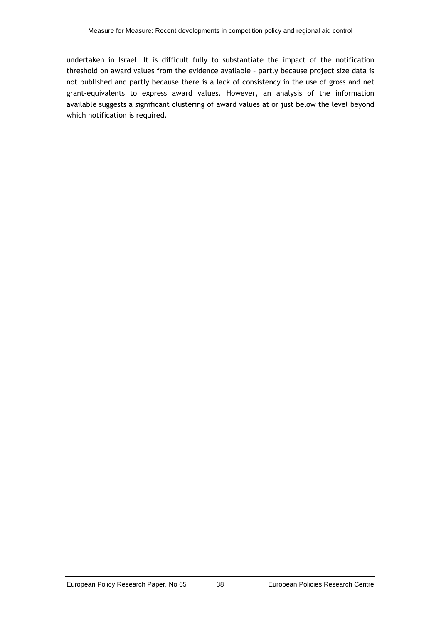undertaken in Israel. It is difficult fully to substantiate the impact of the notification threshold on award values from the evidence available – partly because project size data is not published and partly because there is a lack of consistency in the use of gross and net grant-equivalents to express award values. However, an analysis of the information available suggests a significant clustering of award values at or just below the level beyond which notification is required.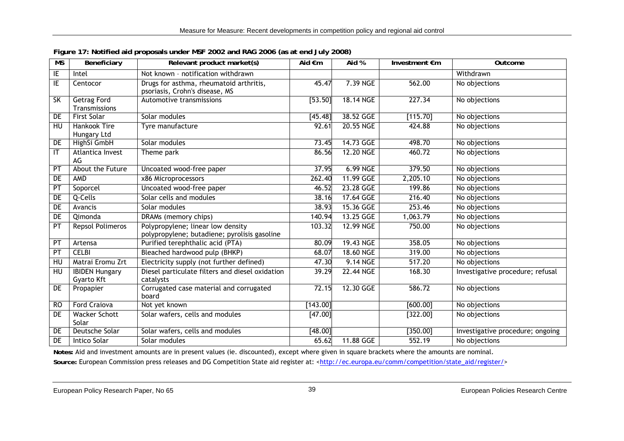| $\overline{\text{MS}}$   | Beneficiary                         | Relevant product market(s)                                                        | Aid €m   | Aid %     | Investment €m | Outcome                          |
|--------------------------|-------------------------------------|-----------------------------------------------------------------------------------|----------|-----------|---------------|----------------------------------|
| ΙE                       | Intel                               | Not known - notification withdrawn                                                |          |           |               | Withdrawn                        |
| $\overline{\mathsf{I}}$  | Centocor                            | Drugs for asthma, rheumatoid arthritis,<br>psoriasis, Crohn's disease, MS         | 45.47    | 7.39 NGE  | 562.00        | No objections                    |
| $\overline{\mathsf{SK}}$ | <b>Getrag Ford</b><br>Transmissions | Automotive transmissions                                                          | [53.50]  | 18.14 NGE | 227.34        | No objections                    |
| DE                       | First Solar                         | Solar modules                                                                     | [45.48]  | 38.52 GGE | [115.70]      | No objections                    |
| HU                       | Hankook Tire<br>Hungary Ltd         | Tyre manufacture                                                                  | 92.61    | 20.55 NGE | 424.88        | No objections                    |
| DE                       | HighSi GmbH                         | Solar modules                                                                     | 73.45    | 14.73 GGE | 498.70        | No objections                    |
| IT                       | Atlantica Invest<br>AG              | Theme park                                                                        | 86.56    | 12.20 NGE | 460.72        | No objections                    |
| PT                       | About the Future                    | Uncoated wood-free paper                                                          | 37.95    | 6.99 NGE  | 379.50        | No objections                    |
| DE                       | AMD                                 | x86 Microprocessors                                                               | 262.40   | 11.99 GGE | 2,205.10      | No objections                    |
| $\overline{PT}$          | Soporcel                            | Uncoated wood-free paper                                                          | 46.52    | 23.28 GGE | 199.86        | No objections                    |
| DE                       | Q-Cells                             | Solar cells and modules                                                           | 38.16    | 17.64 GGE | 216.40        | No objections                    |
| DE                       | Avancis                             | Solar modules                                                                     | 38.93    | 15.36 GGE | 253.46        | No objections                    |
| DE                       | Qimonda                             | DRAMs (memory chips)                                                              | 140.94   | 13.25 GGE | 1,063.79      | No objections                    |
| PT                       | <b>Repsol Polimeros</b>             | Polypropylene; linear low density<br>polypropylene; butadiene; pyrolisis gasoline | 103.32   | 12.99 NGE | 750.00        | No objections                    |
| PT                       | Artensa                             | Purified terephthalic acid (PTA)                                                  | 80.09    | 19.43 NGE | 358.05        | No objections                    |
| PT                       | <b>CELBI</b>                        | Bleached hardwood pulp (BHKP)                                                     | 68.07    | 18.60 NGE | 319.00        | No objections                    |
| HU                       | Matrai Eromu Zrt                    | Electricity supply (not further defined)                                          | 47.30    | 9.14 NGE  | 517.20        | No objections                    |
| HU                       | <b>IBIDEN Hungary</b><br>Gyarto Kft | Diesel particulate filters and diesel oxidation<br>catalysts                      | 39.29    | 22.44 NGE | 168.30        | Investigative procedure; refusal |
| DE                       | Propapier                           | Corrugated case material and corrugated<br>board                                  | 72.15    | 12.30 GGE | 586.72        | No objections                    |
| <b>RO</b>                | <b>Ford Craiova</b>                 | Not yet known                                                                     | [143.00] |           | [600.00]      | No objections                    |
| DE                       | <b>Wacker Schott</b><br>Solar       | Solar wafers, cells and modules                                                   | [47.00]  |           | [322.00]      | No objections                    |
| DE                       | Deutsche Solar                      | Solar wafers, cells and modules                                                   | [48.00]  |           | [350.00]      | Investigative procedure; ongoing |
| DE                       | Intico Solar                        | Solar modules                                                                     | 65.62    | 11.88 GGE | 552.19        | No objections                    |

**Figure 17: Notified aid proposals under MSF 2002 and RAG 2006 (as at end July 2008)** 

**Notes:** Aid and investment amounts are in present values (ie. discounted), except where given in square brackets where the amounts are nominal.

<span id="page-44-0"></span>Source: European Commission press releases and DG Competition State aid register at: <[http://ec.europa.eu/comm/competition/state\\_aid/register/](http://ec.europa.eu/comm/competition/state_aid/register/)>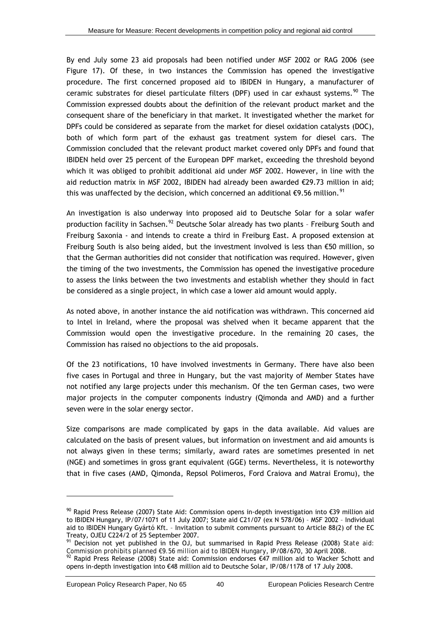<span id="page-45-0"></span>By end July some 23 aid proposals had been notified under MSF 2002 or RAG 2006 (see [Figure 17\)](#page-44-0). Of these, in two instances the Commission has opened the investigative procedure. The first concerned proposed aid to IBIDEN in Hungary, a manufacturer of ceramic substrates for diesel particulate filters (DPF) used in car exhaust systems.<sup>[90](#page-45-0)</sup> The Commission expressed doubts about the definition of the relevant product market and the consequent share of the beneficiary in that market. It investigated whether the market for DPFs could be considered as separate from the market for diesel oxidation catalysts (DOC), both of which form part of the exhaust gas treatment system for diesel cars. The Commission concluded that the relevant product market covered only DPFs and found that IBIDEN held over 25 percent of the European DPF market, exceeding the threshold beyond which it was obliged to prohibit additional aid under MSF 2002. However, in line with the aid reduction matrix in MSF 2002, IBIDEN had already been awarded €29.73 million in aid; this was unaffected by the decision, which concerned an additional  $\epsilon$ 9.56 million.<sup>[91](#page-45-0)</sup>

An investigation is also underway into proposed aid to Deutsche Solar for a solar wafer production facility in Sachsen.<sup>[92](#page-45-0)</sup> Deutsche Solar already has two plants - Freiburg South and Freiburg Saxonia - and intends to create a third in Freiburg East. A proposed extension at Freiburg South is also being aided, but the investment involved is less than €50 million, so that the German authorities did not consider that notification was required. However, given the timing of the two investments, the Commission has opened the investigative procedure to assess the links between the two investments and establish whether they should in fact be considered as a single project, in which case a lower aid amount would apply.

As noted above, in another instance the aid notification was withdrawn. This concerned aid to Intel in Ireland, where the proposal was shelved when it became apparent that the Commission would open the investigative procedure. In the remaining 20 cases, the Commission has raised no objections to the aid proposals.

Of the 23 notifications, 10 have involved investments in Germany. There have also been five cases in Portugal and three in Hungary, but the vast majority of Member States have not notified any large projects under this mechanism. Of the ten German cases, two were major projects in the computer components industry (Qimonda and AMD) and a further seven were in the solar energy sector.

Size comparisons are made complicated by gaps in the data available. Aid values are calculated on the basis of present values, but information on investment and aid amounts is not always given in these terms; similarly, award rates are sometimes presented in net (NGE) and sometimes in gross grant equivalent (GGE) terms. Nevertheless, it is noteworthy that in five cases (AMD, Qimonda, Repsol Polimeros, Ford Craiova and Matrai Eromu), the

 $90$  Rapid Press Release (2007) State Aid: Commission opens in-depth investigation into €39 million aid to IBIDEN Hungary, IP/07/1071 of 11 July 2007; State aid C21/07 (ex N 578/06) – MSF 2002 – Individual aid to IBIDEN Hungary Gyártó Kft. – Invitation to submit comments pursuant to Article 88(2) of the EC Treaty, OJEU C224/2 of 25 September 2007.

<sup>91</sup> Decision not yet published in the OJ, but summarised in Rapid Press Release (2008) *State aid: Commission prohibits planned €9.56 million aid to IBIDEN Hungary*, IP/08/670, 30 April 2008.<br><sup>92</sup> Rapid Press Release (2008) State aid: Commission endorses €47 million aid to Wacker Schott and

opens in-depth investigation into €48 million aid to Deutsche Solar, IP/08/1178 of 17 July 2008.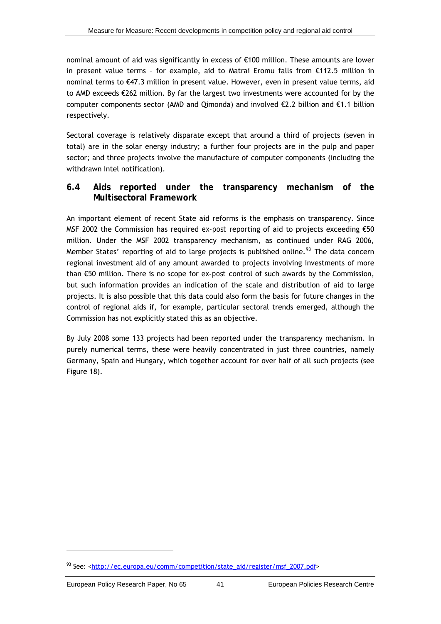<span id="page-46-0"></span>nominal amount of aid was significantly in excess of €100 million. These amounts are lower in present value terms – for example, aid to Matrai Eromu falls from €112.5 million in nominal terms to €47.3 million in present value. However, even in present value terms, aid to AMD exceeds €262 million. By far the largest two investments were accounted for by the computer components sector (AMD and Qimonda) and involved €2.2 billion and €1.1 billion respectively.

Sectoral coverage is relatively disparate except that around a third of projects (seven in total) are in the solar energy industry; a further four projects are in the pulp and paper sector; and three projects involve the manufacture of computer components (including the withdrawn Intel notification).

### **6.4 Aids reported under the transparency mechanism of the Multisectoral Framework**

An important element of recent State aid reforms is the emphasis on transparency. Since MSF 2002 the Commission has required *ex-post* reporting of aid to projects exceeding €50 million. Under the MSF 2002 transparency mechanism, as continued under RAG 2006, Member States' reporting of aid to large projects is published online.<sup>[93](#page-46-0)</sup> The data concern regional investment aid of any amount awarded to projects involving investments of more than €50 million. There is no scope for *ex-post* control of such awards by the Commission, but such information provides an indication of the scale and distribution of aid to large projects. It is also possible that this data could also form the basis for future changes in the control of regional aids if, for example, particular sectoral trends emerged, although the Commission has not explicitly stated this as an objective.

By July 2008 some 133 projects had been reported under the transparency mechanism. In purely numerical terms, these were heavily concentrated in just three countries, namely Germany, Spain and Hungary, which together account for over half of all such projects (see [Figure 18](#page-47-0)).

<sup>93</sup> See: <[http://ec.europa.eu/comm/competition/state\\_aid/register/msf\\_2007.pdf](http://ec.europa.eu/comm/competition/state_aid/register/msf_2007.pdf)>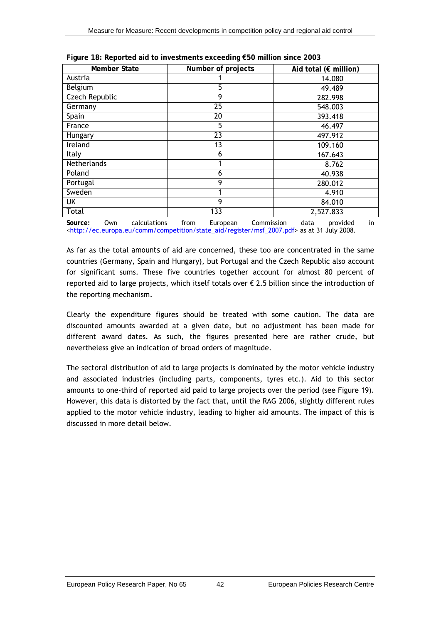<span id="page-47-0"></span>

| Member State   | Number of projects | Aid total ( $\epsilon$ million) |
|----------------|--------------------|---------------------------------|
| Austria        |                    | 14.080                          |
| Belgium        | 5                  | 49.489                          |
| Czech Republic | 9                  | 282.998                         |
| Germany        | 25                 | 548.003                         |
| Spain          | 20                 | 393.418                         |
| France         | 5                  | 46.497                          |
| Hungary        | 23                 | 497.912                         |
| Ireland        | 13                 | 109.160                         |
| <b>Italy</b>   | 6                  | 167.643                         |
| Netherlands    |                    | 8.762                           |
| Poland         | 6                  | 40.938                          |
| Portugal       | 9                  | 280.012                         |
| Sweden         |                    | 4.910                           |
| UK             | 9                  | 84.010                          |
| Total          | 133                | 2,527.833                       |

**Figure 18: Reported aid to investments exceeding €50 million since 2003** 

**Source:** Own calculations from European Commission data provided in <[http://ec.europa.eu/comm/competition/state\\_aid/register/msf\\_2007.pdf>](http://ec.europa.eu/comm/competition/state_aid/register/msf_2007.pdf) as at 31 July 2008.

As far as the total *amounts* of aid are concerned, these too are concentrated in the same countries (Germany, Spain and Hungary), but Portugal and the Czech Republic also account for significant sums. These five countries together account for almost 80 percent of reported aid to large projects, which itself totals over  $\epsilon$  2.5 billion since the introduction of the reporting mechanism.

Clearly the expenditure figures should be treated with some caution. The data are discounted amounts awarded at a given date, but no adjustment has been made for different award dates. As such, the figures presented here are rather crude, but nevertheless give an indication of broad orders of magnitude.

The *sectoral* distribution of aid to large projects is dominated by the motor vehicle industry and associated industries (including parts, components, tyres etc.). Aid to this sector amounts to one-third of reported aid paid to large projects over the period (see [Figure 19](#page-48-0)). However, this data is distorted by the fact that, until the RAG 2006, slightly different rules applied to the motor vehicle industry, leading to higher aid amounts. The impact of this is discussed in more detail below.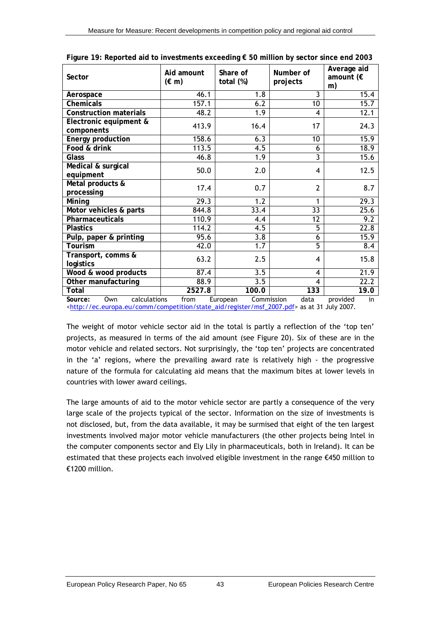<span id="page-48-0"></span>

| Sector                               | Aid amount<br>$(\in$ m) | Share of<br>total (%) | Number of<br>projects | Average aid<br>amount ( $\epsilon$<br>m) |
|--------------------------------------|-------------------------|-----------------------|-----------------------|------------------------------------------|
| Aerospace                            | 46.1                    | 1.8                   | 3                     | 15.4                                     |
| Chemicals                            | 157.1                   | 6.2                   | 10                    | 15.7                                     |
| <b>Construction materials</b>        | 48.2                    | $\overline{1.9}$      | 4                     | 12.1                                     |
| Electronic equipment &<br>components | 413.9                   | 16.4                  | 17                    | 24.3                                     |
| <b>Energy production</b>             | 158.6                   | 6.3                   | 10                    | 15.9                                     |
| Food & drink                         | 113.5                   | 4.5                   | 6                     | 18.9                                     |
| Glass                                | 46.8                    | $\overline{1.9}$      | $\overline{3}$        | 15.6                                     |
| Medical & surgical<br>equipment      | 50.0                    | 2.0                   | 4                     | 12.5                                     |
| Metal products &<br>processing       | 17.4                    | 0.7                   | $\overline{2}$        | 8.7                                      |
| Mining                               | 29.3                    | 1.2                   | 1                     | 29.3                                     |
| Motor vehicles & parts               | 844.8                   | 33.4                  | $\overline{33}$       | 25.6                                     |
| Pharmaceuticals                      | 110.9                   | 4.4                   | $\overline{12}$       | 9.2                                      |
| <b>Plastics</b>                      | 114.2                   | 4.5                   | $\overline{5}$        | 22.8                                     |
| Pulp, paper & printing               | 95.6                    | $\overline{3.8}$      | 6                     | 15.9                                     |
| <b>Tourism</b>                       | 42.0                    | 1.7                   | $\overline{5}$        | 8.4                                      |
| Transport, comms &<br>logistics      | 63.2                    | 2.5                   | 4                     | 15.8                                     |
| Wood & wood products                 | 87.4                    | $\overline{3.5}$      | 4                     | 21.9                                     |
| Other manufacturing                  | 88.9                    | $\overline{3.5}$      | 4                     | 22.2                                     |
| Total                                | 2527.8                  | 100.0                 | 133                   | 19.0                                     |

|  | Figure 19: Reported aid to investments exceeding € 50 million by sector since end 2003 |  |  |
|--|----------------------------------------------------------------------------------------|--|--|
|  |                                                                                        |  |  |
|  |                                                                                        |  |  |
|  |                                                                                        |  |  |

**Source:** Own calculations from European Commission data provided in <[http://ec.europa.eu/comm/competition/state\\_aid/register/msf\\_2007.pdf>](http://ec.europa.eu/comm/competition/state_aid/register/msf_2007.pdf) as at 31 July 2007.

The weight of motor vehicle sector aid in the total is partly a reflection of the 'top ten' projects, as measured in terms of the aid amount (see [Figure 20](#page-49-0)). Six of these are in the motor vehicle and related sectors. Not surprisingly, the 'top ten' projects are concentrated in the 'a' regions, where the prevailing award rate is relatively high - the progressive nature of the formula for calculating aid means that the maximum bites at lower levels in countries with lower award ceilings.

The large amounts of aid to the motor vehicle sector are partly a consequence of the very large scale of the projects typical of the sector. Information on the size of investments is not disclosed, but, from the data available, it may be surmised that eight of the ten largest investments involved major motor vehicle manufacturers (the other projects being Intel in the computer components sector and Ely Lily in pharmaceuticals, both in Ireland). It can be estimated that these projects each involved eligible investment in the range €450 million to €1200 million.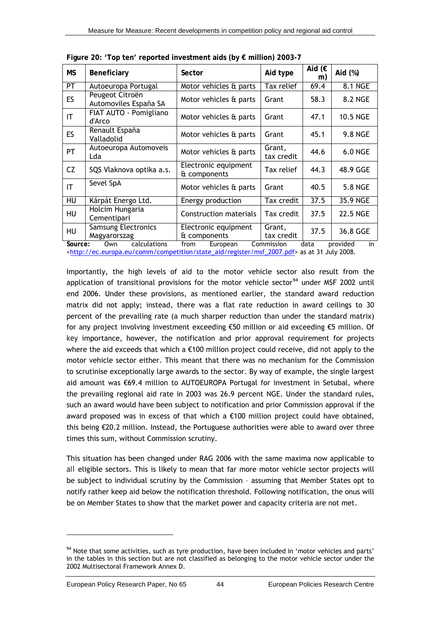<span id="page-49-0"></span>

| МS              | Beneficiary                                | Sector                               | Aid type             | Aid $(E)$<br>m) | Aid (%)         |
|-----------------|--------------------------------------------|--------------------------------------|----------------------|-----------------|-----------------|
| PT              | Autoeuropa Portugal                        | Motor vehicles & parts               | Tax relief           | 69.4            | 8.1 NGE         |
| <b>ES</b>       | Peugeot Citroën<br>Automoviles España SA   | Motor vehicles & parts               | Grant                | 58.3            | 8.2 NGE         |
| IT              | FIAT AUTO - Pomigliano<br>d'Arco           | Motor vehicles & parts               | Grant                | 47.1            | <b>10.5 NGE</b> |
| <b>ES</b>       | Renault España<br>Valladolid               | Motor vehicles & parts               | Grant                | 45.1            | <b>9.8 NGE</b>  |
| PT              | Autoeuropa Automoveis<br>Lda               | Motor vehicles & parts               | Grant,<br>tax credit | 44.6            | <b>6.0 NGE</b>  |
| CZ              | SQS Vlaknova optika a.s.                   | Electronic equipment<br>& components | Tax relief           | 44.3            | 48.9 GGE        |
| IT.             | Sevel SpA                                  | Motor vehicles & parts               | Grant                | 40.5            | <b>5.8 NGE</b>  |
| $\overline{HU}$ | Kárpát Energo Ltd.                         | Energy production                    | Tax credit           | 37.5            | 35.9 NGE        |
| HU              | Holcim Hungaria<br>Cementipari             | Construction materials               | Tax credit           | 37.5            | <b>22.5 NGE</b> |
| <b>HU</b>       | <b>Samsung Electronics</b><br>Magyarorszag | Electronic equipment<br>& components | Grant,<br>tax credit | 37.5            | 36.8 GGE        |

<span id="page-49-1"></span>**Figure 20: 'Top ten' reported investment aids (by € million) 2003-7** 

**Source:** Own calculations from European Commission data provided in <[http://ec.europa.eu/comm/competition/state\\_aid/register/msf\\_2007.pdf>](http://ec.europa.eu/comm/competition/state_aid/register/msf_2007.pdf) as at 31 July 2008.

Importantly, the high levels of aid to the motor vehicle sector also result from the application of transitional provisions for the motor vehicle sector<sup>[94](#page-49-1)</sup> under MSF 2002 until end 2006. Under these provisions, as mentioned earlier, the standard award reduction matrix did not apply; instead, there was a flat rate reduction in award ceilings to 30 percent of the prevailing rate (a much sharper reduction than under the standard matrix) for any project involving investment exceeding €50 million or aid exceeding €5 million. Of *key* importance, however, the notification and prior approval requirement for projects where the aid exceeds that which a €100 million project could receive, did *not* apply to the motor vehicle sector either. This meant that there was no mechanism for the Commission to scrutinise exceptionally large awards to the sector. By way of example, the single largest aid amount was €69.4 million to AUTOEUROPA Portugal for investment in Setubal, where the prevailing regional aid rate in 2003 was 26.9 percent NGE. Under the standard rules, such an award would have been subject to notification and prior Commission approval if the award proposed was in excess of that which a €100 million project could have obtained, this being  $\epsilon$ 20.2 million. Instead, the Portuguese authorities were able to award over three times this sum, without Commission scrutiny.

This situation has been changed under RAG 2006 with the same maxima now applicable to *all* eligible sectors. This is likely to mean that far more motor vehicle sector projects will be subject to individual scrutiny by the Commission – assuming that Member States opt to notify rather keep aid below the notification threshold. Following notification, the onus will be on Member States to show that the market power and capacity criteria are not met.

<sup>&</sup>lt;sup>94</sup> Note that some activities, such as tyre production, have been included in 'motor vehicles and parts' in the tables in this section but are not classified as belonging to the motor vehicle sector under the 2002 Multisectoral Framework Annex D.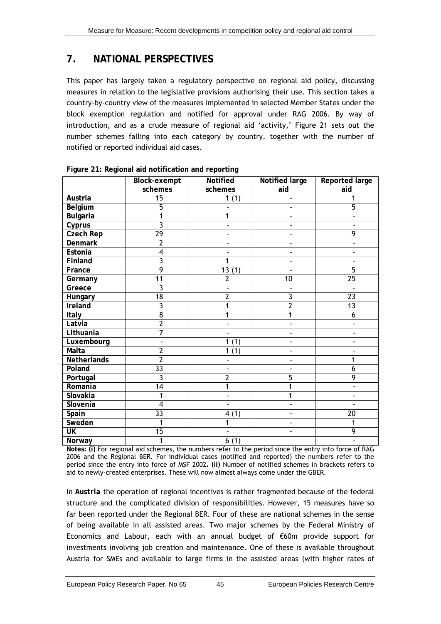### <span id="page-50-0"></span>**7. NATIONAL PERSPECTIVES**

This paper has largely taken a regulatory perspective on regional aid policy, discussing measures in relation to the legislative provisions authorising their use. This section takes a country-by-country view of the measures implemented in selected Member States under the block exemption regulation and notified for approval under RAG 2006. By way of introduction, and as a crude measure of regional aid 'activity,' [Figure 21](#page-50-1) sets out the number schemes falling into each category by country, together with the number of notified or reported individual aid cases.

<span id="page-50-1"></span>

|                  | <b>Block-exempt</b> | Notified                 | Notified large               | <b>Reported large</b> |
|------------------|---------------------|--------------------------|------------------------------|-----------------------|
|                  | schemes             | schemes                  | aid                          | aid                   |
| Austria          | $\overline{15}$     | 1(1)                     | $\qquad \qquad \blacksquare$ |                       |
| Belgium          | 5                   |                          |                              | 5                     |
| <b>Bulgaria</b>  |                     |                          |                              |                       |
| Cyprus           | 3                   |                          |                              |                       |
| <b>Czech Rep</b> | 29                  |                          |                              | 9                     |
| <b>Denmark</b>   | $\overline{2}$      |                          |                              |                       |
| Estonia          | 4                   |                          |                              |                       |
| Finland          | 3                   | 1                        |                              |                       |
| France           | 9                   | 13(1)                    |                              | $\overline{5}$        |
| Germany          | 11                  | $\overline{2}$           | 10                           | 25                    |
| Greece           | $\overline{3}$      |                          |                              |                       |
| Hungary          | 18                  | $\overline{2}$           | 3                            | $\overline{23}$       |
| Ireland          | 3                   |                          | $\overline{2}$               | $\overline{13}$       |
| Italy            | $\overline{8}$      | 1                        | 1                            | 6                     |
| Latvia           | $\overline{2}$      |                          | $\blacksquare$               |                       |
| Lithuania        | 7                   | $\overline{\phantom{a}}$ | $\overline{a}$               |                       |
| Luxembourg       |                     | 1(1)                     | $\overline{a}$               |                       |
| Malta            | $\overline{2}$      | (1)<br>1                 | $\qquad \qquad \blacksquare$ |                       |
| Netherlands      | $\overline{2}$      | $\blacksquare$           | $\blacksquare$               | 1                     |
| Poland           | $\overline{33}$     |                          |                              | 6                     |
| Portugal         | 3                   | $\overline{2}$           | 5                            | 9                     |
| Romania          | $\overline{14}$     |                          |                              |                       |
| Slovakia         | 1                   | $\blacksquare$           | 1                            |                       |
| Slovenia         | 4                   | $\overline{\phantom{a}}$ |                              |                       |
| Spain            | $\overline{33}$     | 4(1)                     |                              | $\overline{20}$       |
| Sweden           | 1                   | 1                        |                              |                       |
| <b>UK</b>        | $\overline{15}$     | $\overline{\phantom{a}}$ |                              | 9                     |
| Norway           | 1                   | 6(1)                     |                              |                       |

**Figure 21: Regional aid notification and reporting** 

**Notes: (i)** For regional aid schemes, the numbers refer to the period since the entry into force of RAG 2006 and the Regional BER. For individual cases (notified and reported) the numbers refer to the period since the entry into force of MSF 2002**. (ii)** Number of notified schemes in brackets refers to aid to newly-created enterprises. These will now almost always come under the GBER.

In *Austria* the operation of regional incentives is rather fragmented because of the federal structure and the complicated division of responsibilities. However, 15 measures have so far been reported under the Regional BER. Four of these are national schemes in the sense of being available in all assisted areas. Two major schemes by the Federal Ministry of Economics and Labour, each with an annual budget of €60m provide support for investments involving job creation and maintenance. One of these is available throughout Austria for SMEs and available to large firms in the assisted areas (with higher rates of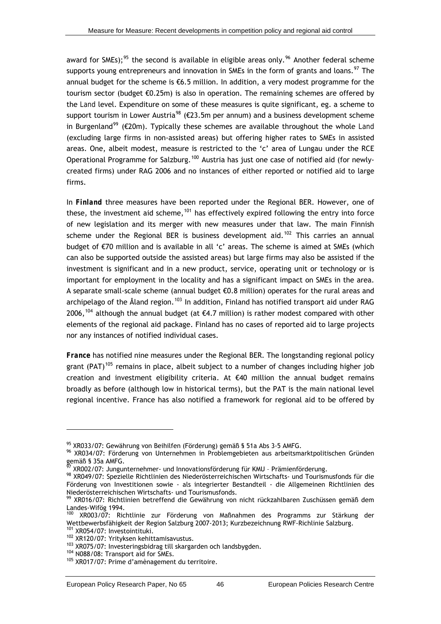<span id="page-51-0"></span>award for SMEs);<sup>[95](#page-51-0)</sup> the second is available in eligible areas only.<sup>[96](#page-51-0)</sup> Another federal scheme supports young entrepreneurs and innovation in SMEs in the form of grants and loans.<sup>[97](#page-51-0)</sup> The annual budget for the scheme is €6.5 million. In addition, a very modest programme for the tourism sector (budget €0.25m) is also in operation. The remaining schemes are offered by the *Land* level. Expenditure on some of these measures is quite significant, eg. a scheme to support tourism in Lower Austria<sup>[98](#page-51-0)</sup> ( $\epsilon$ 23.5m per annum) and a business development scheme in Burgenland<sup>[99](#page-51-0)</sup> ( $\epsilon$ 20m). Typically these schemes are available throughout the whole *Land* (excluding large firms in non-assisted areas) but offering higher rates to SMEs in assisted areas. One, albeit modest, measure is restricted to the 'c' area of Lungau under the RCE Operational Programme for Salzburg.<sup>[100](#page-51-0)</sup> Austria has just one case of notified aid (for newlycreated firms) under RAG 2006 and no instances of either reported or notified aid to large firms.

In *Finland* three measures have been reported under the Regional BER. However, one of these, the investment aid scheme,<sup>[101](#page-51-0)</sup> has effectively expired following the entry into force of new legislation and its merger with new measures under that law. The main Finnish scheme under the Regional BER is business development aid.<sup>[102](#page-51-0)</sup> This carries an annual budget of €70 million and is available in all 'c' areas. The scheme is aimed at SMEs (which can also be supported outside the assisted areas) but large firms may also be assisted if the investment is significant and in a new product, service, operating unit or technology or is important for employment in the locality and has a significant impact on SMEs in the area. A separate small-scale scheme (annual budget €0.8 million) operates for the rural areas and archipelago of the Åland region.<sup>[103](#page-51-0)</sup> In addition, Finland has notified transport aid under RAG 2006,<sup>[104](#page-51-0)</sup> although the annual budget (at  $\epsilon$ 4.7 million) is rather modest compared with other elements of the regional aid package. Finland has no cases of reported aid to large projects nor any instances of notified individual cases.

*France* has notified nine measures under the Regional BER. The longstanding regional policy grant (PAT)<sup>[105](#page-51-0)</sup> remains in place, albeit subject to a number of changes including higher job creation and investment eligibility criteria. At €40 million the annual budget remains broadly as before (although low in historical terms), but the PAT is the main national level regional incentive. France has also notified a framework for regional aid to be offered by

<sup>95</sup> XR033/07: Gewährung von Beihilfen (Förderung) gemäß § 51a Abs 3-5 AMFG.

<sup>96</sup> XR034/07: Förderung von Unternehmen in Problemgebieten aus arbeitsmarktpolitischen Gründen gemäß § 35a AMFG.

 $^{57}$  XR002/07: Jungunternehmer- und Innovationsförderung für KMU - Prämienförderung.

<sup>98</sup> XR049/07: Spezielle Richtlinien des Niederösterreichischen Wirtschafts- und Tourismusfonds für die Förderung von Investitionen sowie - als integrierter Bestandteil - die Allgemeinen Richtlinien des Niederösterreichischen Wirtschafts- und Tourismusfonds.

<sup>99</sup> XR016/07: Richtlinien betreffend die Gewährung von nicht rückzahlbaren Zuschüssen gemäß dem Landes-Wifög 1994.

 $100$  XR003/07: Richtlinie zur Förderung von Maßnahmen des Programms zur Stärkung der Wettbewerbsfähigkeit der Region Salzburg 2007-2013; Kurzbezeichnung RWF-Richlinie Salzburg.

<sup>&</sup>lt;sup>101</sup> XR054/07: Investointituki.<br><sup>102</sup> XR120/07: Yrityksen kehittamisavustus.<br><sup>103</sup> XR075/07: Investeringsbidrag till skargarden och landsbygden.<br><sup>104</sup> N088/08: Transport aid for SMEs.<br><sup>105</sup> XR017/07: Prime d'amènagement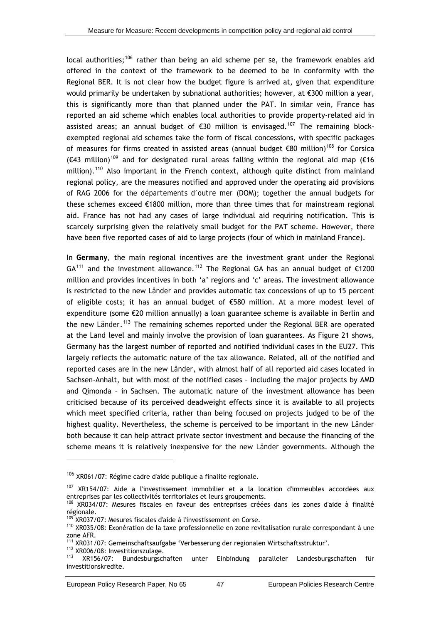<span id="page-52-0"></span>local authorities;[106](#page-52-0) rather than being an aid scheme *per se*, the framework enables aid offered in the context of the framework to be deemed to be in conformity with the Regional BER. It is not clear how the budget figure is arrived at, given that expenditure would primarily be undertaken by subnational authorities; however, at €300 million a year, this is significantly more than that planned under the PAT. In similar vein, France has reported an aid scheme which enables local authorities to provide property-related aid in assisted areas; an annual budget of  $\epsilon$ 30 million is envisaged.<sup>[107](#page-52-0)</sup> The remaining blockexempted regional aid schemes take the form of fiscal concessions, with specific packages of measures for firms created in assisted areas (annual budget  $\epsilon$ 80 million)<sup>[108](#page-52-0)</sup> for Corsica ( $\epsilon$ 43 million)<sup>[109](#page-52-0)</sup> and for designated rural areas falling within the regional aid map ( $\epsilon$ 16 million).<sup>[110](#page-52-0)</sup> Also important in the French context, although quite distinct from mainland regional policy, are the measures notified and approved under the operating aid provisions of RAG 2006 for the *départements d'outre mer* (DOM); together the annual budgets for these schemes exceed €1800 million, more than three times that for mainstream regional aid. France has not had any cases of large individual aid requiring notification. This is scarcely surprising given the relatively small budget for the PAT scheme. However, there have been five reported cases of aid to large projects (four of which in mainland France).

In *Germany,* the main regional incentives are the investment grant under the Regional  $GA^{111}$  $GA^{111}$  $GA^{111}$  and the investment allowance.<sup>[112](#page-52-0)</sup> The Regional GA has an annual budget of  $£1200$ million and provides incentives in both 'a' regions and 'c' areas. The investment allowance is restricted to the new *Länder* and provides automatic tax concessions of up to 15 percent of eligible costs; it has an annual budget of €580 million. At a more modest level of expenditure (some €20 million annually) a loan guarantee scheme is available in Berlin and the new *Länder*. [113](#page-52-0) The remaining schemes reported under the Regional BER are operated at the *Land* level and mainly involve the provision of loan guarantees. As [Figure 21](#page-50-1) shows, Germany has the largest number of reported and notified individual cases in the EU27. This largely reflects the automatic nature of the tax allowance. Related, all of the notified and reported cases are in the new *Länder*, with almost half of all reported aid cases located in Sachsen-Anhalt, but with most of the notified cases – including the major projects by AMD and Qimonda – in Sachsen. The automatic nature of the investment allowance has been criticised because of its perceived deadweight effects since it is available to all projects which meet specified criteria, rather than being focused on projects judged to be of the highest quality. Nevertheless, the scheme is perceived to be important in the new *Länder*  both because it can help attract private sector investment and because the financing of the scheme means it is relatively inexpensive for the new *Länder* governments. Although the

<sup>106</sup> XR061/07: Régime cadre d'aide publique a finalite regionale.

 $107$  XR154/07: Aide a l'investissement immobilier et a la location d'immeubles accordées aux entreprises par les collectivités territoriales et leurs groupements. 108 XR034/07: Mesures fiscales en faveur des entreprises créées dans les zones d'aide à finalité

régionale.<br><sup>109</sup> XR037/07: Mesures fiscales d'aide à l'investissement en Corse.

<sup>110</sup> XR035/08: Exonération de la taxe professionnelle en zone revitalisation rurale correspondant à une zone AFR.

<sup>111</sup> XR031/07: Gemeinschaftsaufgabe 'Verbesserung der regionalen Wirtschaftsstruktur'.<br>112 XR006/08: Investitionszulage.<br>113 XR156/07: Bundesburgschaften unter Einbindung paralleler Landesburgschaften für

investitionskredite.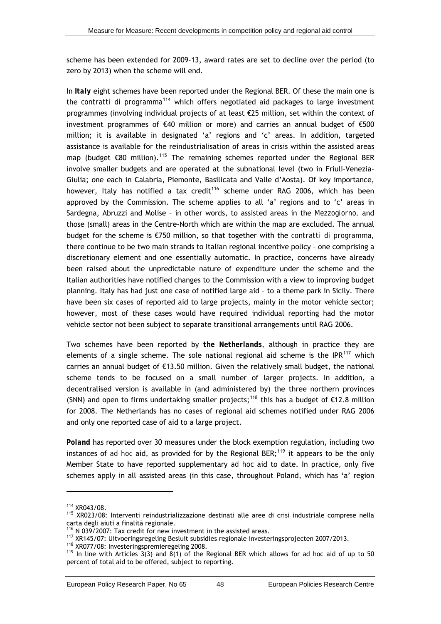<span id="page-53-0"></span>scheme has been extended for 2009-13, award rates are set to decline over the period (to zero by 2013) when the scheme will end.

In *Italy* eight schemes have been reported under the Regional BER. Of these the main one is the *contratti di programma*[114](#page-53-0) which offers negotiated aid packages to large investment programmes (involving individual projects of at least €25 million, set within the context of investment programmes of €40 million or more) and carries an annual budget of €500 million; it is available in designated 'a' regions and 'c' areas. In addition, targeted assistance is available for the reindustrialisation of areas in crisis within the assisted areas map (budget  $\epsilon$ 80 million).<sup>[115](#page-53-0)</sup> The remaining schemes reported under the Regional BER involve smaller budgets and are operated at the subnational level (two in Friuli-Venezia-Giulia; one each in Calabria, Piemonte, Basilicata and Valle d'Aosta). Of key importance, however, Italy has notified a tax credit<sup>[116](#page-53-0)</sup> scheme under RAG 2006, which has been approved by the Commission. The scheme applies to all 'a' regions and to 'c' areas in Sardegna, Abruzzi and Molise – in other words, to assisted areas in the *Mezzogiorno,* and those (small) areas in the Centre-North which are within the map are excluded. The annual budget for the scheme is €750 million, so that together with the *contratti di programma,* there continue to be two main strands to Italian regional incentive policy – one comprising a discretionary element and one essentially automatic. In practice, concerns have already been raised about the unpredictable nature of expenditure under the scheme and the Italian authorities have notified changes to the Commission with a view to improving budget planning. Italy has had just one case of notified large aid – to a theme park in Sicily. There have been six cases of reported aid to large projects, mainly in the motor vehicle sector; however, most of these cases would have required individual reporting had the motor vehicle sector not been subject to separate transitional arrangements until RAG 2006.

Two schemes have been reported by *the Netherlands*, although in practice they are elements of a single scheme. The sole national regional aid scheme is the  $IPR<sup>117</sup>$  $IPR<sup>117</sup>$  $IPR<sup>117</sup>$  which carries an annual budget of €13.50 million. Given the relatively small budget, the national scheme tends to be focused on a small number of larger projects. In addition, a decentralised version is available in (and administered by) the three northern provinces (SNN) and open to firms undertaking smaller projects;<sup>[118](#page-53-0)</sup> this has a budget of  $\epsilon$ 12.8 million for 2008. The Netherlands has no cases of regional aid schemes notified under RAG 2006 and only one reported case of aid to a large project.

*Poland* has reported over 30 measures under the block exemption regulation, including two instances of *ad hoc* aid, as provided for by the Regional BER;<sup>[119](#page-53-0)</sup> it appears to be the only Member State to have reported supplementary *ad hoc* aid to date. In practice, only five schemes apply in all assisted areas (in this case, throughout Poland, which has 'a' region

<sup>&</sup>lt;sup>114</sup> XR043/08.<br><sup>115</sup> XR023/08: Interventi reindustrializzazione destinati alle aree di crisi industriale comprese nella carta degli aiuti a finalità regionale.<br><sup>116</sup> N 039/2007: Tax credit for new investment in the assisted areas.

<sup>&</sup>lt;sup>117</sup> XR145/07: Uitvoeringsregeling Besluit subsidies regionale investeringsprojecten 2007/2013.<br><sup>118</sup> XR077/08: Investeringspremieregeling 2008.<br><sup>119</sup> In line with Articles 3(3) and 8(1) of the Regional BER which allows percent of total aid to be offered, subject to reporting.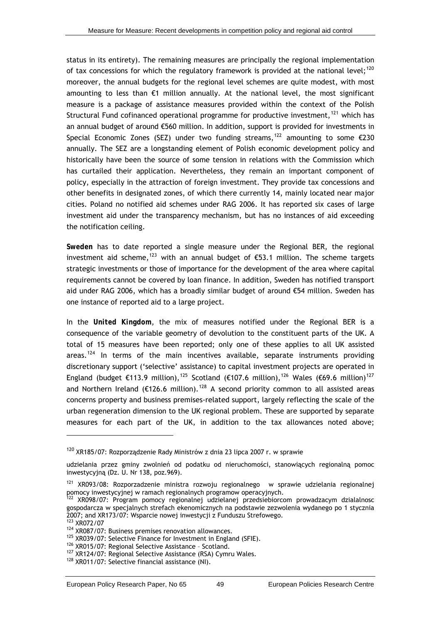<span id="page-54-0"></span>status in its entirety). The remaining measures are principally the regional implementation of tax concessions for which the regulatory framework is provided at the national level:<sup>[120](#page-54-0)</sup> moreover, the annual budgets for the regional level schemes are quite modest, with most amounting to less than €1 million annually. At the national level, the most significant measure is a package of assistance measures provided within the context of the Polish Structural Fund cofinanced operational programme for productive investment, $121$  which has an annual budget of around €560 million. In addition, support is provided for investments in Special Economic Zones (SEZ) under two funding streams,<sup>[122](#page-54-0)</sup> amounting to some  $\epsilon$ 230 annually. The SEZ are a longstanding element of Polish economic development policy and historically have been the source of some tension in relations with the Commission which has curtailed their application. Nevertheless, they remain an important component of policy, especially in the attraction of foreign investment. They provide tax concessions and other benefits in designated zones, of which there currently 14, mainly located near major cities. Poland no notified aid schemes under RAG 2006. It has reported six cases of large investment aid under the transparency mechanism, but has no instances of aid exceeding the notification ceiling.

*Sweden* has to date reported a single measure under the Regional BER, the regional investment aid scheme,<sup>[123](#page-54-0)</sup> with an annual budget of €53.1 million. The scheme targets strategic investments or those of importance for the development of the area where capital requirements cannot be covered by loan finance. In addition, Sweden has notified transport aid under RAG 2006, which has a broadly similar budget of around €54 million. Sweden has one instance of reported aid to a large project.

In the *United Kingdom*, the mix of measures notified under the Regional BER is a consequence of the variable geometry of devolution to the constituent parts of the UK. A total of 15 measures have been reported; only one of these applies to all UK assisted areas.<sup>[124](#page-54-0)</sup> In terms of the main incentives available, separate instruments providing discretionary support ('selective' assistance) to capital investment projects are operated in England (budget €113.9 million),<sup>[125](#page-54-0)</sup> Scotland (€107.6 million),<sup>[126](#page-54-0)</sup> Wales (€69.6 million)<sup>[127](#page-54-0)</sup> and Northern Ireland (€126.6 million).<sup>[128](#page-54-0)</sup> A second priority common to all assisted areas concerns property and business premises-related support, largely reflecting the scale of the urban regeneration dimension to the UK regional problem. These are supported by separate measures for each part of the UK, in addition to the tax allowances noted above;

<sup>120</sup> XR185/07: Rozporządzenie Rady Ministrów z dnia 23 lipca 2007 r. w sprawie

udzielania przez gminy zwolnień od podatku od nieruchomości, stanowiących regionalną pomoc inwestycyjną (Dz. U. Nr 138, poz.969).

<sup>&</sup>lt;sup>121</sup> XR093/08: Rozporzadzenie ministra rozwoju regionalnego w sprawie udzielania regionalnej pomocy inwestycyjnej w ramach regionalnych programow operacyjnych.

<sup>&</sup>lt;sup>122</sup> XR098/07: Program pomocy regionalnej udzielanej przedsiebiorcom prowadzacym dzialalnosc gospodarcza w specjalnych strefach ekenomicznych na podstawie zezwolenia wydanego po 1 stycznia 2007; and XR173/07: Wsparcie nowej inwestycji z Funduszu Strefowego.<br><sup>123</sup> XR072/07

<sup>&</sup>lt;sup>124</sup> XR087/07: Business premises renovation allowances.<br><sup>125</sup> XR039/07: Selective Finance for Investment in England (SFIE).<br><sup>126</sup> XR015/07: Regional Selective Assistance - Scotland.<br><sup>127</sup> XR124/07: Regional Selective Ass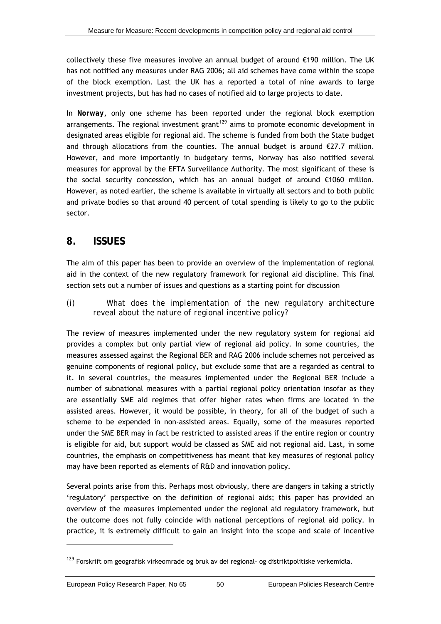<span id="page-55-0"></span>collectively these five measures involve an annual budget of around €190 million. The UK has not notified any measures under RAG 2006; all aid schemes have come within the scope of the block exemption. Last the UK has a reported a total of nine awards to large investment projects, but has had no cases of notified aid to large projects to date.

In *Norway*, only one scheme has been reported under the regional block exemption arrangements. The regional investment grant<sup>[129](#page-55-0)</sup> aims to promote economic development in designated areas eligible for regional aid. The scheme is funded from both the State budget and through allocations from the counties. The annual budget is around  $\epsilon$ 27.7 million. However, and more importantly in budgetary terms, Norway has also notified several measures for approval by the EFTA Surveillance Authority. The most significant of these is the social security concession, which has an annual budget of around €1060 million. However, as noted earlier, the scheme is available in virtually all sectors and to both public and private bodies so that around 40 percent of total spending is likely to go to the public sector.

### **8. ISSUES**

The aim of this paper has been to provide an overview of the implementation of regional aid in the context of the new regulatory framework for regional aid discipline. This final section sets out a number of issues and questions as a starting point for discussion

*(i) What does the implementation of the new regulatory architecture reveal about the nature of regional incentive policy?* 

The review of measures implemented under the new regulatory system for regional aid provides a complex but only partial view of regional aid policy. In some countries, the measures assessed against the Regional BER and RAG 2006 include schemes not perceived as genuine components of regional policy, but exclude some that are a regarded as central to it. In several countries, the measures implemented under the Regional BER include a number of subnational measures with a partial regional policy orientation insofar as they are essentially SME aid regimes that offer higher rates when firms are located in the assisted areas. However, it would be possible, in theory, for *all* of the budget of such a scheme to be expended in non-assisted areas. Equally, some of the measures reported under the SME BER may in fact be restricted to assisted areas if the entire region or country is eligible for aid, but support would be classed as SME aid not regional aid. Last, in some countries, the emphasis on competitiveness has meant that key measures of regional policy may have been reported as elements of R&D and innovation policy.

Several points arise from this. Perhaps most obviously, there are dangers in taking a strictly 'regulatory' perspective on the definition of regional aids; this paper has provided an overview of the measures implemented under the regional aid regulatory framework, but the outcome does not fully coincide with national perceptions of regional aid policy. In practice, it is extremely difficult to gain an insight into the scope and scale of incentive

<sup>&</sup>lt;sup>129</sup> Forskrift om geografisk virkeomrade og bruk av dei regional- og distriktpolitiske verkemidla.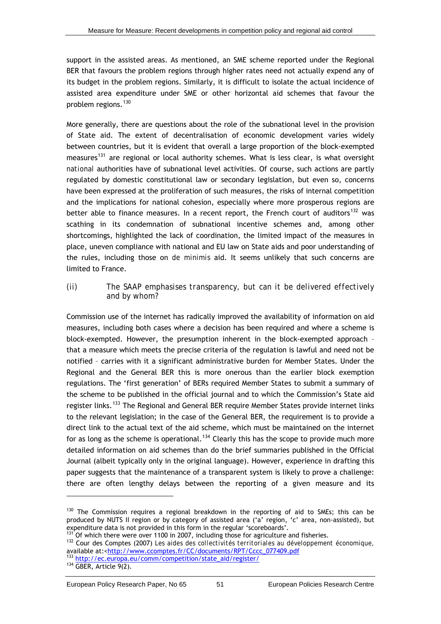<span id="page-56-0"></span>support in the assisted areas. As mentioned, an SME scheme reported under the Regional BER that favours the problem regions through higher rates need not actually expend any of its budget in the problem regions. Similarly, it is difficult to isolate the actual incidence of assisted area expenditure under SME or other horizontal aid schemes that favour the problem regions.[130](#page-56-0)

More generally, there are questions about the role of the subnational level in the provision of State aid. The extent of decentralisation of economic development varies widely between countries, but it is evident that overall a large proportion of the block-exempted measures<sup>[131](#page-56-0)</sup> are regional or local authority schemes. What is less clear, is what oversight *national* authorities have of subnational level activities. Of course, such actions are partly regulated by domestic constitutional law or secondary legislation, but even so, concerns have been expressed at the proliferation of such measures, the risks of internal competition and the implications for national cohesion, especially where more prosperous regions are better able to finance measures. In a recent report, the French court of auditors<sup>[132](#page-56-0)</sup> was scathing in its condemnation of subnational incentive schemes and, among other shortcomings, highlighted the lack of coordination, the limited impact of the measures in place, uneven compliance with national and EU law on State aids and poor understanding of the rules, including those on *de minimis* aid. It seems unlikely that such concerns are limited to France.

#### *(ii) The SAAP emphasises transparency, but can it be delivered effectively and by whom?*

Commission use of the internet has radically improved the availability of information on aid measures, including both cases where a decision has been required and where a scheme is block-exempted. However, the presumption inherent in the block-exempted approach – that a measure which meets the precise criteria of the regulation is lawful and need not be notified – carries with it a significant administrative burden for Member States. Under the Regional and the General BER this is more onerous than the earlier block exemption regulations. The 'first generation' of BERs required Member States to submit a summary of the scheme to be published in the official journal and to which the Commission's State aid register links.<sup>[133](#page-56-0)</sup> The Regional and General BER require Member States provide internet links to the relevant legislation; in the case of the General BER, the requirement is to provide a direct link to the actual text of the aid scheme, which must be maintained on the internet for as long as the scheme is operational.<sup>[134](#page-56-0)</sup> Clearly this has the scope to provide much more detailed information on aid schemes than do the brief summaries published in the Official Journal (albeit typically only in the original language). However, experience in drafting this paper suggests that the maintenance of a transparent system is likely to prove a challenge: there are often lengthy delays between the reporting of a given measure and its

 $130$  The Commission requires a regional breakdown in the reporting of aid to SMEs; this can be produced by NUTS II region or by category of assisted area ('a' region, 'c' area, non-assisted), but expenditure data is not provided in this form in the regular 'scoreboards'.

 $^{131'}$  Of which there were over 1100 in 2007, including those for agriculture and fisheries.<br> $^{132}$  Cour des Comptes (2007) Les aides des collectivités territoriales au développement économique, available at: <<u>http://www.ccomptes.fr/CC/documents/RPT/Cccc</u>\_077409.pdf<br>
<sup>133</sup> [http://ec.europa.eu/comm/competition/state\\_aid/register/](http://ec.europa.eu/comm/competition/state_aid/register/)<br>
<sup>134</sup> GBER, Article 9(2).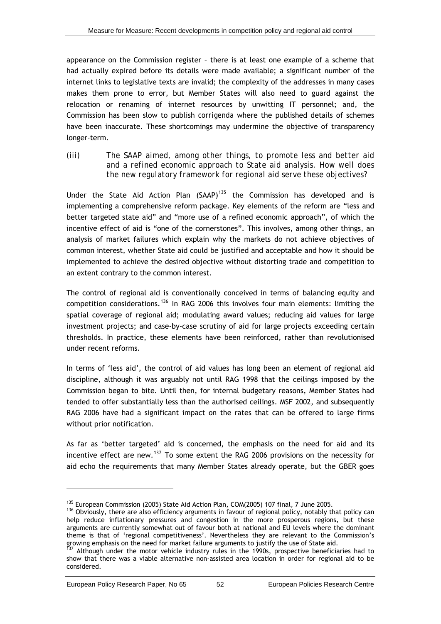<span id="page-57-0"></span>appearance on the Commission register – there is at least one example of a scheme that had actually expired before its details were made available; a significant number of the internet links to legislative texts are invalid; the complexity of the addresses in many cases makes them prone to error, but Member States will also need to guard against the relocation or renaming of internet resources by unwitting IT personnel; and, the Commission has been slow to publish *corrigenda* where the published details of schemes have been inaccurate. These shortcomings may undermine the objective of transparency longer-term.

*(iii) The SAAP aimed, among other things, to promote less and better aid and a refined economic approach to State aid analysis. How well does the new regulatory framework for regional aid serve these objectives?* 

Under the State Aid Action Plan  $(SAAP)^{135}$  $(SAAP)^{135}$  $(SAAP)^{135}$  the Commission has developed and is implementing a comprehensive reform package. Key elements of the reform are "less and better targeted state aid" and "more use of a refined economic approach", of which the incentive effect of aid is "one of the cornerstones". This involves, among other things, an analysis of market failures which explain why the markets do not achieve objectives of common interest, whether State aid could be justified and acceptable and how it should be implemented to achieve the desired objective without distorting trade and competition to an extent contrary to the common interest.

The control of regional aid is conventionally conceived in terms of balancing equity and competition considerations.<sup>[136](#page-57-0)</sup> In RAG 2006 this involves four main elements: limiting the spatial coverage of regional aid; modulating award values; reducing aid values for large investment projects; and case-by-case scrutiny of aid for large projects exceeding certain thresholds. In practice, these elements have been reinforced, rather than revolutionised under recent reforms.

In terms of 'less aid', the control of aid values has long been an element of regional aid discipline, although it was arguably not until RAG 1998 that the ceilings imposed by the Commission began to bite. Until then, for internal budgetary reasons, Member States had tended to offer substantially less than the authorised ceilings. MSF 2002, and subsequently RAG 2006 have had a significant impact on the rates that can be offered to large firms without prior notification.

As far as 'better targeted' aid is concerned, the emphasis on the need for aid and its incentive effect are new.<sup>[137](#page-57-0)</sup> To some extent the RAG 2006 provisions on the necessity for aid echo the requirements that many Member States already operate, but the GBER goes

<sup>&</sup>lt;sup>135</sup> European Commission (2005) State Aid Action Plan, COM(2005) 107 final, 7 June 2005.<br><sup>136</sup> Obviously, there are also efficiency arguments in favour of regional policy, notably that policy can help reduce inflationary pressures and congestion in the more prosperous regions, but these arguments are currently somewhat out of favour both at national and EU levels where the dominant theme is that of 'regional competitiveness'. Nevertheless they are relevant to the Commission's growing emphasis on the need for market failure arguments to justify the use of State aid.<br><sup>137</sup> Although under the motor vehicle industry rules in the 1990s, prospective beneficiaries had to

show that there was a viable alternative non-assisted area location in order for regional aid to be considered.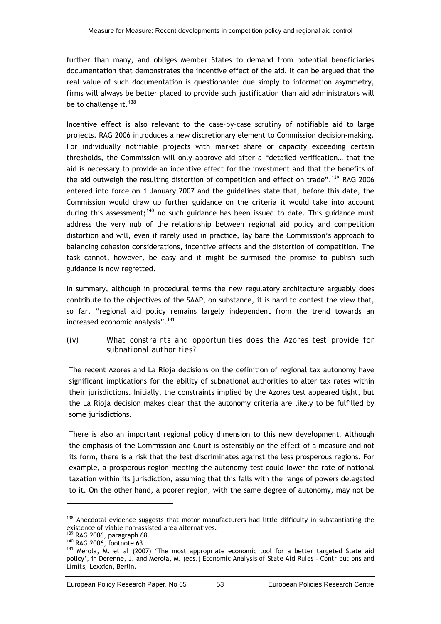<span id="page-58-0"></span>further than many, and obliges Member States to demand from potential beneficiaries documentation that demonstrates the incentive effect of the aid. It can be argued that the real value of such documentation is questionable: due simply to information asymmetry, firms will always be better placed to provide such justification than aid administrators will be to challenge it.  $138$ 

Incentive effect is also relevant to the *case-by-case scrutiny* of notifiable aid to large projects. RAG 2006 introduces a new discretionary element to Commission decision-making. For individually notifiable projects with market share or capacity exceeding certain thresholds, the Commission will only approve aid after a "detailed verification… that the aid is necessary to provide an incentive effect for the investment and that the benefits of the aid outweigh the resulting distortion of competition and effect on trade".<sup>[139](#page-58-0)</sup> RAG 2006 entered into force on 1 January 2007 and the guidelines state that, before this date, the Commission would draw up further guidance on the criteria it would take into account during this assessment;<sup>[140](#page-58-0)</sup> no such guidance has been issued to date. This guidance must address the very nub of the relationship between regional aid policy and competition distortion and will, even if rarely used in practice, lay bare the Commission's approach to balancing cohesion considerations, incentive effects and the distortion of competition. The task cannot, however, be easy and it might be surmised the promise to publish such guidance is now regretted.

In summary, although in procedural terms the new regulatory architecture arguably does contribute to the objectives of the SAAP, on substance, it is hard to contest the view that, so far, "regional aid policy remains largely independent from the trend towards an increased economic analysis".[141](#page-58-0)

#### *(iv) What constraints and opportunities does the Azores test provide for subnational authorities?*

The recent Azores and La Rioja decisions on the definition of regional tax autonomy have significant implications for the ability of subnational authorities to alter tax rates within their jurisdictions. Initially, the constraints implied by the Azores test appeared tight, but the La Rioja decision makes clear that the autonomy criteria are likely to be fulfilled by some jurisdictions.

There is also an important regional policy dimension to this new development. Although the emphasis of the Commission and Court is ostensibly on the *effect* of a measure and not its form, there is a risk that the test discriminates against the less prosperous regions. For example, a prosperous region meeting the autonomy test could lower the rate of national taxation within its jurisdiction, assuming that this falls with the range of powers delegated to it. On the other hand, a poorer region, with the same degree of autonomy, may not be

 $138$  Anecdotal evidence suggests that motor manufacturers had little difficulty in substantiating the existence of viable non-assisted area alternatives.

<sup>&</sup>lt;sup>139</sup> RAG 2006, paragraph 68.<br><sup>140</sup> RAG 2006, footnote 63.<br><sup>141</sup> Merola, M. *et al* (2007) 'The most appropriate economic tool for a better targeted State aid policy', in Derenne, J. and Merola, M. (eds.) *Economic Analysis of State Aid Rules – Contributions and Limits,* Lexxion, Berlin.